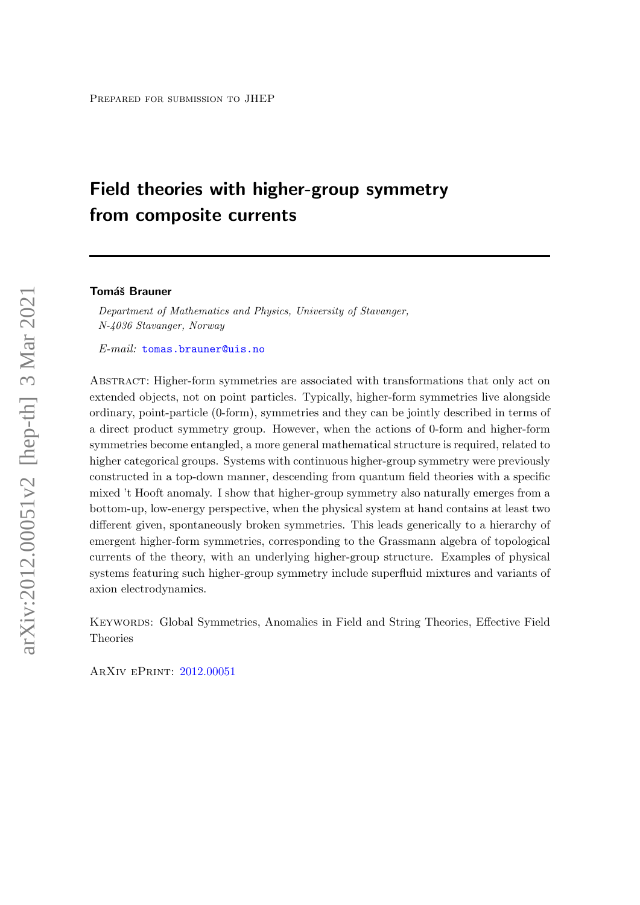# Field theories with higher-group symmetry from composite currents

#### **Tomáš Brauner**

Department of Mathematics and Physics, University of Stavanger, N-4036 Stavanger, Norway

E-mail: [tomas.brauner@uis.no](mailto:tomas.brauner@uis.no)

Abstract: Higher-form symmetries are associated with transformations that only act on extended objects, not on point particles. Typically, higher-form symmetries live alongside ordinary, point-particle (0-form), symmetries and they can be jointly described in terms of a direct product symmetry group. However, when the actions of 0-form and higher-form symmetries become entangled, a more general mathematical structure is required, related to higher categorical groups. Systems with continuous higher-group symmetry were previously constructed in a top-down manner, descending from quantum field theories with a specific mixed 't Hooft anomaly. I show that higher-group symmetry also naturally emerges from a bottom-up, low-energy perspective, when the physical system at hand contains at least two different given, spontaneously broken symmetries. This leads generically to a hierarchy of emergent higher-form symmetries, corresponding to the Grassmann algebra of topological currents of the theory, with an underlying higher-group structure. Examples of physical systems featuring such higher-group symmetry include superfluid mixtures and variants of axion electrodynamics.

Keywords: Global Symmetries, Anomalies in Field and String Theories, Effective Field Theories

ArXiv ePrint: [2012.00051](http://arxiv.org/abs/2012.00051)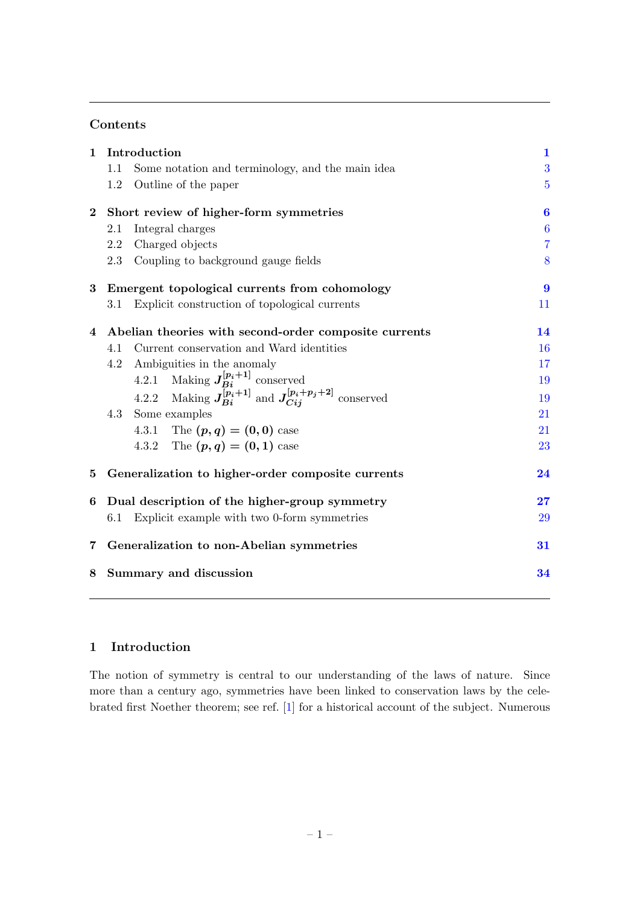## Contents

| $\mathbf{1}$ | Introduction                                                         |                  |  |  |  |  |
|--------------|----------------------------------------------------------------------|------------------|--|--|--|--|
|              | Some notation and terminology, and the main idea<br>1.1              | 3                |  |  |  |  |
|              | Outline of the paper<br>$1.2\,$                                      | $\overline{5}$   |  |  |  |  |
| $\mathbf{2}$ | Short review of higher-form symmetries                               |                  |  |  |  |  |
|              | Integral charges<br>2.1                                              | $\boldsymbol{6}$ |  |  |  |  |
|              | Charged objects<br>2.2                                               | $\overline{7}$   |  |  |  |  |
|              | Coupling to background gauge fields<br>2.3                           | 8                |  |  |  |  |
| $\bf{3}$     | Emergent topological currents from cohomology                        |                  |  |  |  |  |
|              | Explicit construction of topological currents<br>3.1                 | 11               |  |  |  |  |
| 4            | Abelian theories with second-order composite currents                |                  |  |  |  |  |
|              | Current conservation and Ward identities<br>4.1                      | 16               |  |  |  |  |
|              | Ambiguities in the anomaly<br>4.2                                    | 17               |  |  |  |  |
|              | 4.2.1 Making $J_{Bi}^{[p_i+1]}$ conserved                            | 19               |  |  |  |  |
|              | 4.2.2 Making $J_{Bi}^{[p_i+1]}$ and $J_{Ci}^{[p_i+p_j+2]}$ conserved | 19               |  |  |  |  |
|              | 4.3<br>Some examples                                                 | 21               |  |  |  |  |
|              | 4.3.1 The $(p, q) = (0, 0)$ case                                     | 21               |  |  |  |  |
|              | 4.3.2 The $(p, q) = (0, 1)$ case                                     | 23               |  |  |  |  |
| 5            | Generalization to higher-order composite currents<br>24              |                  |  |  |  |  |
| 6            | Dual description of the higher-group symmetry                        | $27\,$           |  |  |  |  |
|              | Explicit example with two 0-form symmetries<br>6.1                   | 29               |  |  |  |  |
| 7            | Generalization to non-Abelian symmetries                             |                  |  |  |  |  |
| 8            | Summary and discussion<br>34                                         |                  |  |  |  |  |
|              |                                                                      |                  |  |  |  |  |

## <span id="page-1-0"></span>1 Introduction

The notion of symmetry is central to our understanding of the laws of nature. Since more than a century ago, symmetries have been linked to conservation laws by the celebrated first Noether theorem; see ref. [\[1\]](#page-35-0) for a historical account of the subject. Numerous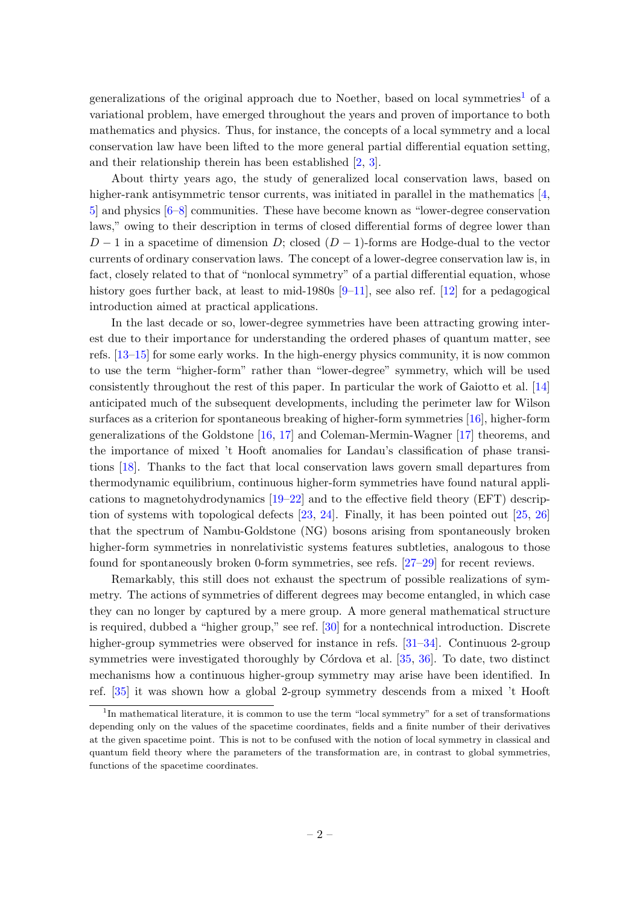generalizations of the original approach due to Noether, based on local symmetries<sup>[1](#page-2-0)</sup> of a variational problem, have emerged throughout the years and proven of importance to both mathematics and physics. Thus, for instance, the concepts of a local symmetry and a local conservation law have been lifted to the more general partial differential equation setting, and their relationship therein has been established [\[2,](#page-35-1) [3\]](#page-35-2).

About thirty years ago, the study of generalized local conservation laws, based on higher-rank antisymmetric tensor currents, was initiated in parallel in the mathematics [\[4,](#page-35-3) [5\]](#page-35-4) and physics [\[6–](#page-35-5)[8\]](#page-36-0) communities. These have become known as "lower-degree conservation laws," owing to their description in terms of closed differential forms of degree lower than  $D-1$  in a spacetime of dimension D; closed  $(D-1)$ -forms are Hodge-dual to the vector currents of ordinary conservation laws. The concept of a lower-degree conservation law is, in fact, closely related to that of "nonlocal symmetry" of a partial differential equation, whose history goes further back, at least to mid-1980s  $[9-11]$  $[9-11]$ , see also ref. [\[12\]](#page-36-3) for a pedagogical introduction aimed at practical applications.

In the last decade or so, lower-degree symmetries have been attracting growing interest due to their importance for understanding the ordered phases of quantum matter, see refs. [\[13](#page-36-4)[–15\]](#page-36-5) for some early works. In the high-energy physics community, it is now common to use the term "higher-form" rather than "lower-degree" symmetry, which will be used consistently throughout the rest of this paper. In particular the work of Gaiotto et al. [\[14\]](#page-36-6) anticipated much of the subsequent developments, including the perimeter law for Wilson surfaces as a criterion for spontaneous breaking of higher-form symmetries [\[16\]](#page-36-7), higher-form generalizations of the Goldstone [\[16,](#page-36-7) [17\]](#page-36-8) and Coleman-Mermin-Wagner [\[17\]](#page-36-8) theorems, and the importance of mixed 't Hooft anomalies for Landau's classification of phase transitions [\[18\]](#page-36-9). Thanks to the fact that local conservation laws govern small departures from thermodynamic equilibrium, continuous higher-form symmetries have found natural applications to magnetohydrodynamics [\[19–](#page-36-10)[22\]](#page-36-11) and to the effective field theory (EFT) description of systems with topological defects  $[23, 24]$  $[23, 24]$  $[23, 24]$ . Finally, it has been pointed out  $[25, 26]$  $[25, 26]$  $[25, 26]$ that the spectrum of Nambu-Goldstone (NG) bosons arising from spontaneously broken higher-form symmetries in nonrelativistic systems features subtleties, analogous to those found for spontaneously broken 0-form symmetries, see refs. [\[27–](#page-37-0)[29\]](#page-37-1) for recent reviews.

Remarkably, this still does not exhaust the spectrum of possible realizations of symmetry. The actions of symmetries of different degrees may become entangled, in which case they can no longer by captured by a mere group. A more general mathematical structure is required, dubbed a "higher group," see ref. [\[30\]](#page-37-2) for a nontechnical introduction. Discrete higher-group symmetries were observed for instance in refs. [\[31–](#page-37-3)[34\]](#page-37-4). Continuous 2-group symmetries were investigated thoroughly by Córdova et al.  $[35, 36]$  $[35, 36]$  $[35, 36]$ . To date, two distinct mechanisms how a continuous higher-group symmetry may arise have been identified. In ref. [\[35\]](#page-37-5) it was shown how a global 2-group symmetry descends from a mixed 't Hooft

<span id="page-2-0"></span><sup>&</sup>lt;sup>1</sup>In mathematical literature, it is common to use the term "local symmetry" for a set of transformations depending only on the values of the spacetime coordinates, fields and a finite number of their derivatives at the given spacetime point. This is not to be confused with the notion of local symmetry in classical and quantum field theory where the parameters of the transformation are, in contrast to global symmetries, functions of the spacetime coordinates.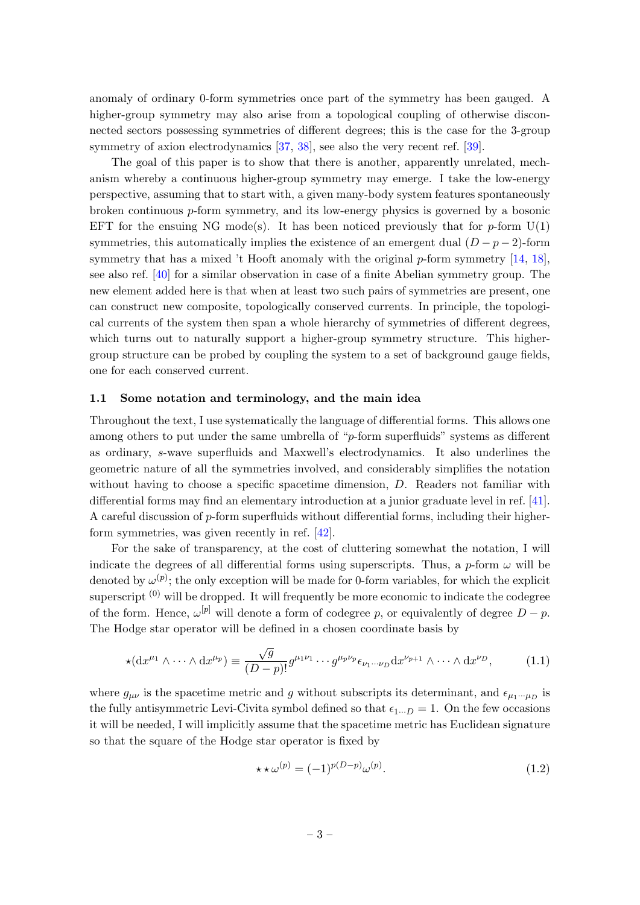anomaly of ordinary 0-form symmetries once part of the symmetry has been gauged. A higher-group symmetry may also arise from a topological coupling of otherwise disconnected sectors possessing symmetries of different degrees; this is the case for the 3-group symmetry of axion electrodynamics [\[37,](#page-37-7) [38\]](#page-37-8), see also the very recent ref. [\[39\]](#page-37-9).

The goal of this paper is to show that there is another, apparently unrelated, mechanism whereby a continuous higher-group symmetry may emerge. I take the low-energy perspective, assuming that to start with, a given many-body system features spontaneously broken continuous p-form symmetry, and its low-energy physics is governed by a bosonic EFT for the ensuing NG mode(s). It has been noticed previously that for  $p$ -form  $U(1)$ symmetries, this automatically implies the existence of an emergent dual  $(D - p - 2)$ -form symmetry that has a mixed 't Hooft anomaly with the original  $p$ -form symmetry [\[14,](#page-36-6) [18\]](#page-36-9), see also ref. [\[40\]](#page-37-10) for a similar observation in case of a finite Abelian symmetry group. The new element added here is that when at least two such pairs of symmetries are present, one can construct new composite, topologically conserved currents. In principle, the topological currents of the system then span a whole hierarchy of symmetries of different degrees, which turns out to naturally support a higher-group symmetry structure. This highergroup structure can be probed by coupling the system to a set of background gauge fields, one for each conserved current.

#### <span id="page-3-0"></span>1.1 Some notation and terminology, and the main idea

Throughout the text, I use systematically the language of differential forms. This allows one among others to put under the same umbrella of "p-form superfluids" systems as different as ordinary, s-wave superfluids and Maxwell's electrodynamics. It also underlines the geometric nature of all the symmetries involved, and considerably simplifies the notation without having to choose a specific spacetime dimension, D. Readers not familiar with differential forms may find an elementary introduction at a junior graduate level in ref. [\[41\]](#page-37-11). A careful discussion of  $p$ -form superfluids without differential forms, including their higherform symmetries, was given recently in ref. [\[42\]](#page-37-12).

For the sake of transparency, at the cost of cluttering somewhat the notation, I will indicate the degrees of all differential forms using superscripts. Thus, a p-form  $\omega$  will be denoted by  $\omega^{(p)}$ ; the only exception will be made for 0-form variables, for which the explicit superscript  $(0)$  will be dropped. It will frequently be more economic to indicate the codegree of the form. Hence,  $\omega^{[p]}$  will denote a form of codegree p, or equivalently of degree  $D - p$ . The Hodge star operator will be defined in a chosen coordinate basis by

$$
\star(\mathrm{d}x^{\mu_1}\wedge\cdots\wedge\mathrm{d}x^{\mu_p})\equiv\frac{\sqrt{g}}{(D-p)!}g^{\mu_1\nu_1}\cdots g^{\mu_p\nu_p}\epsilon_{\nu_1\cdots\nu_D}\mathrm{d}x^{\nu_{p+1}}\wedge\cdots\wedge\mathrm{d}x^{\nu_p},\tag{1.1}
$$

where  $g_{\mu\nu}$  is the spacetime metric and g without subscripts its determinant, and  $\epsilon_{\mu_1\cdots\mu_D}$  is the fully antisymmetric Levi-Civita symbol defined so that  $\epsilon_{1\cdots D} = 1$ . On the few occasions it will be needed, I will implicitly assume that the spacetime metric has Euclidean signature so that the square of the Hodge star operator is fixed by

$$
\star \star \omega^{(p)} = (-1)^{p(D-p)} \omega^{(p)}.
$$
\n(1.2)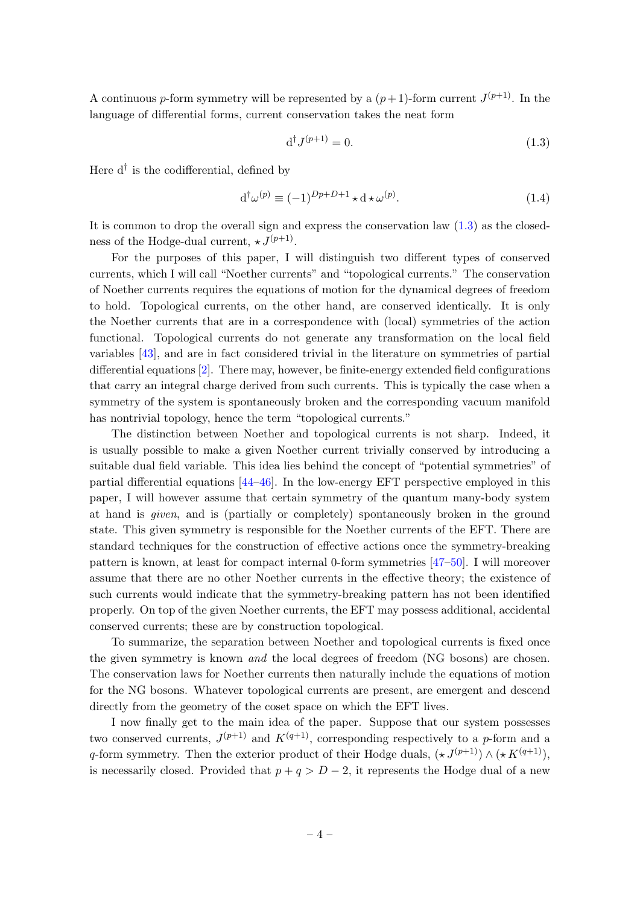A continuous p-form symmetry will be represented by a  $(p+1)$ -form current  $J^{(p+1)}$ . In the language of differential forms, current conservation takes the neat form

<span id="page-4-0"></span>
$$
\mathbf{d}^\dagger J^{(p+1)} = 0.\tag{1.3}
$$

Here  $d^{\dagger}$  is the codifferential, defined by

$$
d^{\dagger} \omega^{(p)} \equiv (-1)^{Dp + D + 1} \star d \star \omega^{(p)}.
$$
\n(1.4)

It is common to drop the overall sign and express the conservation law  $(1.3)$  as the closedness of the Hodge-dual current,  $\star J^{(p+1)}$ .

For the purposes of this paper, I will distinguish two different types of conserved currents, which I will call "Noether currents" and "topological currents." The conservation of Noether currents requires the equations of motion for the dynamical degrees of freedom to hold. Topological currents, on the other hand, are conserved identically. It is only the Noether currents that are in a correspondence with (local) symmetries of the action functional. Topological currents do not generate any transformation on the local field variables [\[43\]](#page-37-13), and are in fact considered trivial in the literature on symmetries of partial differential equations [\[2\]](#page-35-1). There may, however, be finite-energy extended field configurations that carry an integral charge derived from such currents. This is typically the case when a symmetry of the system is spontaneously broken and the corresponding vacuum manifold has nontrivial topology, hence the term "topological currents."

The distinction between Noether and topological currents is not sharp. Indeed, it is usually possible to make a given Noether current trivially conserved by introducing a suitable dual field variable. This idea lies behind the concept of "potential symmetries" of partial differential equations [\[44–](#page-37-14)[46\]](#page-37-15). In the low-energy EFT perspective employed in this paper, I will however assume that certain symmetry of the quantum many-body system at hand is given, and is (partially or completely) spontaneously broken in the ground state. This given symmetry is responsible for the Noether currents of the EFT. There are standard techniques for the construction of effective actions once the symmetry-breaking pattern is known, at least for compact internal 0-form symmetries [\[47–](#page-37-16)[50\]](#page-38-0). I will moreover assume that there are no other Noether currents in the effective theory; the existence of such currents would indicate that the symmetry-breaking pattern has not been identified properly. On top of the given Noether currents, the EFT may possess additional, accidental conserved currents; these are by construction topological.

To summarize, the separation between Noether and topological currents is fixed once the given symmetry is known and the local degrees of freedom (NG bosons) are chosen. The conservation laws for Noether currents then naturally include the equations of motion for the NG bosons. Whatever topological currents are present, are emergent and descend directly from the geometry of the coset space on which the EFT lives.

I now finally get to the main idea of the paper. Suppose that our system possesses two conserved currents,  $J^{(p+1)}$  and  $K^{(q+1)}$ , corresponding respectively to a p-form and a q-form symmetry. Then the exterior product of their Hodge duals,  $(\star J^{(p+1)}) \wedge (\star K^{(q+1)}),$ is necessarily closed. Provided that  $p + q > D - 2$ , it represents the Hodge dual of a new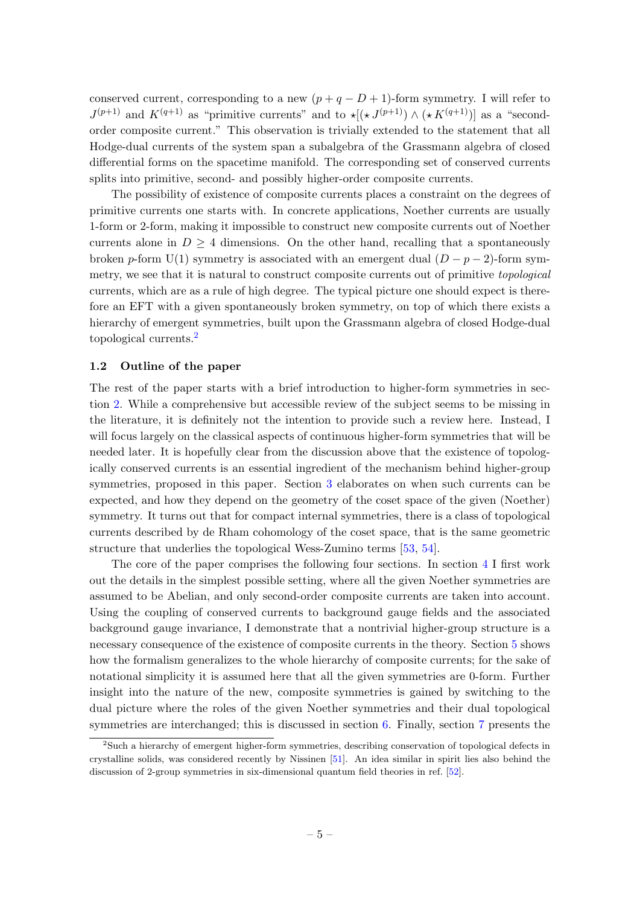conserved current, corresponding to a new  $(p+q-D+1)$ -form symmetry. I will refer to  $J^{(p+1)}$  and  $K^{(q+1)}$  as "primitive currents" and to  $\star[(\star J^{(p+1)}) \wedge (\star K^{(q+1)})]$  as a "secondorder composite current." This observation is trivially extended to the statement that all Hodge-dual currents of the system span a subalgebra of the Grassmann algebra of closed differential forms on the spacetime manifold. The corresponding set of conserved currents splits into primitive, second- and possibly higher-order composite currents.

The possibility of existence of composite currents places a constraint on the degrees of primitive currents one starts with. In concrete applications, Noether currents are usually 1-form or 2-form, making it impossible to construct new composite currents out of Noether currents alone in  $D \geq 4$  dimensions. On the other hand, recalling that a spontaneously broken p-form U(1) symmetry is associated with an emergent dual  $(D - p - 2)$ -form symmetry, we see that it is natural to construct composite currents out of primitive *topological* currents, which are as a rule of high degree. The typical picture one should expect is therefore an EFT with a given spontaneously broken symmetry, on top of which there exists a hierarchy of emergent symmetries, built upon the Grassmann algebra of closed Hodge-dual topological currents.[2](#page-5-1)

#### <span id="page-5-0"></span>1.2 Outline of the paper

The rest of the paper starts with a brief introduction to higher-form symmetries in section [2.](#page-6-0) While a comprehensive but accessible review of the subject seems to be missing in the literature, it is definitely not the intention to provide such a review here. Instead, I will focus largely on the classical aspects of continuous higher-form symmetries that will be needed later. It is hopefully clear from the discussion above that the existence of topologically conserved currents is an essential ingredient of the mechanism behind higher-group symmetries, proposed in this paper. Section [3](#page-9-0) elaborates on when such currents can be expected, and how they depend on the geometry of the coset space of the given (Noether) symmetry. It turns out that for compact internal symmetries, there is a class of topological currents described by de Rham cohomology of the coset space, that is the same geometric structure that underlies the topological Wess-Zumino terms [\[53,](#page-38-1) [54\]](#page-38-2).

The core of the paper comprises the following four sections. In section [4](#page-14-0) I first work out the details in the simplest possible setting, where all the given Noether symmetries are assumed to be Abelian, and only second-order composite currents are taken into account. Using the coupling of conserved currents to background gauge fields and the associated background gauge invariance, I demonstrate that a nontrivial higher-group structure is a necessary consequence of the existence of composite currents in the theory. Section [5](#page-24-0) shows how the formalism generalizes to the whole hierarchy of composite currents; for the sake of notational simplicity it is assumed here that all the given symmetries are 0-form. Further insight into the nature of the new, composite symmetries is gained by switching to the dual picture where the roles of the given Noether symmetries and their dual topological symmetries are interchanged; this is discussed in section [6.](#page-27-0) Finally, section [7](#page-31-0) presents the

<span id="page-5-1"></span><sup>2</sup>Such a hierarchy of emergent higher-form symmetries, describing conservation of topological defects in crystalline solids, was considered recently by Nissinen [\[51\]](#page-38-3). An idea similar in spirit lies also behind the discussion of 2-group symmetries in six-dimensional quantum field theories in ref. [\[52\]](#page-38-4).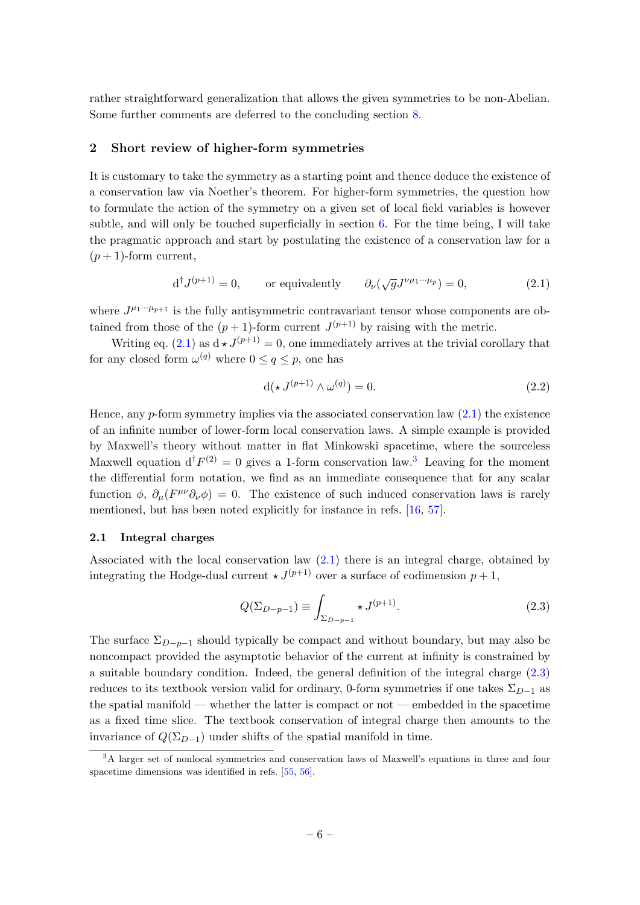rather straightforward generalization that allows the given symmetries to be non-Abelian. Some further comments are deferred to the concluding section [8.](#page-34-0)

## <span id="page-6-0"></span>2 Short review of higher-form symmetries

It is customary to take the symmetry as a starting point and thence deduce the existence of a conservation law via Noether's theorem. For higher-form symmetries, the question how to formulate the action of the symmetry on a given set of local field variables is however subtle, and will only be touched superficially in section  $6$ . For the time being, I will take the pragmatic approach and start by postulating the existence of a conservation law for a  $(p+1)$ -form current,

<span id="page-6-2"></span>
$$
d^{\dagger} J^{(p+1)} = 0
$$
, or equivalently  $\partial_{\nu}(\sqrt{g} J^{\nu \mu_1 \cdots \mu_p}) = 0$ , (2.1)

where  $J^{\mu_1\cdots\mu_{p+1}}$  is the fully antisymmetric contravariant tensor whose components are obtained from those of the  $(p+1)$ -form current  $J^{(p+1)}$  by raising with the metric.

Writing eq. [\(2.1\)](#page-6-2) as  $d \star J^{(p+1)} = 0$ , one immediately arrives at the trivial corollary that for any closed form  $\omega^{(q)}$  where  $0 \le q \le p$ , one has

$$
d(\star J^{(p+1)} \wedge \omega^{(q)}) = 0. \tag{2.2}
$$

Hence, any  $p$ -form symmetry implies via the associated conservation law  $(2.1)$  the existence of an infinite number of lower-form local conservation laws. A simple example is provided by Maxwell's theory without matter in flat Minkowski spacetime, where the sourceless Maxwell equation  $d^{\dagger} F^{(2)} = 0$  gives a 1-form conservation law.<sup>[3](#page-6-3)</sup> Leaving for the moment the differential form notation, we find as an immediate consequence that for any scalar function  $\phi$ ,  $\partial_{\mu}(F^{\mu\nu}\partial_{\nu}\phi) = 0$ . The existence of such induced conservation laws is rarely mentioned, but has been noted explicitly for instance in refs. [\[16,](#page-36-7) [57\]](#page-38-5).

#### <span id="page-6-1"></span>2.1 Integral charges

Associated with the local conservation law [\(2.1\)](#page-6-2) there is an integral charge, obtained by integrating the Hodge-dual current  $\star J^{(p+1)}$  over a surface of codimension  $p+1$ ,

<span id="page-6-4"></span>
$$
Q(\Sigma_{D-p-1}) \equiv \int_{\Sigma_{D-p-1}} \star J^{(p+1)}.
$$
\n(2.3)

The surface  $\Sigma_{D-p-1}$  should typically be compact and without boundary, but may also be noncompact provided the asymptotic behavior of the current at infinity is constrained by a suitable boundary condition. Indeed, the general definition of the integral charge [\(2.3\)](#page-6-4) reduces to its textbook version valid for ordinary, 0-form symmetries if one takes  $\Sigma_{D-1}$  as the spatial manifold — whether the latter is compact or not — embedded in the spacetime as a fixed time slice. The textbook conservation of integral charge then amounts to the invariance of  $Q(\Sigma_{D-1})$  under shifts of the spatial manifold in time.

<span id="page-6-3"></span><sup>&</sup>lt;sup>3</sup>A larger set of nonlocal symmetries and conservation laws of Maxwell's equations in three and four spacetime dimensions was identified in refs. [\[55,](#page-38-6) [56\]](#page-38-7).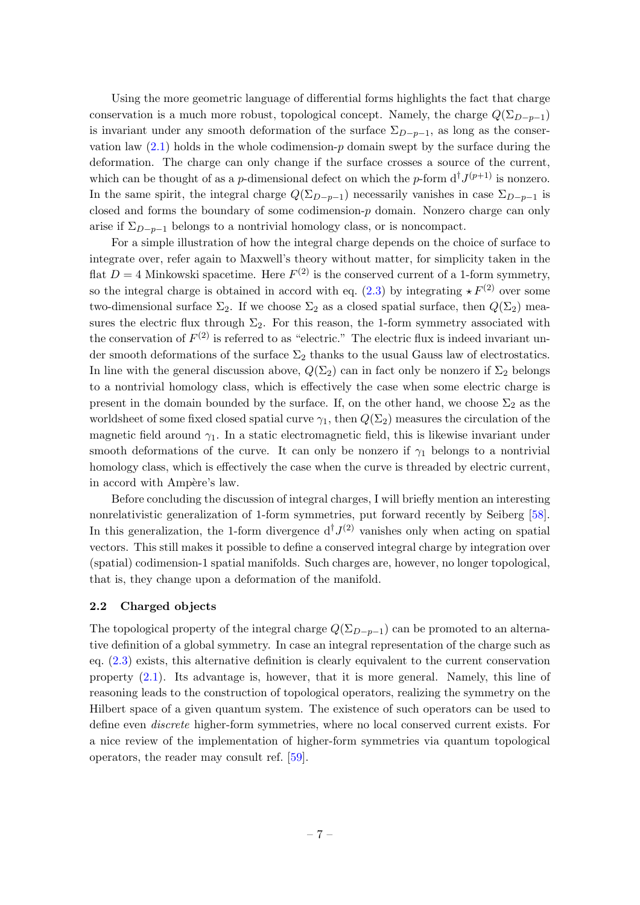Using the more geometric language of differential forms highlights the fact that charge conservation is a much more robust, topological concept. Namely, the charge  $Q(\Sigma_{D-p-1})$ is invariant under any smooth deformation of the surface  $\Sigma_{D-p-1}$ , as long as the conservation law  $(2.1)$  holds in the whole codimension-p domain swept by the surface during the deformation. The charge can only change if the surface crosses a source of the current, which can be thought of as a *p*-dimensional defect on which the *p*-form  $d^{\dagger} J^{(p+1)}$  is nonzero. In the same spirit, the integral charge  $Q(\Sigma_{D-p-1})$  necessarily vanishes in case  $\Sigma_{D-p-1}$  is closed and forms the boundary of some codimension-p domain. Nonzero charge can only arise if  $\Sigma_{D-p-1}$  belongs to a nontrivial homology class, or is noncompact.

For a simple illustration of how the integral charge depends on the choice of surface to integrate over, refer again to Maxwell's theory without matter, for simplicity taken in the flat  $D = 4$  Minkowski spacetime. Here  $F^{(2)}$  is the conserved current of a 1-form symmetry, so the integral charge is obtained in accord with eq. [\(2.3\)](#page-6-4) by integrating  $\star F^{(2)}$  over some two-dimensional surface  $\Sigma_2$ . If we choose  $\Sigma_2$  as a closed spatial surface, then  $Q(\Sigma_2)$  measures the electric flux through  $\Sigma_2$ . For this reason, the 1-form symmetry associated with the conservation of  $F^{(2)}$  is referred to as "electric." The electric flux is indeed invariant under smooth deformations of the surface  $\Sigma_2$  thanks to the usual Gauss law of electrostatics. In line with the general discussion above,  $Q(\Sigma_2)$  can in fact only be nonzero if  $\Sigma_2$  belongs to a nontrivial homology class, which is effectively the case when some electric charge is present in the domain bounded by the surface. If, on the other hand, we choose  $\Sigma_2$  as the worldsheet of some fixed closed spatial curve  $\gamma_1$ , then  $Q(\Sigma_2)$  measures the circulation of the magnetic field around  $\gamma_1$ . In a static electromagnetic field, this is likewise invariant under smooth deformations of the curve. It can only be nonzero if  $\gamma_1$  belongs to a nontrivial homology class, which is effectively the case when the curve is threaded by electric current, in accord with Ampère's law.

Before concluding the discussion of integral charges, I will briefly mention an interesting nonrelativistic generalization of 1-form symmetries, put forward recently by Seiberg [\[58\]](#page-38-8). In this generalization, the 1-form divergence  $d^{\dagger}J^{(2)}$  vanishes only when acting on spatial vectors. This still makes it possible to define a conserved integral charge by integration over (spatial) codimension-1 spatial manifolds. Such charges are, however, no longer topological, that is, they change upon a deformation of the manifold.

#### <span id="page-7-0"></span>2.2 Charged objects

The topological property of the integral charge  $Q(\Sigma_{D-p-1})$  can be promoted to an alternative definition of a global symmetry. In case an integral representation of the charge such as eq. [\(2.3\)](#page-6-4) exists, this alternative definition is clearly equivalent to the current conservation property  $(2.1)$ . Its advantage is, however, that it is more general. Namely, this line of reasoning leads to the construction of topological operators, realizing the symmetry on the Hilbert space of a given quantum system. The existence of such operators can be used to define even discrete higher-form symmetries, where no local conserved current exists. For a nice review of the implementation of higher-form symmetries via quantum topological operators, the reader may consult ref. [\[59\]](#page-38-9).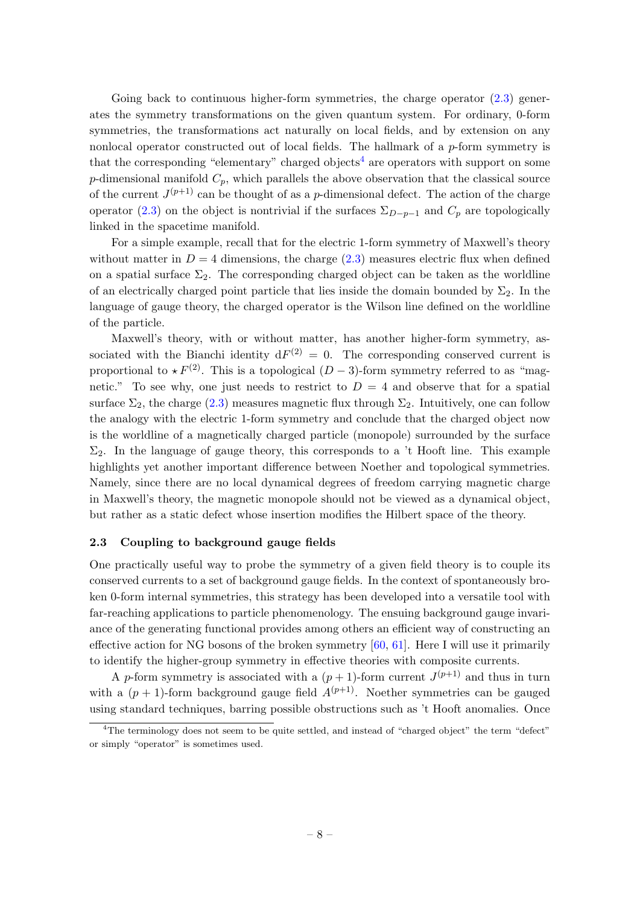Going back to continuous higher-form symmetries, the charge operator  $(2.3)$  generates the symmetry transformations on the given quantum system. For ordinary, 0-form symmetries, the transformations act naturally on local fields, and by extension on any nonlocal operator constructed out of local fields. The hallmark of a  $p$ -form symmetry is that the corresponding "elementary" charged objects<sup>[4](#page-8-1)</sup> are operators with support on some p-dimensional manifold  $C_p$ , which parallels the above observation that the classical source of the current  $J^{(p+1)}$  can be thought of as a p-dimensional defect. The action of the charge operator [\(2.3\)](#page-6-4) on the object is nontrivial if the surfaces  $\Sigma_{D-p-1}$  and  $C_p$  are topologically linked in the spacetime manifold.

For a simple example, recall that for the electric 1-form symmetry of Maxwell's theory without matter in  $D = 4$  dimensions, the charge [\(2.3\)](#page-6-4) measures electric flux when defined on a spatial surface  $\Sigma_2$ . The corresponding charged object can be taken as the worldline of an electrically charged point particle that lies inside the domain bounded by  $\Sigma_2$ . In the language of gauge theory, the charged operator is the Wilson line defined on the worldline of the particle.

Maxwell's theory, with or without matter, has another higher-form symmetry, associated with the Bianchi identity  $dF^{(2)} = 0$ . The corresponding conserved current is proportional to  $\star F^{(2)}$ . This is a topological (D – 3)-form symmetry referred to as "magnetic." To see why, one just needs to restrict to  $D = 4$  and observe that for a spatial surface  $\Sigma_2$ , the charge [\(2.3\)](#page-6-4) measures magnetic flux through  $\Sigma_2$ . Intuitively, one can follow the analogy with the electric 1-form symmetry and conclude that the charged object now is the worldline of a magnetically charged particle (monopole) surrounded by the surface  $\Sigma_2$ . In the language of gauge theory, this corresponds to a 't Hooft line. This example highlights yet another important difference between Noether and topological symmetries. Namely, since there are no local dynamical degrees of freedom carrying magnetic charge in Maxwell's theory, the magnetic monopole should not be viewed as a dynamical object, but rather as a static defect whose insertion modifies the Hilbert space of the theory.

#### <span id="page-8-0"></span>2.3 Coupling to background gauge fields

One practically useful way to probe the symmetry of a given field theory is to couple its conserved currents to a set of background gauge fields. In the context of spontaneously broken 0-form internal symmetries, this strategy has been developed into a versatile tool with far-reaching applications to particle phenomenology. The ensuing background gauge invariance of the generating functional provides among others an efficient way of constructing an effective action for NG bosons of the broken symmetry [\[60,](#page-38-10) [61\]](#page-38-11). Here I will use it primarily to identify the higher-group symmetry in effective theories with composite currents.

A p-form symmetry is associated with a  $(p+1)$ -form current  $J^{(p+1)}$  and thus in turn with a  $(p + 1)$ -form background gauge field  $A^{(p+1)}$ . Noether symmetries can be gauged using standard techniques, barring possible obstructions such as 't Hooft anomalies. Once

<span id="page-8-1"></span><sup>&</sup>lt;sup>4</sup>The terminology does not seem to be quite settled, and instead of "charged object" the term "defect" or simply "operator" is sometimes used.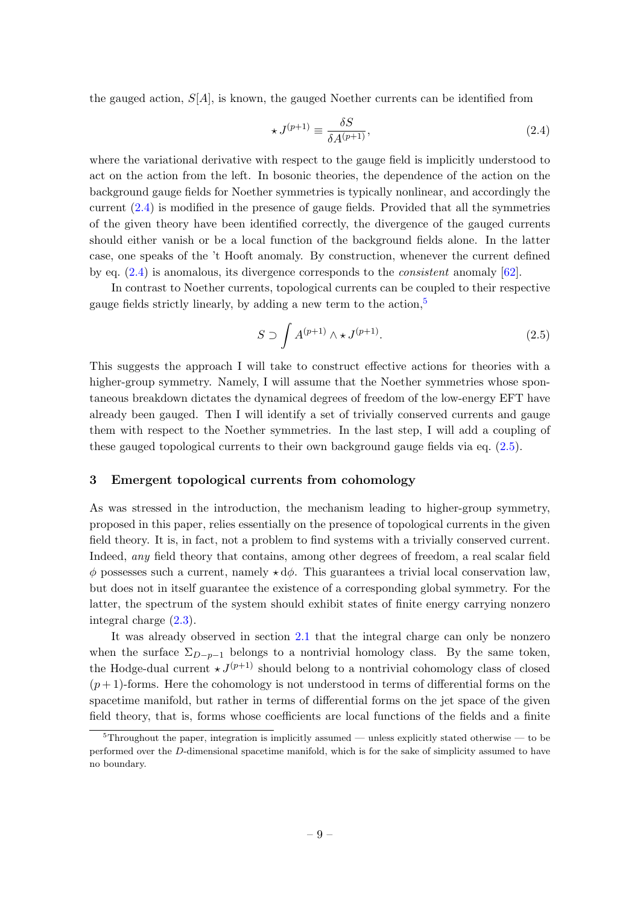the gauged action,  $S[A]$ , is known, the gauged Noether currents can be identified from

<span id="page-9-1"></span>
$$
\star J^{(p+1)} \equiv \frac{\delta S}{\delta A^{(p+1)}},\tag{2.4}
$$

where the variational derivative with respect to the gauge field is implicitly understood to act on the action from the left. In bosonic theories, the dependence of the action on the background gauge fields for Noether symmetries is typically nonlinear, and accordingly the current [\(2.4\)](#page-9-1) is modified in the presence of gauge fields. Provided that all the symmetries of the given theory have been identified correctly, the divergence of the gauged currents should either vanish or be a local function of the background fields alone. In the latter case, one speaks of the 't Hooft anomaly. By construction, whenever the current defined by eq. [\(2.4\)](#page-9-1) is anomalous, its divergence corresponds to the consistent anomaly [\[62\]](#page-38-12).

In contrast to Noether currents, topological currents can be coupled to their respective gauge fields strictly linearly, by adding a new term to the action,<sup>[5](#page-9-2)</sup>

<span id="page-9-3"></span>
$$
S \supset \int A^{(p+1)} \wedge \star J^{(p+1)}.
$$
\n(2.5)

This suggests the approach I will take to construct effective actions for theories with a higher-group symmetry. Namely, I will assume that the Noether symmetries whose spontaneous breakdown dictates the dynamical degrees of freedom of the low-energy EFT have already been gauged. Then I will identify a set of trivially conserved currents and gauge them with respect to the Noether symmetries. In the last step, I will add a coupling of these gauged topological currents to their own background gauge fields via eq. [\(2.5\)](#page-9-3).

#### <span id="page-9-0"></span>3 Emergent topological currents from cohomology

As was stressed in the introduction, the mechanism leading to higher-group symmetry, proposed in this paper, relies essentially on the presence of topological currents in the given field theory. It is, in fact, not a problem to find systems with a trivially conserved current. Indeed, any field theory that contains, among other degrees of freedom, a real scalar field  $\phi$  possesses such a current, namely  $\star d\phi$ . This guarantees a trivial local conservation law, but does not in itself guarantee the existence of a corresponding global symmetry. For the latter, the spectrum of the system should exhibit states of finite energy carrying nonzero integral charge [\(2.3\)](#page-6-4).

It was already observed in section [2.1](#page-6-1) that the integral charge can only be nonzero when the surface  $\Sigma_{D-n-1}$  belongs to a nontrivial homology class. By the same token, the Hodge-dual current  $\star J^{(p+1)}$  should belong to a nontrivial cohomology class of closed  $(p+1)$ -forms. Here the cohomology is not understood in terms of differential forms on the spacetime manifold, but rather in terms of differential forms on the jet space of the given field theory, that is, forms whose coefficients are local functions of the fields and a finite

<span id="page-9-2"></span> $5$ Throughout the paper, integration is implicitly assumed — unless explicitly stated otherwise — to be performed over the D-dimensional spacetime manifold, which is for the sake of simplicity assumed to have no boundary.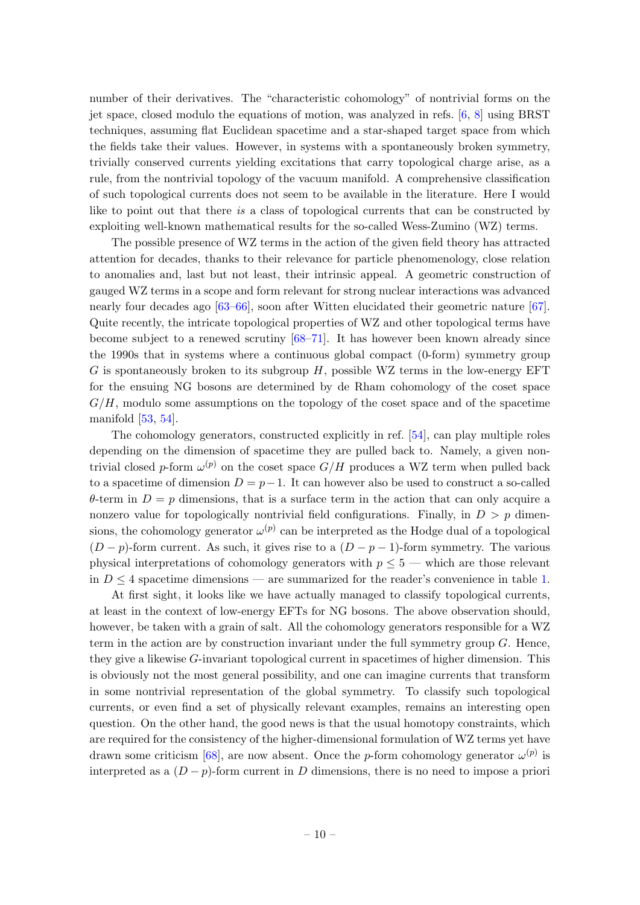number of their derivatives. The "characteristic cohomology" of nontrivial forms on the jet space, closed modulo the equations of motion, was analyzed in refs. [\[6,](#page-35-5) [8\]](#page-36-0) using BRST techniques, assuming flat Euclidean spacetime and a star-shaped target space from which the fields take their values. However, in systems with a spontaneously broken symmetry, trivially conserved currents yielding excitations that carry topological charge arise, as a rule, from the nontrivial topology of the vacuum manifold. A comprehensive classification of such topological currents does not seem to be available in the literature. Here I would like to point out that there is a class of topological currents that can be constructed by exploiting well-known mathematical results for the so-called Wess-Zumino (WZ) terms.

The possible presence of WZ terms in the action of the given field theory has attracted attention for decades, thanks to their relevance for particle phenomenology, close relation to anomalies and, last but not least, their intrinsic appeal. A geometric construction of gauged WZ terms in a scope and form relevant for strong nuclear interactions was advanced nearly four decades ago [\[63–](#page-38-13)[66\]](#page-38-14), soon after Witten elucidated their geometric nature [\[67\]](#page-38-15). Quite recently, the intricate topological properties of WZ and other topological terms have become subject to a renewed scrutiny [\[68–](#page-38-16)[71\]](#page-39-0). It has however been known already since the 1990s that in systems where a continuous global compact (0-form) symmetry group G is spontaneously broken to its subgroup  $H$ , possible WZ terms in the low-energy EFT for the ensuing NG bosons are determined by de Rham cohomology of the coset space  $G/H$ , modulo some assumptions on the topology of the coset space and of the spacetime manifold [\[53,](#page-38-1) [54\]](#page-38-2).

The cohomology generators, constructed explicitly in ref. [\[54\]](#page-38-2), can play multiple roles depending on the dimension of spacetime they are pulled back to. Namely, a given nontrivial closed p-form  $\omega^{(p)}$  on the coset space  $G/H$  produces a WZ term when pulled back to a spacetime of dimension  $D = p-1$ . It can however also be used to construct a so-called  $\theta$ -term in  $D = p$  dimensions, that is a surface term in the action that can only acquire a nonzero value for topologically nontrivial field configurations. Finally, in  $D > p$  dimensions, the cohomology generator  $\omega^{(p)}$  can be interpreted as the Hodge dual of a topological  $(D - p)$ -form current. As such, it gives rise to a  $(D - p - 1)$ -form symmetry. The various physical interpretations of cohomology generators with  $p \leq 5$  — which are those relevant in  $D \leq 4$  spacetime dimensions — are summarized for the reader's convenience in table [1.](#page-11-1)

At first sight, it looks like we have actually managed to classify topological currents, at least in the context of low-energy EFTs for NG bosons. The above observation should, however, be taken with a grain of salt. All the cohomology generators responsible for a WZ term in the action are by construction invariant under the full symmetry group  $G$ . Hence, they give a likewise G-invariant topological current in spacetimes of higher dimension. This is obviously not the most general possibility, and one can imagine currents that transform in some nontrivial representation of the global symmetry. To classify such topological currents, or even find a set of physically relevant examples, remains an interesting open question. On the other hand, the good news is that the usual homotopy constraints, which are required for the consistency of the higher-dimensional formulation of WZ terms yet have drawn some criticism [\[68\]](#page-38-16), are now absent. Once the *p*-form cohomology generator  $\omega^{(p)}$  is interpreted as a  $(D - p)$ -form current in D dimensions, there is no need to impose a priori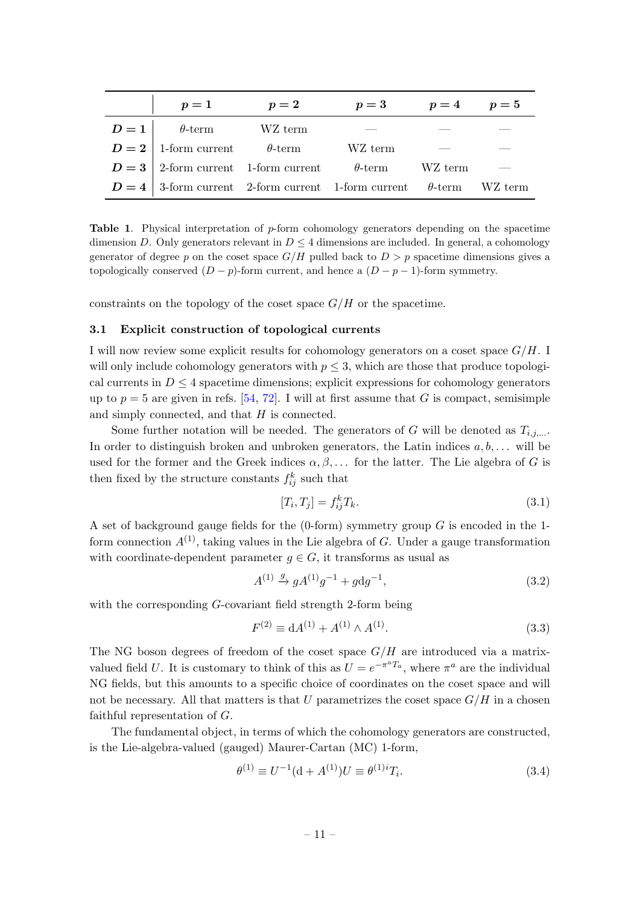|                                                            | $p=1$                                                                     | $p=2$   | $p=3$ $p=4$ $p=5$ |  |
|------------------------------------------------------------|---------------------------------------------------------------------------|---------|-------------------|--|
| $\theta$ -term<br>$D=1$                                    |                                                                           | WZ term |                   |  |
|                                                            | $D=2$ 1-form current $\theta$ -term                                       |         | WZ term           |  |
| $D=3$ 2-form current 1-form current $\theta$ -term WZ term |                                                                           |         |                   |  |
|                                                            | $D=4$ 3-form current 2-form current 1-form current $\theta$ -term WZ term |         |                   |  |

<span id="page-11-1"></span>**Table 1.** Physical interpretation of  $p$ -form cohomology generators depending on the spacetime dimension D. Only generators relevant in  $D \leq 4$  dimensions are included. In general, a cohomology generator of degree p on the coset space  $G/H$  pulled back to  $D > p$  spacetime dimensions gives a topologically conserved  $(D - p)$ -form current, and hence a  $(D - p - 1)$ -form symmetry.

constraints on the topology of the coset space  $G/H$  or the spacetime.

#### <span id="page-11-0"></span>3.1 Explicit construction of topological currents

I will now review some explicit results for cohomology generators on a coset space  $G/H$ . I will only include cohomology generators with  $p \leq 3$ , which are those that produce topological currents in  $D \leq 4$  spacetime dimensions; explicit expressions for cohomology generators up to  $p = 5$  are given in refs. [\[54,](#page-38-2) [72\]](#page-39-1). I will at first assume that G is compact, semisimple and simply connected, and that H is connected.

Some further notation will be needed. The generators of G will be denoted as  $T_{i,j,...}$ . In order to distinguish broken and unbroken generators, the Latin indices  $a, b, \ldots$  will be used for the former and the Greek indices  $\alpha, \beta, \ldots$  for the latter. The Lie algebra of G is then fixed by the structure constants  $f_{ij}^k$  such that

$$
[T_i, T_j] = f_{ij}^k T_k. \tag{3.1}
$$

A set of background gauge fields for the  $(0\textrm{-}form)$  symmetry group  $G$  is encoded in the 1form connection  $A^{(1)}$ , taking values in the Lie algebra of G. Under a gauge transformation with coordinate-dependent parameter  $g \in G$ , it transforms as usual as

<span id="page-11-2"></span>
$$
A^{(1)} \stackrel{g}{\to} g A^{(1)} g^{-1} + g \mathrm{d} g^{-1},\tag{3.2}
$$

with the corresponding *G*-covariant field strength 2-form being

$$
F^{(2)} \equiv dA^{(1)} + A^{(1)} \wedge A^{(1)}.
$$
\n(3.3)

The NG boson degrees of freedom of the coset space  $G/H$  are introduced via a matrixvalued field U. It is customary to think of this as  $U = e^{-\pi^a T_a}$ , where  $\pi^a$  are the individual NG fields, but this amounts to a specific choice of coordinates on the coset space and will not be necessary. All that matters is that U parametrizes the coset space  $G/H$  in a chosen faithful representation of G.

The fundamental object, in terms of which the cohomology generators are constructed, is the Lie-algebra-valued (gauged) Maurer-Cartan (MC) 1-form,

$$
\theta^{(1)} \equiv U^{-1}(\mathbf{d} + A^{(1)})U \equiv \theta^{(1)i}T_i.
$$
\n(3.4)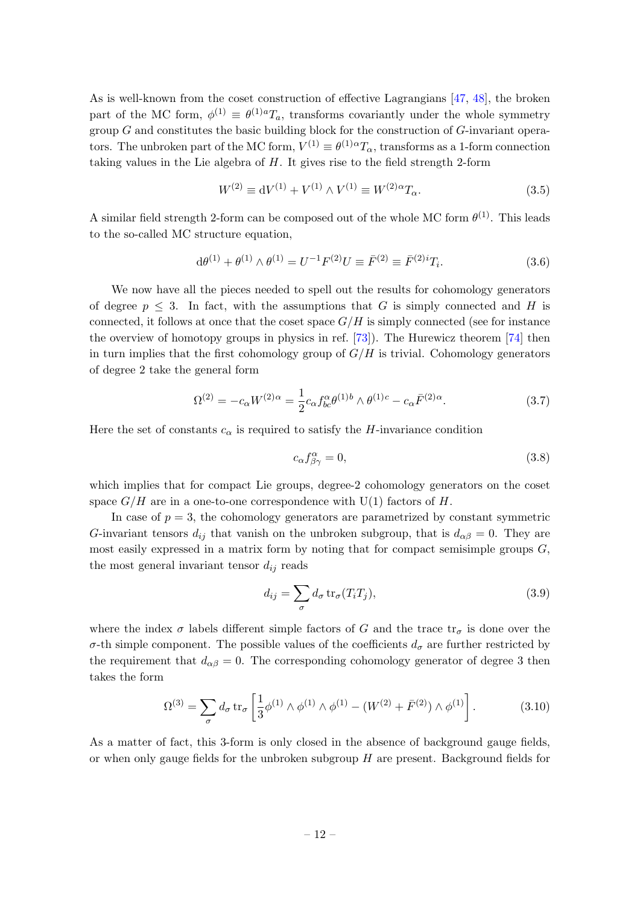As is well-known from the coset construction of effective Lagrangians [\[47,](#page-37-16) [48\]](#page-38-17), the broken part of the MC form,  $\phi^{(1)} \equiv \theta^{(1)a} T_a$ , transforms covariantly under the whole symmetry group  $G$  and constitutes the basic building block for the construction of  $G$ -invariant operators. The unbroken part of the MC form,  $V^{(1)} \equiv \theta^{(1)\alpha} T_{\alpha}$ , transforms as a 1-form connection taking values in the Lie algebra of  $H$ . It gives rise to the field strength 2-form

$$
W^{(2)} \equiv \mathrm{d}V^{(1)} + V^{(1)} \wedge V^{(1)} \equiv W^{(2)\alpha} T_{\alpha}.
$$
 (3.5)

A similar field strength 2-form can be composed out of the whole MC form  $\theta^{(1)}$ . This leads to the so-called MC structure equation,

<span id="page-12-0"></span>
$$
d\theta^{(1)} + \theta^{(1)} \wedge \theta^{(1)} = U^{-1}F^{(2)}U \equiv \bar{F}^{(2)} \equiv \bar{F}^{(2)i}T_i.
$$
 (3.6)

We now have all the pieces needed to spell out the results for cohomology generators of degree  $p \leq 3$ . In fact, with the assumptions that G is simply connected and H is connected, it follows at once that the coset space  $G/H$  is simply connected (see for instance the overview of homotopy groups in physics in ref. [\[73\]](#page-39-2)). The Hurewicz theorem [\[74\]](#page-39-3) then in turn implies that the first cohomology group of  $G/H$  is trivial. Cohomology generators of degree 2 take the general form

<span id="page-12-2"></span>
$$
\Omega^{(2)} = -c_{\alpha} W^{(2)\alpha} = \frac{1}{2} c_{\alpha} f^{\alpha}_{bc} \theta^{(1)b} \wedge \theta^{(1)c} - c_{\alpha} \bar{F}^{(2)\alpha}.
$$
 (3.7)

Here the set of constants  $c_{\alpha}$  is required to satisfy the H-invariance condition

$$
c_{\alpha}f^{\alpha}_{\beta\gamma} = 0, \tag{3.8}
$$

which implies that for compact Lie groups, degree-2 cohomology generators on the coset space  $G/H$  are in a one-to-one correspondence with U(1) factors of H.

In case of  $p = 3$ , the cohomology generators are parametrized by constant symmetric G-invariant tensors  $d_{ij}$  that vanish on the unbroken subgroup, that is  $d_{\alpha\beta} = 0$ . They are most easily expressed in a matrix form by noting that for compact semisimple groups  $G$ , the most general invariant tensor  $d_{ij}$  reads

$$
d_{ij} = \sum_{\sigma} d_{\sigma} \operatorname{tr}_{\sigma} (T_i T_j), \qquad (3.9)
$$

where the index  $\sigma$  labels different simple factors of G and the trace  $tr_{\sigma}$  is done over the σ-th simple component. The possible values of the coefficients  $d<sub>σ</sub>$  are further restricted by the requirement that  $d_{\alpha\beta} = 0$ . The corresponding cohomology generator of degree 3 then takes the form

<span id="page-12-1"></span>
$$
\Omega^{(3)} = \sum_{\sigma} d_{\sigma} \operatorname{tr}_{\sigma} \left[ \frac{1}{3} \phi^{(1)} \wedge \phi^{(1)} \wedge \phi^{(1)} - (W^{(2)} + \bar{F}^{(2)}) \wedge \phi^{(1)} \right]. \tag{3.10}
$$

As a matter of fact, this 3-form is only closed in the absence of background gauge fields, or when only gauge fields for the unbroken subgroup  $H$  are present. Background fields for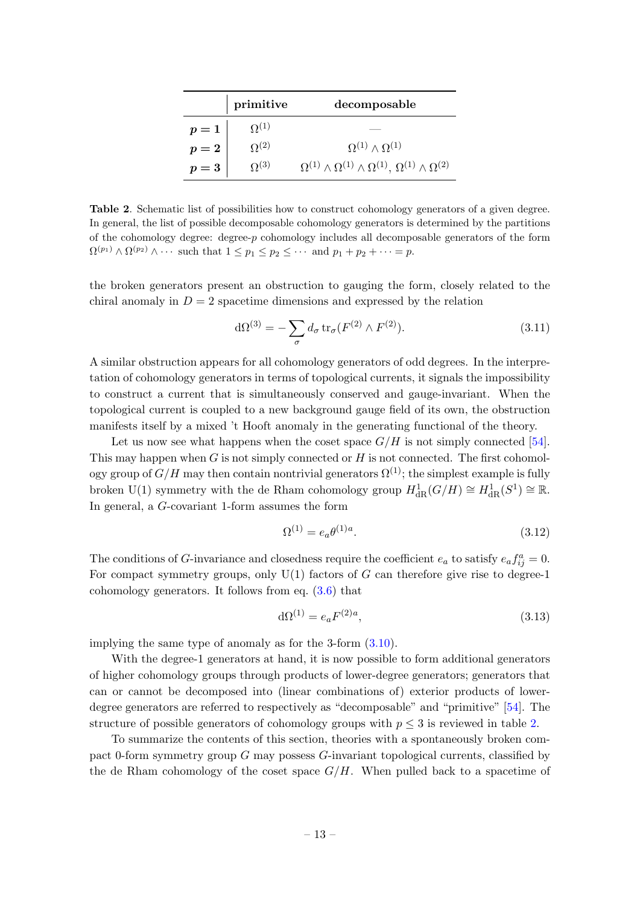|                                                                           | primitive      | decomposable                                                                        |
|---------------------------------------------------------------------------|----------------|-------------------------------------------------------------------------------------|
|                                                                           | $\Omega^{(1)}$ |                                                                                     |
| $\left\{ \begin{aligned} p &= 1 \ p &= 2 \ p &= 3 \end{aligned} \right\}$ | $\Omega^{(2)}$ | $\Omega^{(1)} \wedge \Omega^{(1)}$                                                  |
|                                                                           | $\Omega^{(3)}$ | $\Omega^{(1)}\wedge\Omega^{(1)}\wedge\Omega^{(1)},\,\Omega^{(1)}\wedge\Omega^{(2)}$ |

<span id="page-13-0"></span>Table 2. Schematic list of possibilities how to construct cohomology generators of a given degree. In general, the list of possible decomposable cohomology generators is determined by the partitions of the cohomology degree: degree-p cohomology includes all decomposable generators of the form  $\Omega^{(p_1)} \wedge \Omega^{(p_2)} \wedge \cdots$  such that  $1 \leq p_1 \leq p_2 \leq \cdots$  and  $p_1 + p_2 + \cdots = p$ .

the broken generators present an obstruction to gauging the form, closely related to the chiral anomaly in  $D = 2$  spacetime dimensions and expressed by the relation

$$
d\Omega^{(3)} = -\sum_{\sigma} d_{\sigma} \operatorname{tr}_{\sigma} (F^{(2)} \wedge F^{(2)}).
$$
 (3.11)

A similar obstruction appears for all cohomology generators of odd degrees. In the interpretation of cohomology generators in terms of topological currents, it signals the impossibility to construct a current that is simultaneously conserved and gauge-invariant. When the topological current is coupled to a new background gauge field of its own, the obstruction manifests itself by a mixed 't Hooft anomaly in the generating functional of the theory.

Let us now see what happens when the coset space  $G/H$  is not simply connected [\[54\]](#page-38-2). This may happen when  $G$  is not simply connected or  $H$  is not connected. The first cohomology group of  $G/H$  may then contain nontrivial generators  $\Omega^{(1)}$ ; the simplest example is fully broken U(1) symmetry with the de Rham cohomology group  $H^1_{\text{dR}}(G/H) \cong H^1_{\text{dR}}(S^1) \cong \mathbb{R}$ . In general, a G-covariant 1-form assumes the form

<span id="page-13-1"></span>
$$
\Omega^{(1)} = e_a \theta^{(1)a}.\tag{3.12}
$$

The conditions of G-invariance and closedness require the coefficient  $e_a$  to satisfy  $e_a f_{ij}^a = 0$ . For compact symmetry groups, only  $U(1)$  factors of G can therefore give rise to degree-1 cohomology generators. It follows from eq. [\(3.6\)](#page-12-0) that

$$
d\Omega^{(1)} = e_a F^{(2)a},\tag{3.13}
$$

implying the same type of anomaly as for the 3-form [\(3.10\)](#page-12-1).

With the degree-1 generators at hand, it is now possible to form additional generators of higher cohomology groups through products of lower-degree generators; generators that can or cannot be decomposed into (linear combinations of) exterior products of lowerdegree generators are referred to respectively as "decomposable" and "primitive" [\[54\]](#page-38-2). The structure of possible generators of cohomology groups with  $p \leq 3$  is reviewed in table [2.](#page-13-0)

To summarize the contents of this section, theories with a spontaneously broken compact 0-form symmetry group G may possess G-invariant topological currents, classified by the de Rham cohomology of the coset space  $G/H$ . When pulled back to a spacetime of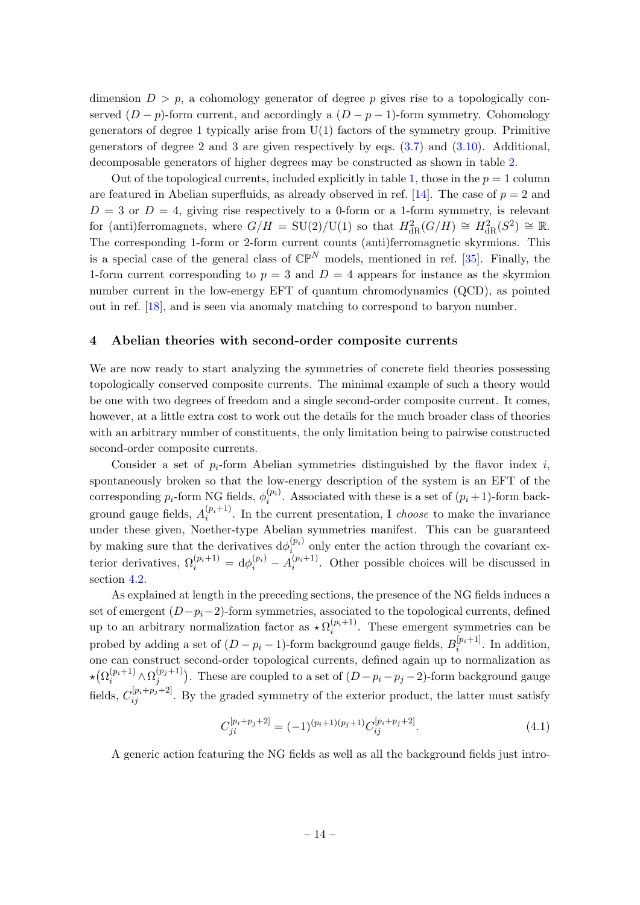dimension  $D > p$ , a cohomology generator of degree p gives rise to a topologically conserved  $(D - p)$ -form current, and accordingly a  $(D - p - 1)$ -form symmetry. Cohomology generators of degree 1 typically arise from  $U(1)$  factors of the symmetry group. Primitive generators of degree 2 and 3 are given respectively by eqs. [\(3.7\)](#page-12-2) and [\(3.10\)](#page-12-1). Additional, decomposable generators of higher degrees may be constructed as shown in table [2.](#page-13-0)

Out of the topological currents, included explicitly in table [1,](#page-11-1) those in the  $p = 1$  column are featured in Abelian superfluids, as already observed in ref. [\[14\]](#page-36-6). The case of  $p = 2$  and  $D = 3$  or  $D = 4$ , giving rise respectively to a 0-form or a 1-form symmetry, is relevant for (anti)ferromagnets, where  $G/H = SU(2)/U(1)$  so that  $H_{\text{dR}}^2(G/H) \cong H_{\text{dR}}^2(S^2) \cong \mathbb{R}$ . The corresponding 1-form or 2-form current counts (anti)ferromagnetic skyrmions. This is a special case of the general class of  $\mathbb{CP}^N$  models, mentioned in ref. [\[35\]](#page-37-5). Finally, the 1-form current corresponding to  $p = 3$  and  $D = 4$  appears for instance as the skyrmion number current in the low-energy EFT of quantum chromodynamics (QCD), as pointed out in ref. [\[18\]](#page-36-9), and is seen via anomaly matching to correspond to baryon number.

#### <span id="page-14-0"></span>4 Abelian theories with second-order composite currents

We are now ready to start analyzing the symmetries of concrete field theories possessing topologically conserved composite currents. The minimal example of such a theory would be one with two degrees of freedom and a single second-order composite current. It comes, however, at a little extra cost to work out the details for the much broader class of theories with an arbitrary number of constituents, the only limitation being to pairwise constructed second-order composite currents.

Consider a set of  $p_i$ -form Abelian symmetries distinguished by the flavor index i, spontaneously broken so that the low-energy description of the system is an EFT of the corresponding  $p_i$ -form NG fields,  $\phi_i^{(p_i)}$  $i^{(pi)}$ . Associated with these is a set of  $(p_i+1)$ -form background gauge fields,  $A_i^{(p_i+1)}$  $i^{(p_i+1)}$ . In the current presentation, I *choose* to make the invariance under these given, Noether-type Abelian symmetries manifest. This can be guaranteed by making sure that the derivatives  $d\phi_i^{(p_i)}$  $\sum_{i}^{(p_i)}$  only enter the action through the covariant exterior derivatives,  $\Omega_i^{(p_i+1)} = d\phi_i^{(p_i)} - A_i^{(p_i+1)}$  $i^{(p_i+1)}$ . Other possible choices will be discussed in section [4.2.](#page-17-0)

As explained at length in the preceding sections, the presence of the NG fields induces a set of emergent  $(D-p<sub>i</sub>-2)$ -form symmetries, associated to the topological currents, defined up to an arbitrary normalization factor as  $\star \Omega_i^{(p_i+1)}$  $i^{(pi+1)}$ . These emergent symmetries can be probed by adding a set of  $(D - p_i - 1)$ -form background gauge fields,  $B_i^{[p_i+1]}$  $i^{[pi+1]}$ . In addition, one can construct second-order topological currents, defined again up to normalization as  $\star \bigl( \Omega_{i}^{(p_i + 1)} \! \wedge \Omega_{j}^{(p_j + 1)}$  $j^{(p_j+1)}$ ). These are coupled to a set of  $(D-p_i-p_j-2)$ -form background gauge fields,  $C_{ij}^{[p_i+p_j+2]}$ . By the graded symmetry of the exterior product, the latter must satisfy

<span id="page-14-1"></span>
$$
C_{ji}^{[p_i+p_j+2]} = (-1)^{(p_i+1)(p_j+1)} C_{ij}^{[p_i+p_j+2]}.
$$
\n(4.1)

A generic action featuring the NG fields as well as all the background fields just intro-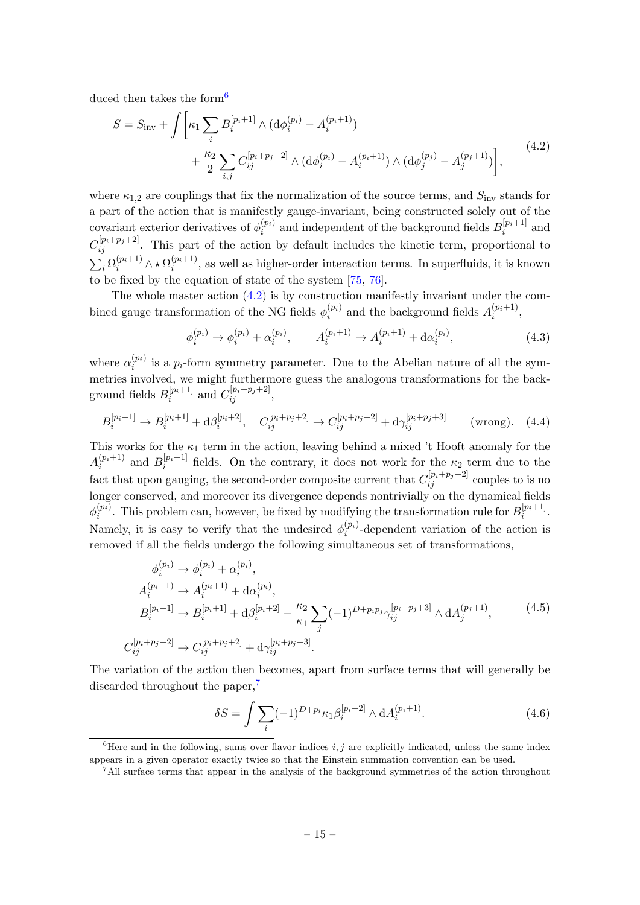duced then takes the form<sup>[6](#page-15-0)</sup>

<span id="page-15-1"></span>
$$
S = S_{\rm inv} + \int \left[ \kappa_1 \sum_i B_i^{[p_i+1]} \wedge (\mathrm{d}\phi_i^{(p_i)} - A_i^{(p_i+1)}) + \frac{\kappa_2}{2} \sum_{i,j} C_{ij}^{[p_i+p_j+2]} \wedge (\mathrm{d}\phi_i^{(p_i)} - A_i^{(p_i+1)}) \wedge (\mathrm{d}\phi_j^{(p_j)} - A_j^{(p_j+1)}) \right], \tag{4.2}
$$

where  $\kappa_{1,2}$  are couplings that fix the normalization of the source terms, and  $S_{\text{inv}}$  stands for a part of the action that is manifestly gauge-invariant, being constructed solely out of the covariant exterior derivatives of  $\phi_i^{(p_i)}$  $\boldsymbol{e}_i^{(p_i)}$  and independent of the background fields  $B_i^{[p_i+1]}$  $e_i^{[p_i+1]}$  and  $C_{ij}^{[p_i+p_j+2]}$ . This part of the action by default includes the kinetic term, proportional to  $\sum_i \Omega_i^{(p_i+1)} \wedge \star \Omega_i^{(p_i+1)}$  $i^{(p_i+1)}$ , as well as higher-order interaction terms. In superfluids, it is known to be fixed by the equation of state of the system [\[75,](#page-39-4) [76\]](#page-39-5).

The whole master action [\(4.2\)](#page-15-1) is by construction manifestly invariant under the combined gauge transformation of the NG fields  $\phi_i^{(p_i)}$  $\stackrel{(p_i)}{i}$  and the background fields  $A_i^{(p_i+1)}$  $\binom{p_i+1}{i},$ 

<span id="page-15-6"></span>
$$
\phi_i^{(p_i)} \to \phi_i^{(p_i)} + \alpha_i^{(p_i)}, \qquad A_i^{(p_i+1)} \to A_i^{(p_i+1)} + \mathrm{d}\alpha_i^{(p_i)},\tag{4.3}
$$

where  $\alpha_i^{(p_i)}$  $i^{(pi)}$  is a  $p_i$ -form symmetry parameter. Due to the Abelian nature of all the symmetries involved, we might furthermore guess the analogous transformations for the background fields  $B_i^{[p_i+1]}$  $_{i}^{[p_{i}+1]}$  and  $C_{ij}^{[p_{i}+p_{j}+2]},$ 

<span id="page-15-3"></span>
$$
B_i^{[p_i+1]} \to B_i^{[p_i+1]} + d\beta_i^{[p_i+2]}, \quad C_{ij}^{[p_i+p_j+2]} \to C_{ij}^{[p_i+p_j+2]} + d\gamma_{ij}^{[p_i+p_j+3]} \qquad \text{(wrong)}.\tag{4.4}
$$

This works for the  $\kappa_1$  term in the action, leaving behind a mixed 't Hooft anomaly for the  $A_i^{(p_i+1)}$  $_{i}^{(p_i+1)}$  and  $B_i^{[p_i+1]}$  $\mu_i^{[p_i+1]}$  fields. On the contrary, it does not work for the  $\kappa_2$  term due to the fact that upon gauging, the second-order composite current that  $C_{ij}^{[p_i+p_j+2]}$  couples to is no longer conserved, and moreover its divergence depends nontrivially on the dynamical fields  $\phi_i^{(p_i)}$  $i^{(p_i)}$ . This problem can, however, be fixed by modifying the transformation rule for  $B_i^{[p_i+1]}$  $\frac{p_i+1}{i}$ . Namely, it is easy to verify that the undesired  $\phi_i^{(p_i)}$  $i^{(p_i)}$ -dependent variation of the action is removed if all the fields undergo the following simultaneous set of transformations,

<span id="page-15-5"></span>
$$
\phi_i^{(p_i)} \to \phi_i^{(p_i)} + \alpha_i^{(p_i)},
$$
\n
$$
A_i^{(p_i+1)} \to A_i^{(p_i+1)} + \mathrm{d}\alpha_i^{(p_i)},
$$
\n
$$
B_i^{[p_i+1]} \to B_i^{[p_i+1]} + \mathrm{d}\beta_i^{[p_i+2]} - \frac{\kappa_2}{\kappa_1} \sum_j (-1)^{D+p_i p_j} \gamma_{ij}^{[p_i+p_j+3]} \wedge \mathrm{d}A_j^{(p_j+1)},
$$
\n
$$
C_{ij}^{[p_i+p_j+2]} \to C_{ij}^{[p_i+p_j+2]} + \mathrm{d}\gamma_{ij}^{[p_i+p_j+3]}.
$$
\n(4.5)

The variation of the action then becomes, apart from surface terms that will generally be discarded throughout the paper,<sup>[7](#page-15-2)</sup>

<span id="page-15-4"></span>
$$
\delta S = \int \sum_{i} (-1)^{D + p_i} \kappa_1 \beta_i^{[p_i + 2]} \wedge \mathrm{d}A_i^{(p_i + 1)}.
$$
 (4.6)

<span id="page-15-0"></span><sup>&</sup>lt;sup>6</sup>Here and in the following, sums over flavor indices i, j are explicitly indicated, unless the same index appears in a given operator exactly twice so that the Einstein summation convention can be used.

<span id="page-15-2"></span><sup>&</sup>lt;sup>7</sup>All surface terms that appear in the analysis of the background symmetries of the action throughout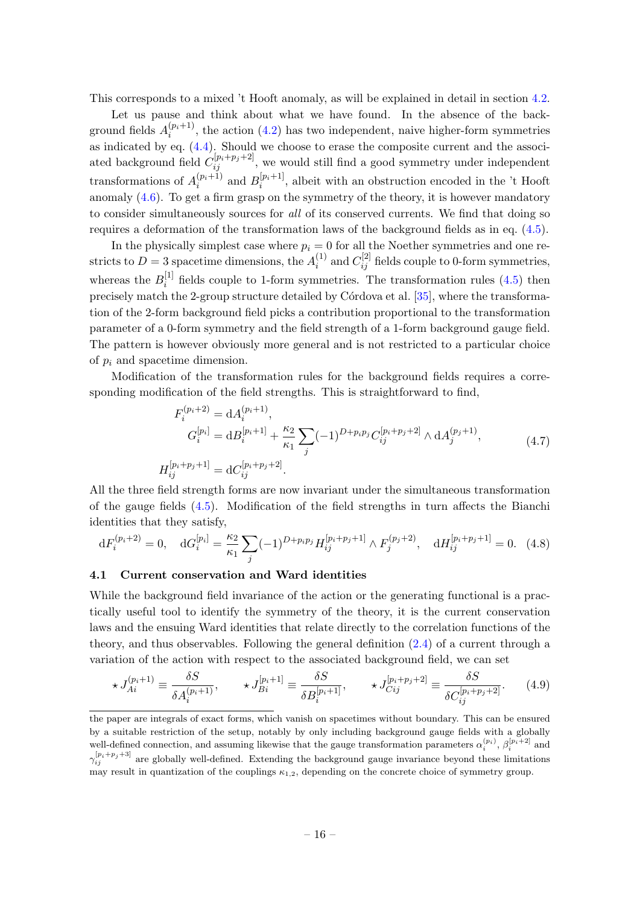This corresponds to a mixed 't Hooft anomaly, as will be explained in detail in section [4.2.](#page-17-0)

Let us pause and think about what we have found. In the absence of the background fields  $A_i^{(p_i+1)}$  $i^{(p_i+1)}$ , the action [\(4.2\)](#page-15-1) has two independent, naive higher-form symmetries as indicated by eq. [\(4.4\)](#page-15-3). Should we choose to erase the composite current and the associated background field  $C_{ij}^{[p_i+p_j+2]}$ , we would still find a good symmetry under independent transformations of  $A_i^{(p_i+1)}$  $_{i}^{(p_{i}+1)}$  and  $B_{i}^{[p_{i}+1]}$  $i^{[p_i+1]}$ , albeit with an obstruction encoded in the 't Hooft anomaly [\(4.6\)](#page-15-4). To get a firm grasp on the symmetry of the theory, it is however mandatory to consider simultaneously sources for all of its conserved currents. We find that doing so requires a deformation of the transformation laws of the background fields as in eq. [\(4.5\)](#page-15-5).

In the physically simplest case where  $p_i = 0$  for all the Noether symmetries and one restricts to  $D=3$  spacetime dimensions, the  $A_i^{(1)}$  $i^{(1)}_i$  and  $C^{[2]}_{ij}$  fields couple to 0-form symmetries, whereas the  $B_i^{[1]}$  $i<sup>[1]</sup>$  fields couple to 1-form symmetries. The transformation rules  $(4.5)$  then precisely match the 2-group structure detailed by Córdova et al.  $[35]$ , where the transformation of the 2-form background field picks a contribution proportional to the transformation parameter of a 0-form symmetry and the field strength of a 1-form background gauge field. The pattern is however obviously more general and is not restricted to a particular choice of  $p_i$  and spacetime dimension.

Modification of the transformation rules for the background fields requires a corresponding modification of the field strengths. This is straightforward to find,

$$
F_i^{(p_i+2)} = dA_i^{(p_i+1)},
$$
  
\n
$$
G_i^{[p_i]} = dB_i^{[p_i+1]} + \frac{\kappa_2}{\kappa_1} \sum_j (-1)^{D + p_i p_j} C_{ij}^{[p_i + p_j + 2]} \wedge dA_j^{(p_j+1)},
$$
  
\n
$$
H_{ij}^{[p_i + p_j + 1]} = dC_{ij}^{[p_i + p_j + 2]}.
$$
\n(4.7)

<span id="page-16-1"></span>All the three field strength forms are now invariant under the simultaneous transformation of the gauge fields [\(4.5\)](#page-15-5). Modification of the field strengths in turn affects the Bianchi identities that they satisfy,

$$
dF_i^{(p_i+2)} = 0, \quad dG_i^{[p_i]} = \frac{\kappa_2}{\kappa_1} \sum_j (-1)^{D + p_i p_j} H_{ij}^{[p_i + p_j + 1]} \wedge F_j^{(p_j + 2)}, \quad dH_{ij}^{[p_i + p_j + 1]} = 0. \tag{4.8}
$$

#### <span id="page-16-0"></span>4.1 Current conservation and Ward identities

While the background field invariance of the action or the generating functional is a practically useful tool to identify the symmetry of the theory, it is the current conservation laws and the ensuing Ward identities that relate directly to the correlation functions of the theory, and thus observables. Following the general definition [\(2.4\)](#page-9-1) of a current through a variation of the action with respect to the associated background field, we can set

<span id="page-16-2"></span>
$$
\star J_{Ai}^{(p_i+1)} \equiv \frac{\delta S}{\delta A_i^{(p_i+1)}}, \qquad \star J_{Bi}^{[p_i+1]} \equiv \frac{\delta S}{\delta B_i^{[p_i+1]}}, \qquad \star J_{Cij}^{[p_i+p_j+2]} \equiv \frac{\delta S}{\delta C_{ij}^{[p_i+p_j+2]}}.
$$
 (4.9)

the paper are integrals of exact forms, which vanish on spacetimes without boundary. This can be ensured by a suitable restriction of the setup, notably by only including background gauge fields with a globally well-defined connection, and assuming likewise that the gauge transformation parameters  $\alpha_i^{(p_i)}$ ,  $\beta_i^{[p_i+2]}$  and  $\gamma_{ij}^{[p_i+p_j+3]}$  are globally well-defined. Extending the background gauge invariance beyond these limitations may result in quantization of the couplings  $\kappa_{1,2}$ , depending on the concrete choice of symmetry group.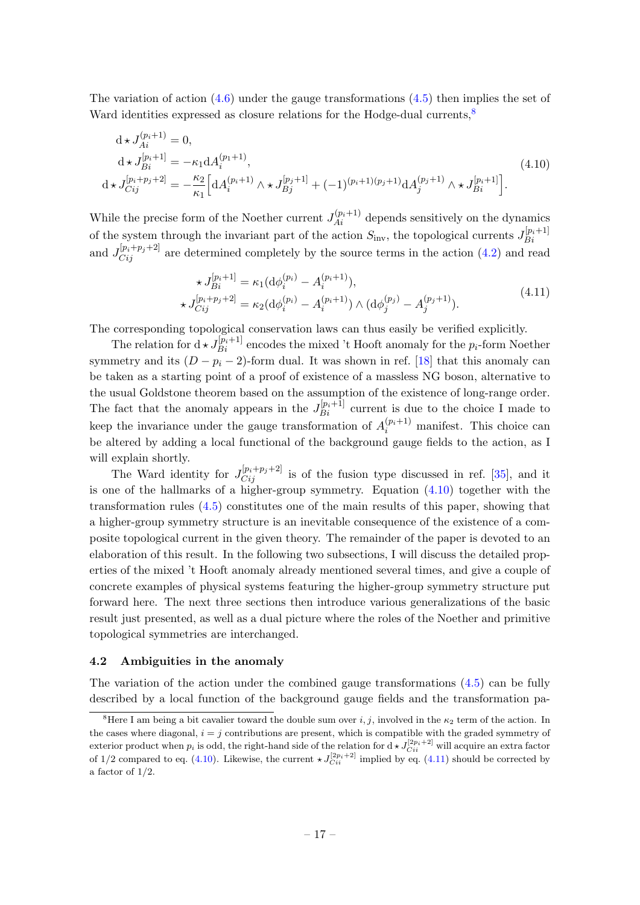The variation of action  $(4.6)$  under the gauge transformations  $(4.5)$  then implies the set of Ward identities expressed as closure relations for the Hodge-dual currents.<sup>[8](#page-17-1)</sup>

<span id="page-17-2"></span>
$$
d \star J_{Ai}^{(p_i+1)} = 0,
$$
  
\n
$$
d \star J_{Bi}^{[p_i+1]} = -\kappa_1 d A_i^{(p_1+1)},
$$
  
\n
$$
d \star J_{Cij}^{[p_i+p_j+2]} = -\frac{\kappa_2}{\kappa_1} \Big[ d A_i^{(p_i+1)} \wedge \star J_{Bj}^{[p_j+1]} + (-1)^{(p_i+1)(p_j+1)} d A_j^{(p_j+1)} \wedge \star J_{Bi}^{[p_i+1]} \Big].
$$
\n(4.10)

While the precise form of the Noether current  $J_{Ai}^{(p_i+1)}$  depends sensitively on the dynamics of the system through the invariant part of the action  $S_{\text{inv}}$ , the topological currents  $J_{Bi}^{[p_i+1]}$ Bi and  $J_{Cij}^{[p_i+p_j+2]}$  are determined completely by the source terms in the action [\(4.2\)](#page-15-1) and read

$$
\star J_{Bi}^{[p_i+1]} = \kappa_1 (\mathrm{d}\phi_i^{(p_i)} - A_i^{(p_i+1)}), \n\star J_{Cij}^{[p_i+p_j+2]} = \kappa_2 (\mathrm{d}\phi_i^{(p_i)} - A_i^{(p_i+1)}) \wedge (\mathrm{d}\phi_j^{(p_j)} - A_j^{(p_j+1)}).
$$
\n(4.11)

<span id="page-17-3"></span>The corresponding topological conservation laws can thus easily be verified explicitly.

The relation for  $d \star J_{Bi}^{[p_i+1]}$  encodes the mixed 't Hooft anomaly for the  $p_i$ -form Noether symmetry and its  $(D - p_i - 2)$ -form dual. It was shown in ref. [\[18\]](#page-36-9) that this anomaly can be taken as a starting point of a proof of existence of a massless NG boson, alternative to the usual Goldstone theorem based on the assumption of the existence of long-range order. The fact that the anomaly appears in the  $J_{Bi}^{[p_i+1]}$  current is due to the choice I made to keep the invariance under the gauge transformation of  $A_i^{(p_i+1)}$  manifest. This choice can be altered by adding a local functional of the background gauge fields to the action, as I will explain shortly.

The Ward identity for  $J_{Cij}^{[p_i+p_j+2]}$  is of the fusion type discussed in ref. [\[35\]](#page-37-5), and it is one of the hallmarks of a higher-group symmetry. Equation [\(4.10\)](#page-17-2) together with the transformation rules [\(4.5\)](#page-15-5) constitutes one of the main results of this paper, showing that a higher-group symmetry structure is an inevitable consequence of the existence of a composite topological current in the given theory. The remainder of the paper is devoted to an elaboration of this result. In the following two subsections, I will discuss the detailed properties of the mixed 't Hooft anomaly already mentioned several times, and give a couple of concrete examples of physical systems featuring the higher-group symmetry structure put forward here. The next three sections then introduce various generalizations of the basic result just presented, as well as a dual picture where the roles of the Noether and primitive topological symmetries are interchanged.

#### <span id="page-17-0"></span>4.2 Ambiguities in the anomaly

The variation of the action under the combined gauge transformations [\(4.5\)](#page-15-5) can be fully described by a local function of the background gauge fields and the transformation pa-

<span id="page-17-1"></span><sup>&</sup>lt;sup>8</sup>Here I am being a bit cavalier toward the double sum over i, j, involved in the  $\kappa_2$  term of the action. In the cases where diagonal,  $i = j$  contributions are present, which is compatible with the graded symmetry of exterior product when  $p_i$  is odd, the right-hand side of the relation for  $d \star J_{Ci}^{[2p_i+2]}$  will acquire an extra factor of 1/2 compared to eq. [\(4.10\)](#page-17-2). Likewise, the current  $\star J_{Ci}^{[2p_i+2]}$  implied by eq. [\(4.11\)](#page-17-3) should be corrected by a factor of  $1/2$ .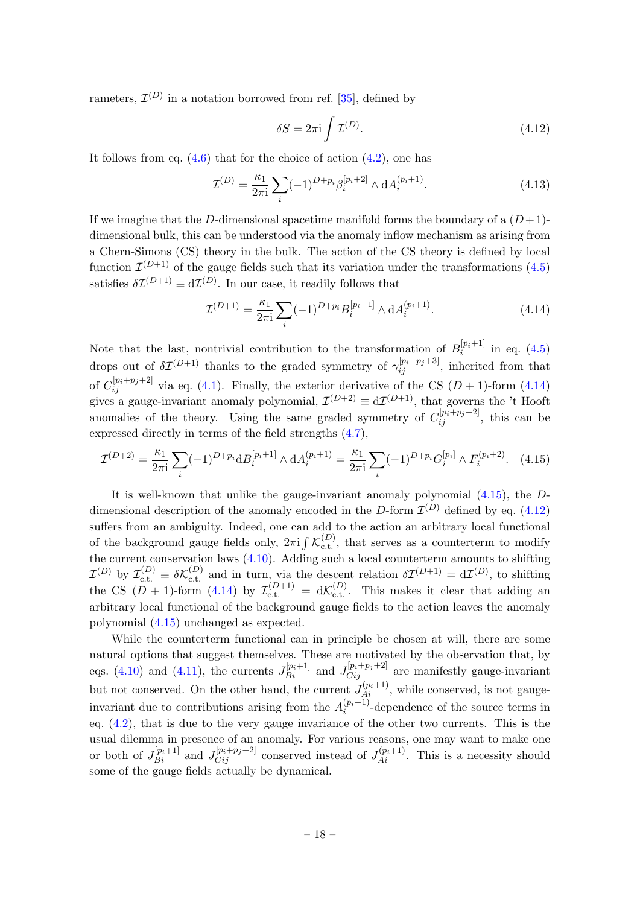rameters,  $\mathcal{I}^{(D)}$  in a notation borrowed from ref. [\[35\]](#page-37-5), defined by

<span id="page-18-2"></span>
$$
\delta S = 2\pi i \int \mathcal{I}^{(D)}.\tag{4.12}
$$

It follows from eq.  $(4.6)$  that for the choice of action  $(4.2)$ , one has

<span id="page-18-3"></span>
$$
\mathcal{I}^{(D)} = \frac{\kappa_1}{2\pi i} \sum_{i} (-1)^{D + p_i} \beta_i^{[p_i + 2]} \wedge \mathrm{d}A_i^{(p_i + 1)}.
$$
\n(4.13)

If we imagine that the D-dimensional spacetime manifold forms the boundary of a  $(D+1)$ dimensional bulk, this can be understood via the anomaly inflow mechanism as arising from a Chern-Simons (CS) theory in the bulk. The action of the CS theory is defined by local function  $\mathcal{I}^{(D+1)}$  of the gauge fields such that its variation under the transformations [\(4.5\)](#page-15-5) satisfies  $\delta \mathcal{I}^{(D+1)} \equiv d\mathcal{I}^{(D)}$ . In our case, it readily follows that

<span id="page-18-0"></span>
$$
\mathcal{I}^{(D+1)} = \frac{\kappa_1}{2\pi i} \sum_{i} (-1)^{D+p_i} B_i^{[p_i+1]} \wedge \mathrm{d}A_i^{(p_i+1)}.
$$
 (4.14)

Note that the last, nontrivial contribution to the transformation of  $B_i^{[p_i+1]}$  $i^{[pi+1]}$  in eq. [\(4.5\)](#page-15-5) drops out of  $\delta \mathcal{I}^{(D+1)}$  thanks to the graded symmetry of  $\gamma_{ij}^{[p_i+p_j+3]}$ , inherited from that of  $C_{ij}^{[p_i+p_j+2]}$  via eq. [\(4.1\)](#page-14-1). Finally, the exterior derivative of the CS  $(D+1)$ -form [\(4.14\)](#page-18-0) gives a gauge-invariant anomaly polynomial,  $\mathcal{I}^{(D+2)} \equiv d\mathcal{I}^{(D+1)}$ , that governs the 't Hooft anomalies of the theory. Using the same graded symmetry of  $C_{ij}^{[p_i+p_j+2]}$ , this can be expressed directly in terms of the field strengths [\(4.7\)](#page-16-1),

<span id="page-18-1"></span>
$$
\mathcal{I}^{(D+2)} = \frac{\kappa_1}{2\pi i} \sum_i (-1)^{D+p_i} d B_i^{[p_i+1]} \wedge d A_i^{(p_i+1)} = \frac{\kappa_1}{2\pi i} \sum_i (-1)^{D+p_i} G_i^{[p_i]} \wedge F_i^{(p_i+2)}.
$$
 (4.15)

It is well-known that unlike the gauge-invariant anomaly polynomial [\(4.15\)](#page-18-1), the Ddimensional description of the anomaly encoded in the D-form  $\mathcal{I}^{(D)}$  defined by eq. [\(4.12\)](#page-18-2) suffers from an ambiguity. Indeed, one can add to the action an arbitrary local functional of the background gauge fields only,  $2\pi i \int \mathcal{K}_{c.t.}^{(D)}$ , that serves as a counterterm to modify the current conservation laws [\(4.10\)](#page-17-2). Adding such a local counterterm amounts to shifting  $\mathcal{I}^{(D)}$  by  $\mathcal{I}_{\text{c.t.}}^{(D)} \equiv \delta \mathcal{K}_{\text{c.t.}}^{(D)}$  and in turn, via the descent relation  $\delta \mathcal{I}^{(D+1)} = d\mathcal{I}^{(D)}$ , to shifting the CS  $(D + 1)$ -form  $(4.14)$  by  $\mathcal{I}_{c.t.}^{(D+1)} = d\mathcal{K}_{c.t.}^{(D)}$ . This makes it clear that adding an arbitrary local functional of the background gauge fields to the action leaves the anomaly polynomial [\(4.15\)](#page-18-1) unchanged as expected.

While the counterterm functional can in principle be chosen at will, there are some natural options that suggest themselves. These are motivated by the observation that, by eqs. [\(4.10\)](#page-17-2) and [\(4.11\)](#page-17-3), the currents  $J_{Bi}^{[p_i+1]}$  and  $J_{Cij}^{[p_i+p_j+2]}$  are manifestly gauge-invariant but not conserved. On the other hand, the current  $J_{Ai}^{(p_i+1)}$ , while conserved, is not gaugeinvariant due to contributions arising from the  $A_i^{(p_i+1)}$  $i^{(p_i+1)}$ -dependence of the source terms in eq.  $(4.2)$ , that is due to the very gauge invariance of the other two currents. This is the usual dilemma in presence of an anomaly. For various reasons, one may want to make one or both of  $J_{Bi}^{[p_i+1]}$  and  $J_{Cij}^{[p_i+p_j+2]}$  conserved instead of  $J_{Ai}^{(p_i+1)}$ . This is a necessity should some of the gauge fields actually be dynamical.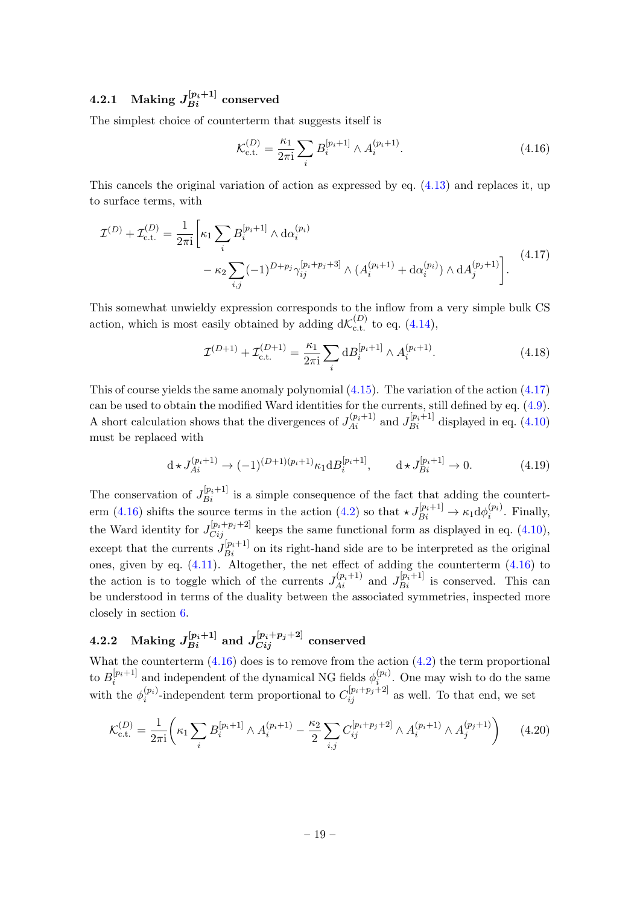## <span id="page-19-0"></span> $\mathrm{4.2.1\quad Making\ }J_{Bi}^{[p_i+1]}\ \mathrm{conserved}$

The simplest choice of counterterm that suggests itself is

<span id="page-19-3"></span>
$$
\mathcal{K}_{\text{c.t.}}^{(D)} = \frac{\kappa_1}{2\pi i} \sum_{i} B_i^{[p_i+1]} \wedge A_i^{(p_i+1)}.
$$
\n(4.16)

This cancels the original variation of action as expressed by eq. [\(4.13\)](#page-18-3) and replaces it, up to surface terms, with

<span id="page-19-2"></span>
$$
\mathcal{I}^{(D)} + \mathcal{I}_{\text{c.t.}}^{(D)} = \frac{1}{2\pi i} \bigg[ \kappa_1 \sum_i B_i^{[p_i+1]} \wedge \text{d}\alpha_i^{(p_i)} - \kappa_2 \sum_{i,j} (-1)^{D+p_j} \gamma_{ij}^{[p_i+p_j+3]} \wedge (A_i^{(p_i+1)} + \text{d}\alpha_i^{(p_i)}) \wedge \text{d}A_j^{(p_j+1)} \bigg]. \tag{4.17}
$$

This somewhat unwieldy expression corresponds to the inflow from a very simple bulk CS action, which is most easily obtained by adding  $d\mathcal{K}_{\text{c.t.}}^{(D)}$  to eq. [\(4.14\)](#page-18-0),

$$
\mathcal{I}^{(D+1)} + \mathcal{I}_{\text{c.t.}}^{(D+1)} = \frac{\kappa_1}{2\pi i} \sum_i \mathrm{d}B_i^{[p_i+1]} \wedge A_i^{(p_i+1)}.
$$
\n(4.18)

This of course yields the same anomaly polynomial  $(4.15)$ . The variation of the action  $(4.17)$ can be used to obtain the modified Ward identities for the currents, still defined by eq. [\(4.9\)](#page-16-2). A short calculation shows that the divergences of  $J_{Ai}^{(p_i+1)}$  and  $J_{Bi}^{[p_i+1]}$  displayed in eq. [\(4.10\)](#page-17-2) must be replaced with

$$
d \star J_{Ai}^{(p_i+1)} \to (-1)^{(D+1)(p_i+1)} \kappa_1 dB_i^{[p_i+1]}, \qquad d \star J_{Bi}^{[p_i+1]} \to 0.
$$
 (4.19)

The conservation of  $J_{Bi}^{[p_i+1]}$  is a simple consequence of the fact that adding the countert-erm [\(4.16\)](#page-19-3) shifts the source terms in the action [\(4.2\)](#page-15-1) so that  $\star J_{Bi}^{[p_i+1]} \to \kappa_1 d\phi_i^{(p_i)}$  $i^{(pi)}$ . Finally, the Ward identity for  $J_{Cij}^{[p_i+p_j+2]}$  keeps the same functional form as displayed in eq. [\(4.10\)](#page-17-2), except that the currents  $J_{Bi}^{[p_i+1]}$  on its right-hand side are to be interpreted as the original ones, given by eq. [\(4.11\)](#page-17-3). Altogether, the net effect of adding the counterterm [\(4.16\)](#page-19-3) to the action is to toggle which of the currents  $J_{Ai}^{(p_i+1)}$  and  $J_{Bi}^{[p_i+1]}$  is conserved. This can be understood in terms of the duality between the associated symmetries, inspected more closely in section [6.](#page-27-0)

## <span id="page-19-1"></span> $4.2.2 \quad \mathrm{Making}\ J_{Bi}^{[p_i+1]}\ \mathrm{and}\ J_{Cij}^{[p_i+p_j+2]}\ \mathrm{conserved}$

What the counterterm  $(4.16)$  does is to remove from the action  $(4.2)$  the term proportional to  $B_i^{[p_i+1]}$  ${}^{[p_i+1]}_{i}$  and independent of the dynamical NG fields  $\phi_i^{(p_i)}$  $i^{(pi)}$ . One may wish to do the same with the  $\phi_i^{(p_i)}$  $\binom{(p_i)}{i}$ -independent term proportional to  $C_{ij}^{[p_i+p_j+2]}$  as well. To that end, we set

$$
\mathcal{K}_{\text{c.t.}}^{(D)} = \frac{1}{2\pi i} \left( \kappa_1 \sum_i B_i^{[p_i+1]} \wedge A_i^{(p_i+1)} - \frac{\kappa_2}{2} \sum_{i,j} C_{ij}^{[p_i+p_j+2]} \wedge A_i^{(p_i+1)} \wedge A_j^{(p_j+1)} \right) \tag{4.20}
$$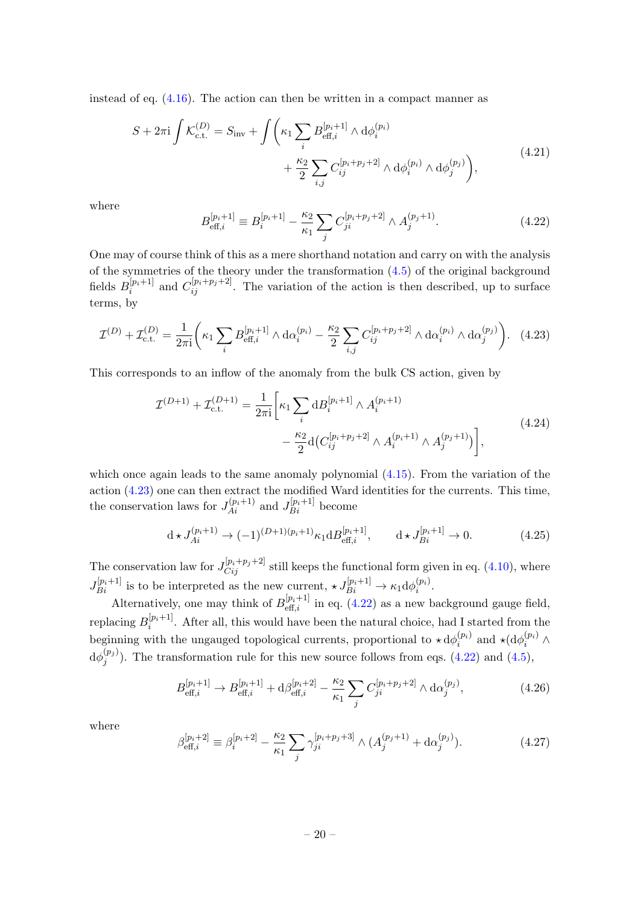instead of eq. [\(4.16\)](#page-19-3). The action can then be written in a compact manner as

<span id="page-20-2"></span>
$$
S + 2\pi i \int \mathcal{K}_{c.t.}^{(D)} = S_{inv} + \int \left( \kappa_1 \sum_i B_{eff,i}^{[p_i+1]} \wedge d\phi_i^{(p_i)} + \frac{\kappa_2}{2} \sum_{i,j} C_{ij}^{[p_i+p_j+2]} \wedge d\phi_i^{(p_i)} \wedge d\phi_j^{(p_j)} \right),
$$
\n(4.21)

where

<span id="page-20-1"></span>
$$
B_{\text{eff},i}^{[p_i+1]} \equiv B_i^{[p_i+1]} - \frac{\kappa_2}{\kappa_1} \sum_j C_{ji}^{[p_i+p_j+2]} \wedge A_j^{(p_j+1)}.
$$
 (4.22)

One may of course think of this as a mere shorthand notation and carry on with the analysis of the symmetries of the theory under the transformation [\(4.5\)](#page-15-5) of the original background fields  $B_i^{[p_i+1]}$  $\binom{[p_i+1]}{i}$  and  $C_{ij}^{[p_i+p_j+2]}$ . The variation of the action is then described, up to surface terms, by

<span id="page-20-0"></span>
$$
\mathcal{I}^{(D)} + \mathcal{I}_{\text{c.t.}}^{(D)} = \frac{1}{2\pi i} \left( \kappa_1 \sum_i B_{\text{eff},i}^{[p_i+1]} \wedge \mathrm{d}\alpha_i^{(p_i)} - \frac{\kappa_2}{2} \sum_{i,j} C_{ij}^{[p_i+p_j+2]} \wedge \mathrm{d}\alpha_i^{(p_i)} \wedge \mathrm{d}\alpha_j^{(p_j)} \right). \tag{4.23}
$$

<span id="page-20-4"></span>This corresponds to an inflow of the anomaly from the bulk CS action, given by

$$
\mathcal{I}^{(D+1)} + \mathcal{I}_{\text{c.t.}}^{(D+1)} = \frac{1}{2\pi i} \bigg[ \kappa_1 \sum_i \mathrm{d}B_i^{[p_i+1]} \wedge A_i^{(p_i+1)} - \frac{\kappa_2}{2} \mathrm{d} \big( C_{ij}^{[p_i+p_j+2]} \wedge A_i^{(p_i+1)} \wedge A_j^{(p_j+1)} \big) \bigg], \tag{4.24}
$$

which once again leads to the same anomaly polynomial [\(4.15\)](#page-18-1). From the variation of the action [\(4.23\)](#page-20-0) one can then extract the modified Ward identities for the currents. This time, the conservation laws for  $J_{Ai}^{(p_i+1)}$  and  $J_{Bi}^{[p_i+1]}$  become

$$
d \star J_{Ai}^{(p_i+1)} \to (-1)^{(D+1)(p_i+1)} \kappa_1 dB_{eff,i}^{[p_i+1]}, \qquad d \star J_{Bi}^{[p_i+1]} \to 0.
$$
 (4.25)

The conservation law for  $J_{Cij}^{[p_i+p_j+2]}$  still keeps the functional form given in eq. [\(4.10\)](#page-17-2), where  $J_{Bi}^{[p_i+1]}$  is to be interpreted as the new current,  $\star J_{Bi}^{[p_i+1]} \to \kappa_1 d\phi_i^{(p_i)}$  $i^{(p_i)}$ .

Alternatively, one may think of  $B_{\text{eff},i}^{[p_i+1]}$  in eq. [\(4.22\)](#page-20-1) as a new background gauge field, replacing  $B_i^{[p_i+1]}$  $i^{[p_i+1]}$ . After all, this would have been the natural choice, had I started from the beginning with the ungauged topological currents, proportional to  $\star d\phi_i^{(p_i)}$  $i^{(p_i)}$  and  $\star (\mathrm{d}\phi_i^{(p_i)} \wedge$  $\mathrm d\phi_i^{(p_j)}$  $j^{(p_j)}$ ). The transformation rule for this new source follows from eqs. [\(4.22\)](#page-20-1) and [\(4.5\)](#page-15-5),

<span id="page-20-3"></span>
$$
B_{\text{eff},i}^{[p_i+1]} \to B_{\text{eff},i}^{[p_i+1]} + \mathrm{d}\beta_{\text{eff},i}^{[p_i+2]} - \frac{\kappa_2}{\kappa_1} \sum_j C_{ji}^{[p_i+p_j+2]} \wedge \mathrm{d}\alpha_j^{(p_j)},\tag{4.26}
$$

where

$$
\beta_{\text{eff},i}^{[p_i+2]} \equiv \beta_i^{[p_i+2]} - \frac{\kappa_2}{\kappa_1} \sum_j \gamma_{ji}^{[p_i+p_j+3]} \wedge (A_j^{(p_j+1)} + \text{d}\alpha_j^{(p_j)}).
$$
(4.27)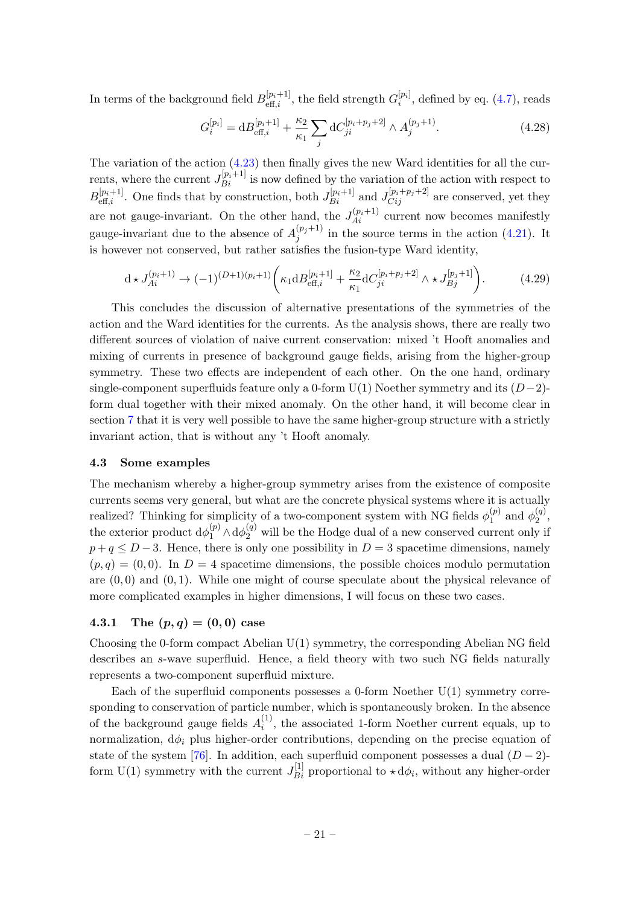In terms of the background field  $B_{\text{eff},i}^{[p_i+1]}$ , the field strength  $G_i^{[p_i]}$  $i^{[pi]}$ , defined by eq.  $(4.7)$ , reads

$$
G_i^{[p_i]} = \mathrm{d}B_{\mathrm{eff},i}^{[p_i+1]} + \frac{\kappa_2}{\kappa_1} \sum_j \mathrm{d}C_{ji}^{[p_i+p_j+2]} \wedge A_j^{(p_j+1)}.\tag{4.28}
$$

The variation of the action  $(4.23)$  then finally gives the new Ward identities for all the currents, where the current  $J_{Bi}^{[p_i+1]}$  is now defined by the variation of the action with respect to  $B_{\text{eff},i}^{[p_i+1]}$ . One finds that by construction, both  $J_{Bi}^{[p_i+1]}$  and  $J_{Cij}^{[p_i+p_j+2]}$  are conserved, yet they are not gauge-invariant. On the other hand, the  $J_{Ai}^{(p_i+1)}$  current now becomes manifestly gauge-invariant due to the absence of  $A_i^{(p_j+1)}$  $j^{(\nu_j+1)}$  in the source terms in the action [\(4.21\)](#page-20-2). It is however not conserved, but rather satisfies the fusion-type Ward identity,

$$
d \star J_{Ai}^{(p_i+1)} \to (-1)^{(D+1)(p_i+1)} \left( \kappa_1 d B_{\text{eff},i}^{[p_i+1]} + \frac{\kappa_2}{\kappa_1} d C_{ji}^{[p_i+p_j+2]} \wedge \star J_{Bj}^{[p_j+1]} \right). \tag{4.29}
$$

This concludes the discussion of alternative presentations of the symmetries of the action and the Ward identities for the currents. As the analysis shows, there are really two different sources of violation of naive current conservation: mixed 't Hooft anomalies and mixing of currents in presence of background gauge fields, arising from the higher-group symmetry. These two effects are independent of each other. On the one hand, ordinary single-component superfluids feature only a 0-form  $U(1)$  Noether symmetry and its  $(D-2)$ form dual together with their mixed anomaly. On the other hand, it will become clear in section [7](#page-31-0) that it is very well possible to have the same higher-group structure with a strictly invariant action, that is without any 't Hooft anomaly.

#### <span id="page-21-0"></span>4.3 Some examples

The mechanism whereby a higher-group symmetry arises from the existence of composite currents seems very general, but what are the concrete physical systems where it is actually realized? Thinking for simplicity of a two-component system with NG fields  $\phi_1^{(p)}$  $y_1^{(p)}$  and  $\phi_2^{(q)}$  $\frac{(q)}{2},$ the exterior product  $d\phi_1^{(p)} \wedge d\phi_2^{(q)}$  will be the Hodge dual of a new conserved current only if  $p+q \leq D-3$ . Hence, there is only one possibility in  $D=3$  spacetime dimensions, namely  $(p, q) = (0, 0)$ . In  $D = 4$  spacetime dimensions, the possible choices modulo permutation are  $(0,0)$  and  $(0,1)$ . While one might of course speculate about the physical relevance of more complicated examples in higher dimensions, I will focus on these two cases.

### <span id="page-21-1"></span>4.3.1 The  $(p, q) = (0, 0)$  case

Choosing the 0-form compact Abelian U(1) symmetry, the corresponding Abelian NG field describes an s-wave superfluid. Hence, a field theory with two such NG fields naturally represents a two-component superfluid mixture.

Each of the superfluid components possesses a 0-form Noether  $U(1)$  symmetry corresponding to conservation of particle number, which is spontaneously broken. In the absence of the background gauge fields  $A_i^{(1)}$  $i_j^{(1)}$ , the associated 1-form Noether current equals, up to normalization,  $d\phi_i$  plus higher-order contributions, depending on the precise equation of state of the system [\[76\]](#page-39-5). In addition, each superfluid component possesses a dual  $(D-2)$ form U(1) symmetry with the current  $J_{Bi}^{[1]}$  proportional to  $\star d\phi_i$ , without any higher-order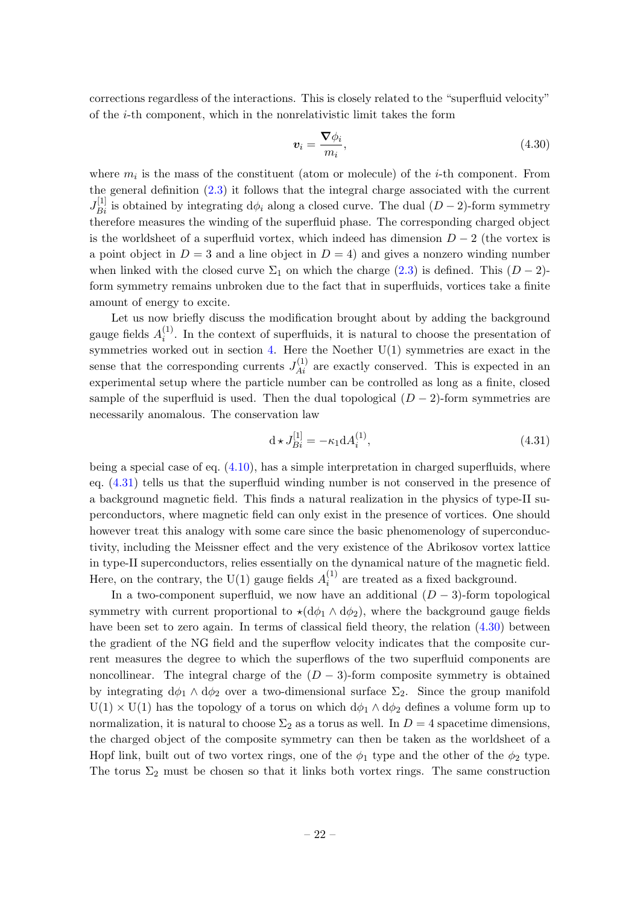corrections regardless of the interactions. This is closely related to the "superfluid velocity" of the i-th component, which in the nonrelativistic limit takes the form

<span id="page-22-1"></span>
$$
\boldsymbol{v}_i = \frac{\boldsymbol{\nabla} \phi_i}{m_i},\tag{4.30}
$$

where  $m_i$  is the mass of the constituent (atom or molecule) of the *i*-th component. From the general definition [\(2.3\)](#page-6-4) it follows that the integral charge associated with the current  $J_{Bi}^{[1]}$  is obtained by integrating  $d\phi_i$  along a closed curve. The dual  $(D-2)$ -form symmetry therefore measures the winding of the superfluid phase. The corresponding charged object is the worldsheet of a superfluid vortex, which indeed has dimension  $D-2$  (the vortex is a point object in  $D = 3$  and a line object in  $D = 4$ ) and gives a nonzero winding number when linked with the closed curve  $\Sigma_1$  on which the charge [\(2.3\)](#page-6-4) is defined. This  $(D-2)$ form symmetry remains unbroken due to the fact that in superfluids, vortices take a finite amount of energy to excite.

Let us now briefly discuss the modification brought about by adding the background gauge fields  $A_i^{(1)}$  $i<sup>(1)</sup>$ . In the context of superfluids, it is natural to choose the presentation of symmetries worked out in section [4.](#page-14-0) Here the Noether  $U(1)$  symmetries are exact in the sense that the corresponding currents  $J_{Ai}^{(1)}$  are exactly conserved. This is expected in an experimental setup where the particle number can be controlled as long as a finite, closed sample of the superfluid is used. Then the dual topological  $(D-2)$ -form symmetries are necessarily anomalous. The conservation law

<span id="page-22-0"></span>
$$
d \star J_{Bi}^{[1]} = -\kappa_1 d A_i^{(1)}, \tag{4.31}
$$

being a special case of eq.  $(4.10)$ , has a simple interpretation in charged superfluids, where eq. [\(4.31\)](#page-22-0) tells us that the superfluid winding number is not conserved in the presence of a background magnetic field. This finds a natural realization in the physics of type-II superconductors, where magnetic field can only exist in the presence of vortices. One should however treat this analogy with some care since the basic phenomenology of superconductivity, including the Meissner effect and the very existence of the Abrikosov vortex lattice in type-II superconductors, relies essentially on the dynamical nature of the magnetic field. Here, on the contrary, the U(1) gauge fields  $A_i^{(1)}$  $i_i^{(1)}$  are treated as a fixed background.

In a two-component superfluid, we now have an additional  $(D-3)$ -form topological symmetry with current proportional to  $\star(d\phi_1 \wedge d\phi_2)$ , where the background gauge fields have been set to zero again. In terms of classical field theory, the relation  $(4.30)$  between the gradient of the NG field and the superflow velocity indicates that the composite current measures the degree to which the superflows of the two superfluid components are noncollinear. The integral charge of the  $(D-3)$ -form composite symmetry is obtained by integrating  $d\phi_1 \wedge d\phi_2$  over a two-dimensional surface  $\Sigma_2$ . Since the group manifold  $U(1) \times U(1)$  has the topology of a torus on which  $d\phi_1 \wedge d\phi_2$  defines a volume form up to normalization, it is natural to choose  $\Sigma_2$  as a torus as well. In  $D=4$  spacetime dimensions, the charged object of the composite symmetry can then be taken as the worldsheet of a Hopf link, built out of two vortex rings, one of the  $\phi_1$  type and the other of the  $\phi_2$  type. The torus  $\Sigma_2$  must be chosen so that it links both vortex rings. The same construction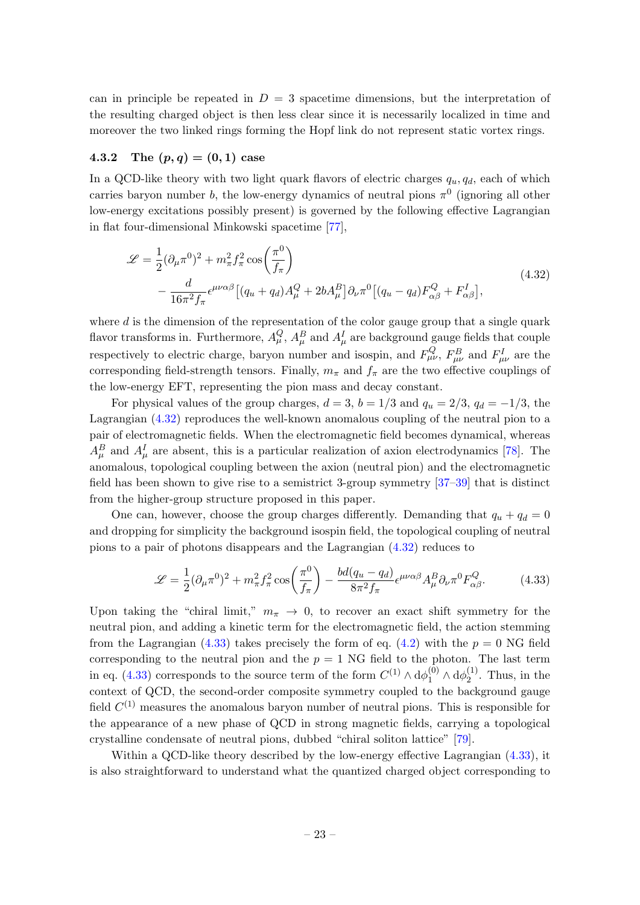can in principle be repeated in  $D = 3$  spacetime dimensions, but the interpretation of the resulting charged object is then less clear since it is necessarily localized in time and moreover the two linked rings forming the Hopf link do not represent static vortex rings.

### <span id="page-23-0"></span>4.3.2 The  $(p, q) = (0, 1)$  case

In a QCD-like theory with two light quark flavors of electric charges  $q_u, q_d$ , each of which carries baryon number b, the low-energy dynamics of neutral pions  $\pi^0$  (ignoring all other low-energy excitations possibly present) is governed by the following effective Lagrangian in flat four-dimensional Minkowski spacetime [\[77\]](#page-39-6),

<span id="page-23-1"></span>
$$
\mathcal{L} = \frac{1}{2} (\partial_{\mu} \pi^0)^2 + m_{\pi}^2 f_{\pi}^2 \cos\left(\frac{\pi^0}{f_{\pi}}\right)
$$
  
 
$$
- \frac{d}{16\pi^2 f_{\pi}} \epsilon^{\mu\nu\alpha\beta} \left[ (q_u + q_d) A_{\mu}^Q + 2b A_{\mu}^B \right] \partial_{\nu} \pi^0 \left[ (q_u - q_d) F_{\alpha\beta}^Q + F_{\alpha\beta}^I \right],
$$
(4.32)

where  $d$  is the dimension of the representation of the color gauge group that a single quark flavor transforms in. Furthermore,  $A_\mu^Q$ ,  $A_\mu^B$  and  $A_\mu^I$  are background gauge fields that couple respectively to electric charge, baryon number and isospin, and  $F_{\mu\nu}^{Q}$ ,  $F_{\mu\nu}^{B}$  and  $F_{\mu\nu}^{I}$  are the corresponding field-strength tensors. Finally,  $m_{\pi}$  and  $f_{\pi}$  are the two effective couplings of the low-energy EFT, representing the pion mass and decay constant.

For physical values of the group charges,  $d = 3$ ,  $b = 1/3$  and  $q_u = 2/3$ ,  $q_d = -1/3$ , the Lagrangian [\(4.32\)](#page-23-1) reproduces the well-known anomalous coupling of the neutral pion to a pair of electromagnetic fields. When the electromagnetic field becomes dynamical, whereas  $A^B_\mu$  and  $A^I_\mu$  are absent, this is a particular realization of axion electrodynamics [\[78\]](#page-39-7). The anomalous, topological coupling between the axion (neutral pion) and the electromagnetic field has been shown to give rise to a semistrict 3-group symmetry [\[37–](#page-37-7)[39\]](#page-37-9) that is distinct from the higher-group structure proposed in this paper.

One can, however, choose the group charges differently. Demanding that  $q_u + q_d = 0$ and dropping for simplicity the background isospin field, the topological coupling of neutral pions to a pair of photons disappears and the Lagrangian [\(4.32\)](#page-23-1) reduces to

<span id="page-23-2"></span>
$$
\mathcal{L} = \frac{1}{2} (\partial_{\mu} \pi^0)^2 + m_{\pi}^2 f_{\pi}^2 \cos\left(\frac{\pi^0}{f_{\pi}}\right) - \frac{bd(q_u - q_d)}{8\pi^2 f_{\pi}} \epsilon^{\mu\nu\alpha\beta} A_{\mu}^B \partial_{\nu} \pi^0 F_{\alpha\beta}^Q. \tag{4.33}
$$

Upon taking the "chiral limit,"  $m_{\pi} \rightarrow 0$ , to recover an exact shift symmetry for the neutral pion, and adding a kinetic term for the electromagnetic field, the action stemming from the Lagrangian [\(4.33\)](#page-23-2) takes precisely the form of eq. [\(4.2\)](#page-15-1) with the  $p = 0$  NG field corresponding to the neutral pion and the  $p = 1$  NG field to the photon. The last term in eq. [\(4.33\)](#page-23-2) corresponds to the source term of the form  $C^{(1)} \wedge d\phi_1^{(0)} \wedge d\phi_2^{(1)}$  $x_2^{(1)}$ . Thus, in the context of QCD, the second-order composite symmetry coupled to the background gauge field  $C^{(1)}$  measures the anomalous baryon number of neutral pions. This is responsible for the appearance of a new phase of QCD in strong magnetic fields, carrying a topological crystalline condensate of neutral pions, dubbed "chiral soliton lattice" [\[79\]](#page-39-8).

Within a QCD-like theory described by the low-energy effective Lagrangian [\(4.33\)](#page-23-2), it is also straightforward to understand what the quantized charged object corresponding to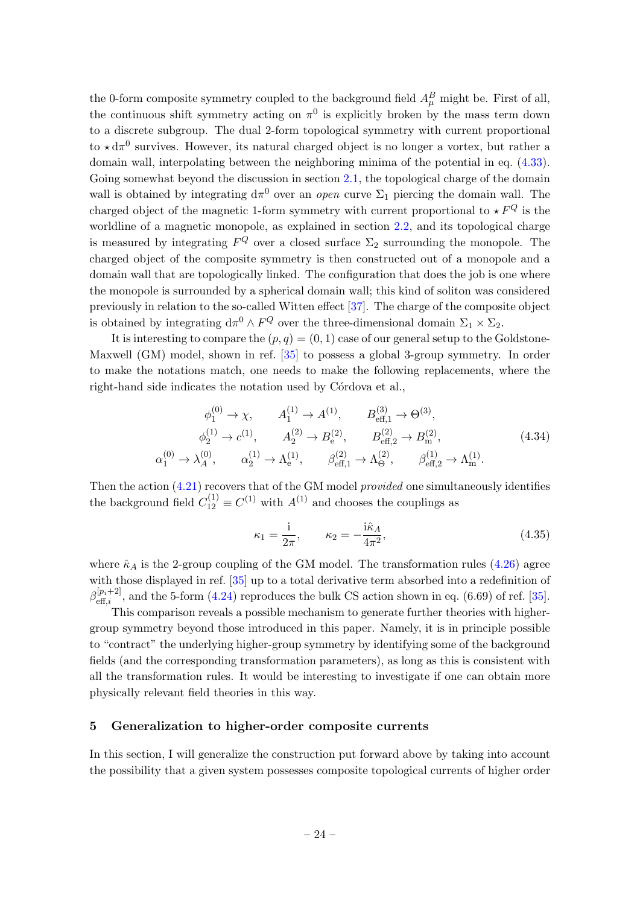the 0-form composite symmetry coupled to the background field  $A_\mu^B$  might be. First of all, the continuous shift symmetry acting on  $\pi^0$  is explicitly broken by the mass term down to a discrete subgroup. The dual 2-form topological symmetry with current proportional to  $\star d\pi^0$  survives. However, its natural charged object is no longer a vortex, but rather a domain wall, interpolating between the neighboring minima of the potential in eq. [\(4.33\)](#page-23-2). Going somewhat beyond the discussion in section [2.1,](#page-6-1) the topological charge of the domain wall is obtained by integrating  $d\pi^0$  over an *open* curve  $\Sigma_1$  piercing the domain wall. The charged object of the magnetic 1-form symmetry with current proportional to  $\star F^Q$  is the worldline of a magnetic monopole, as explained in section [2.2,](#page-7-0) and its topological charge is measured by integrating  $F^Q$  over a closed surface  $\Sigma_2$  surrounding the monopole. The charged object of the composite symmetry is then constructed out of a monopole and a domain wall that are topologically linked. The configuration that does the job is one where the monopole is surrounded by a spherical domain wall; this kind of soliton was considered previously in relation to the so-called Witten effect [\[37\]](#page-37-7). The charge of the composite object is obtained by integrating  $d\pi^0 \wedge F^Q$  over the three-dimensional domain  $\Sigma_1 \times \Sigma_2$ .

It is interesting to compare the  $(p, q) = (0, 1)$  case of our general setup to the Goldstone-Maxwell (GM) model, shown in ref. [\[35\]](#page-37-5) to possess a global 3-group symmetry. In order to make the notations match, one needs to make the following replacements, where the right-hand side indicates the notation used by Córdova et al.,

$$
\phi_1^{(0)} \to \chi, \qquad A_1^{(1)} \to A^{(1)}, \qquad B_{\text{eff},1}^{(3)} \to \Theta^{(3)},
$$
  
\n
$$
\phi_2^{(1)} \to c^{(1)}, \qquad A_2^{(2)} \to B_e^{(2)}, \qquad B_{\text{eff},2}^{(2)} \to B_m^{(2)},
$$
  
\n
$$
\chi_1^{(0)} \to \lambda_A^{(0)}, \qquad \alpha_2^{(1)} \to \Lambda_e^{(1)}, \qquad \beta_{\text{eff},1}^{(2)} \to \Lambda_{\Theta}^{(2)}, \qquad \beta_{\text{eff},2}^{(1)} \to \Lambda_m^{(1)}.
$$
\n(4.34)

Then the action  $(4.21)$  recovers that of the GM model *provided* one simultaneously identifies the background field  $C_{12}^{(1)} \equiv C^{(1)}$  with  $A^{(1)}$  and chooses the couplings as

$$
\kappa_1 = \frac{\mathrm{i}}{2\pi}, \qquad \kappa_2 = -\frac{\mathrm{i}\hat{\kappa}_A}{4\pi^2},\tag{4.35}
$$

where  $\hat{\kappa}_A$  is the 2-group coupling of the GM model. The transformation rules [\(4.26\)](#page-20-3) agree with those displayed in ref. [\[35\]](#page-37-5) up to a total derivative term absorbed into a redefinition of  $\beta_{\text{eff},i}^{[p_i+2]}$ , and the 5-form [\(4.24\)](#page-20-4) reproduces the bulk CS action shown in eq. (6.69) of ref. [\[35\]](#page-37-5).

This comparison reveals a possible mechanism to generate further theories with highergroup symmetry beyond those introduced in this paper. Namely, it is in principle possible to "contract" the underlying higher-group symmetry by identifying some of the background fields (and the corresponding transformation parameters), as long as this is consistent with all the transformation rules. It would be interesting to investigate if one can obtain more physically relevant field theories in this way.

#### <span id="page-24-0"></span>5 Generalization to higher-order composite currents

α

In this section, I will generalize the construction put forward above by taking into account the possibility that a given system possesses composite topological currents of higher order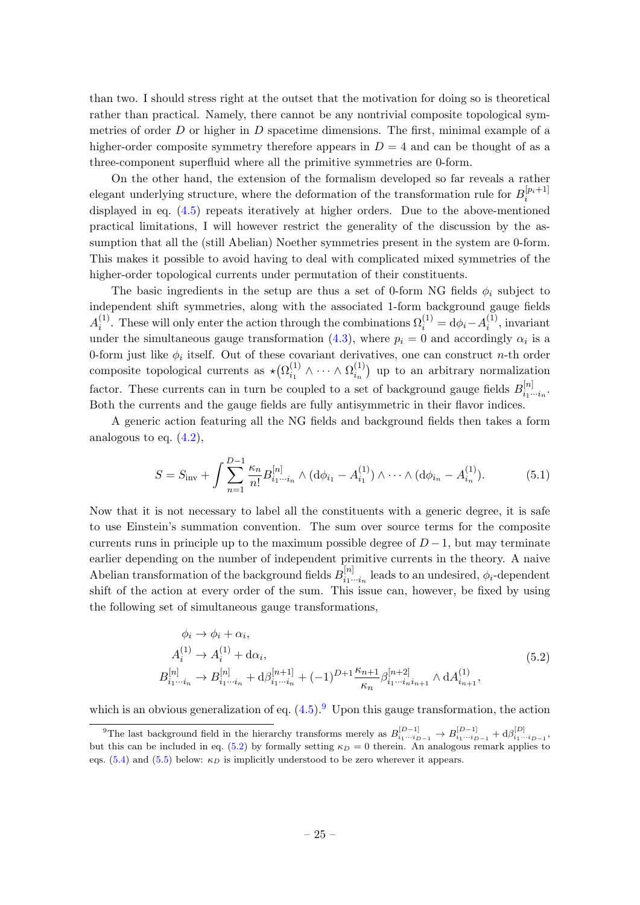than two. I should stress right at the outset that the motivation for doing so is theoretical rather than practical. Namely, there cannot be any nontrivial composite topological symmetries of order  $D$  or higher in  $D$  spacetime dimensions. The first, minimal example of a higher-order composite symmetry therefore appears in  $D = 4$  and can be thought of as a three-component superfluid where all the primitive symmetries are 0-form.

On the other hand, the extension of the formalism developed so far reveals a rather elegant underlying structure, where the deformation of the transformation rule for  $B_i^{[p_i+1]}$ i displayed in eq. [\(4.5\)](#page-15-5) repeats iteratively at higher orders. Due to the above-mentioned practical limitations, I will however restrict the generality of the discussion by the assumption that all the (still Abelian) Noether symmetries present in the system are 0-form. This makes it possible to avoid having to deal with complicated mixed symmetries of the higher-order topological currents under permutation of their constituents.

The basic ingredients in the setup are thus a set of 0-form NG fields  $\phi_i$  subject to independent shift symmetries, along with the associated 1-form background gauge fields  $A_i^{(1)}$ <sup>(1)</sup>. These will only enter the action through the combinations  $\Omega_i^{(1)} = d\phi_i - A_i^{(1)}$  $i^{(1)}$ , invariant under the simultaneous gauge transformation [\(4.3\)](#page-15-6), where  $p_i = 0$  and accordingly  $\alpha_i$  is a 0-form just like  $\phi_i$  itself. Out of these covariant derivatives, one can construct n-th order composite topological currents as  $\star (\Omega_{i_1}^{(1)})$  $\Omega_{i_1}^{(1)} \wedge \cdots \wedge \Omega_{i_n}^{(1)}$  $\binom{1}{i_n}$  up to an arbitrary normalization factor. These currents can in turn be coupled to a set of background gauge fields  $B_{i,j}^{[n]}$  $\prod\limits_{i_1\cdots i_n}^{[n]}$ Both the currents and the gauge fields are fully antisymmetric in their flavor indices.

A generic action featuring all the NG fields and background fields then takes a form analogous to eq.  $(4.2)$ ,

<span id="page-25-2"></span>
$$
S = S_{\text{inv}} + \int \sum_{n=1}^{D-1} \frac{\kappa_n}{n!} B_{i_1 \cdots i_n}^{[n]} \wedge (d\phi_{i_1} - A_{i_1}^{(1)}) \wedge \cdots \wedge (d\phi_{i_n} - A_{i_n}^{(1)}).
$$
 (5.1)

Now that it is not necessary to label all the constituents with a generic degree, it is safe to use Einstein's summation convention. The sum over source terms for the composite currents runs in principle up to the maximum possible degree of  $D-1$ , but may terminate earlier depending on the number of independent primitive currents in the theory. A naive Abelian transformation of the background fields  $B_{i,j}^{[n]}$  $i_1^{[n]}$  leads to an undesired,  $\phi_i$ -dependent shift of the action at every order of the sum. This issue can, however, be fixed by using the following set of simultaneous gauge transformations,

$$
\phi_i \to \phi_i + \alpha_i,
$$
  
\n
$$
A_i^{(1)} \to A_i^{(1)} + d\alpha_i,
$$
  
\n
$$
B_{i_1 \cdots i_n}^{[n]} \to B_{i_1 \cdots i_n}^{[n]} + d\beta_{i_1 \cdots i_n}^{[n+1]} + (-1)^{D+1} \frac{\kappa_{n+1}}{\kappa_n} \beta_{i_1 \cdots i_n i_{n+1}}^{[n+2]} \wedge dA_{i_{n+1}}^{(1)},
$$
\n
$$
(5.2)
$$

<span id="page-25-1"></span>which is an obvious generalization of eq.  $(4.5)$ . <sup>[9](#page-25-0)</sup> Upon this gauge transformation, the action

<span id="page-25-0"></span><sup>&</sup>lt;sup>9</sup>The last background field in the hierarchy transforms merely as  $B_{i_1\cdots i_{D-1}}^{[D-1]} \to B_{i_1\cdots i_{D-1}}^{[D-1]} + d\beta_{i_1\cdots i_{D-1}}^{[D]}$ but this can be included in eq. [\(5.2\)](#page-25-1) by formally setting  $\kappa_D = 0$  therein. An analogous remark applies to eqs. [\(5.4\)](#page-26-0) and [\(5.5\)](#page-26-1) below:  $\kappa_D$  is implicitly understood to be zero wherever it appears.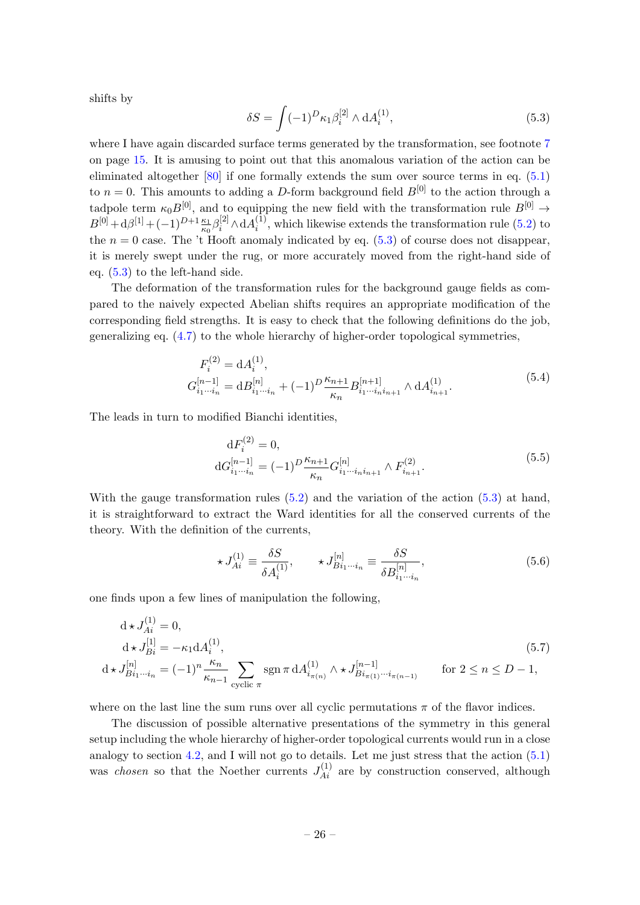shifts by

<span id="page-26-2"></span>
$$
\delta S = \int (-1)^D \kappa_1 \beta_i^{[2]} \wedge dA_i^{(1)},\tag{5.3}
$$

where I have again discarded surface terms generated by the transformation, see footnote [7](#page-15-2) on page [15.](#page-15-2) It is amusing to point out that this anomalous variation of the action can be eliminated altogether [\[80\]](#page-39-9) if one formally extends the sum over source terms in eq. [\(5.1\)](#page-25-2) to  $n = 0$ . This amounts to adding a D-form background field  $B^{[0]}$  to the action through a tadpole term  $\kappa_0 B^{[0]}$ , and to equipping the new field with the transformation rule  $B^{[0]} \rightarrow$  $B^{[0]} + d\beta^{[1]} + (-1)^{D+1} \frac{\kappa_1}{\kappa_0} \beta_i^{[2]} \wedge dA_i^{(1)}$  $i^{(1)}$ , which likewise extends the transformation rule  $(5.2)$  to the  $n = 0$  case. The 't Hooft anomaly indicated by eq. [\(5.3\)](#page-26-2) of course does not disappear, it is merely swept under the rug, or more accurately moved from the right-hand side of eq. [\(5.3\)](#page-26-2) to the left-hand side.

The deformation of the transformation rules for the background gauge fields as compared to the naively expected Abelian shifts requires an appropriate modification of the corresponding field strengths. It is easy to check that the following definitions do the job, generalizing eq. [\(4.7\)](#page-16-1) to the whole hierarchy of higher-order topological symmetries,

$$
F_i^{(2)} = dA_i^{(1)},
$$
  
\n
$$
G_{i_1 \cdots i_n}^{[n-1]} = dB_{i_1 \cdots i_n}^{[n]} + (-1)^D \frac{\kappa_{n+1}}{\kappa_n} B_{i_1 \cdots i_n i_{n+1}}^{[n+1]} \wedge dA_{i_{n+1}}^{(1)}.
$$
\n(5.4)

<span id="page-26-1"></span><span id="page-26-0"></span>The leads in turn to modified Bianchi identities,

$$
dF_i^{(2)} = 0,
$$
  
\n
$$
dG_{i_1 \cdots i_n}^{[n-1]} = (-1)^D \frac{\kappa_{n+1}}{\kappa_n} G_{i_1 \cdots i_n i_{n+1}}^{[n]} \wedge F_{i_{n+1}}^{(2)}.
$$
\n(5.5)

With the gauge transformation rules  $(5.2)$  and the variation of the action  $(5.3)$  at hand, it is straightforward to extract the Ward identities for all the conserved currents of the theory. With the definition of the currents,

$$
\star J_{Ai}^{(1)} \equiv \frac{\delta S}{\delta A_i^{(1)}}, \qquad \star J_{Bi_1\cdots i_n}^{[n]} \equiv \frac{\delta S}{\delta B_{i_1\cdots i_n}^{[n]}},\tag{5.6}
$$

one finds upon a few lines of manipulation the following,

$$
d \star J_{Ai}^{(1)} = 0,
$$
  
\n
$$
d \star J_{Bi}^{[1]} = -\kappa_1 d A_i^{(1)},
$$
  
\n
$$
d \star J_{Bi_1 \cdots i_n}^{[n]} = (-1)^n \frac{\kappa_n}{\kappa_{n-1}} \sum_{\text{cyclic } \pi} \text{sgn } \pi d A_{i_{\pi(n)}}^{(1)} \wedge \star J_{Bi_{\pi(1)} \cdots i_{\pi(n-1)}}^{[n-1]} \quad \text{for } 2 \le n \le D-1,
$$
\n
$$
(5.7)
$$

where on the last line the sum runs over all cyclic permutations  $\pi$  of the flavor indices.

The discussion of possible alternative presentations of the symmetry in this general setup including the whole hierarchy of higher-order topological currents would run in a close analogy to section [4.2,](#page-17-0) and I will not go to details. Let me just stress that the action  $(5.1)$ was *chosen* so that the Noether currents  $J_{Ai}^{(1)}$  are by construction conserved, although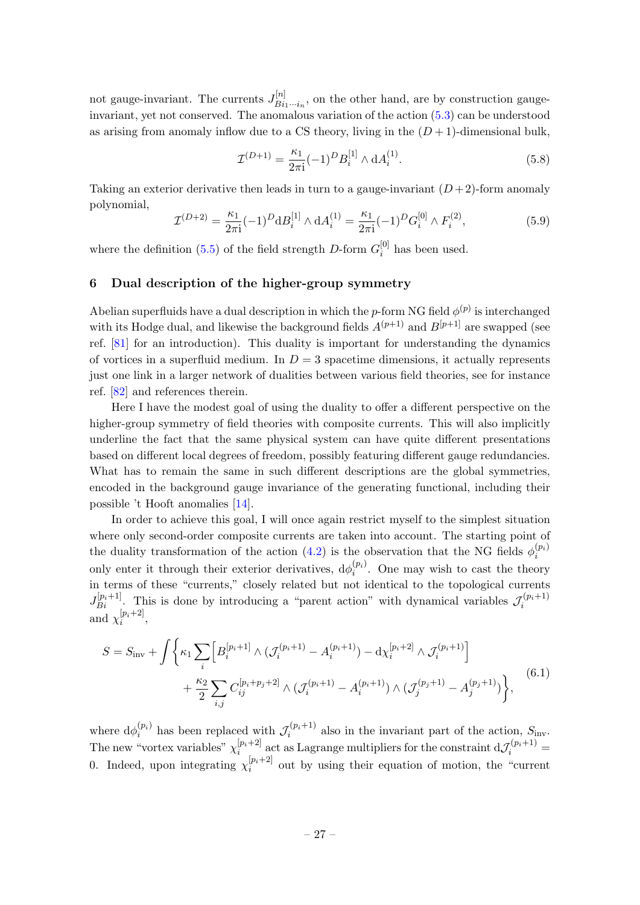not gauge-invariant. The currents  $J_{Ri}^{[n]}$  $B_{i_1\cdots i_n}^{[n]}$ , on the other hand, are by construction gaugeinvariant, yet not conserved. The anomalous variation of the action [\(5.3\)](#page-26-2) can be understood as arising from anomaly inflow due to a CS theory, living in the  $(D+1)$ -dimensional bulk,

$$
\mathcal{I}^{(D+1)} = \frac{\kappa_1}{2\pi i} (-1)^D B_i^{[1]} \wedge dA_i^{(1)}.
$$
\n(5.8)

Taking an exterior derivative then leads in turn to a gauge-invariant  $(D+2)$ -form anomaly polynomial,

$$
\mathcal{I}^{(D+2)} = \frac{\kappa_1}{2\pi i} (-1)^D d B_i^{[1]} \wedge d A_i^{(1)} = \frac{\kappa_1}{2\pi i} (-1)^D G_i^{[0]} \wedge F_i^{(2)},\tag{5.9}
$$

where the definition [\(5.5\)](#page-26-1) of the field strength D-form  $G_i^{[0]}$  $i^{[0]}$  has been used.

#### <span id="page-27-0"></span>6 Dual description of the higher-group symmetry

Abelian superfluids have a dual description in which the p-form NG field  $\phi^{(p)}$  is interchanged with its Hodge dual, and likewise the background fields  $A^{(p+1)}$  and  $B^{[p+1]}$  are swapped (see ref. [\[81\]](#page-39-10) for an introduction). This duality is important for understanding the dynamics of vortices in a superfluid medium. In  $D = 3$  spacetime dimensions, it actually represents just one link in a larger network of dualities between various field theories, see for instance ref. [\[82\]](#page-39-11) and references therein.

Here I have the modest goal of using the duality to offer a different perspective on the higher-group symmetry of field theories with composite currents. This will also implicitly underline the fact that the same physical system can have quite different presentations based on different local degrees of freedom, possibly featuring different gauge redundancies. What has to remain the same in such different descriptions are the global symmetries, encoded in the background gauge invariance of the generating functional, including their possible 't Hooft anomalies [\[14\]](#page-36-6).

In order to achieve this goal, I will once again restrict myself to the simplest situation where only second-order composite currents are taken into account. The starting point of the duality transformation of the action [\(4.2\)](#page-15-1) is the observation that the NG fields  $\phi_i^{(p_i)}$ i only enter it through their exterior derivatives,  $d\phi_i^{(p_i)}$  $i_i^{(pi)}$ . One may wish to cast the theory in terms of these "currents," closely related but not identical to the topological currents  $J_{Bi}^{[p_i+1]}$ . This is done by introducing a "parent action" with dynamical variables  $\mathcal{J}_i^{(p_i+1)}$ i and  $\chi_i^{[p_i+2]}$  $\frac{p_i+2j}{i},$ 

<span id="page-27-1"></span>
$$
S = S_{\text{inv}} + \int \left\{ \kappa_1 \sum_i \left[ B_i^{[p_i+1]} \wedge (\mathcal{J}_i^{(p_i+1)} - A_i^{(p_i+1)}) - d \chi_i^{[p_i+2]} \wedge \mathcal{J}_i^{(p_i+1)} \right] + \frac{\kappa_2}{2} \sum_{i,j} C_{ij}^{[p_i+p_j+2]} \wedge (\mathcal{J}_i^{(p_i+1)} - A_i^{(p_i+1)}) \wedge (\mathcal{J}_j^{(p_j+1)} - A_j^{(p_j+1)}) \right\}, \tag{6.1}
$$

where  $d\phi_i^{(p_i)}$  $i^{(p_i)}$  has been replaced with  $\mathcal{J}_i^{(p_i+1)}$  $S_{\text{inv}}^{(p_i+1)}$  also in the invariant part of the action,  $S_{\text{inv}}$ . The new "vortex variables"  $\chi_i^{[p_i+2]}$  ${}^{[p_i+2]}$  act as Lagrange multipliers for the constraint  $d\mathcal{J}_i^{(p_i+1)} =$ 0. Indeed, upon integrating  $\chi_i^{[p_i+2]}$  $\frac{p_i+p_j}{i}$  out by using their equation of motion, the "current"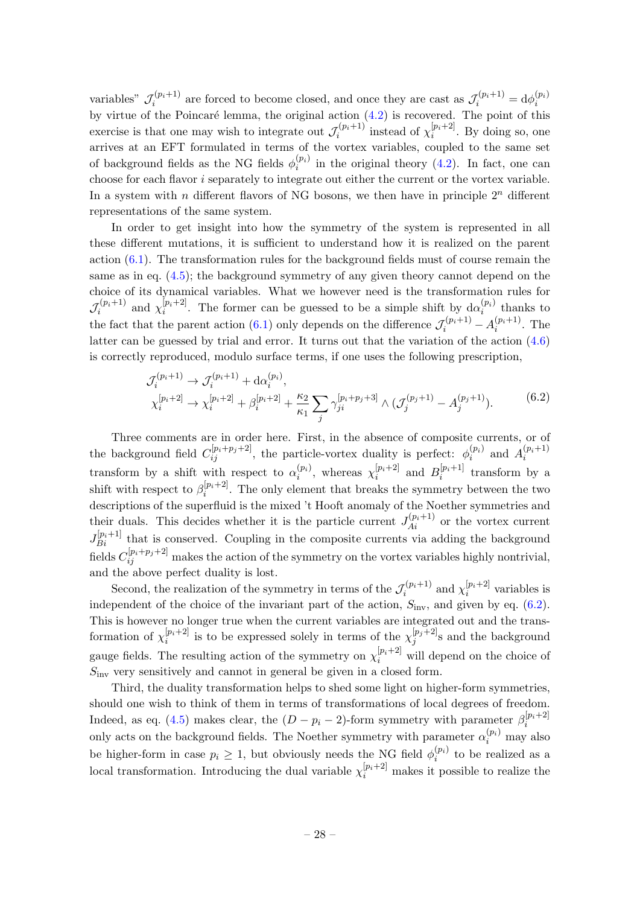variables"  $\mathcal{J}_i^{(p_i+1)}$  $\sigma_i^{(p_i+1)}$  are forced to become closed, and once they are cast as  $\mathcal{J}_i^{(p_i+1)} = d\phi_i^{(p_i)}$ i by virtue of the Poincaré lemma, the original action  $(4.2)$  is recovered. The point of this exercise is that one may wish to integrate out  $\mathcal{J}_i^{(p_i+1)}$  $\tau_i^{(p_i+1)}$  instead of  $\chi_i^{[p_i+2]}$  $i^{[pi+2]}$ . By doing so, one arrives at an EFT formulated in terms of the vortex variables, coupled to the same set of background fields as the NG fields  $\phi_i^{(p_i)}$  $i_i^{(pi)}$  in the original theory [\(4.2\)](#page-15-1). In fact, one can choose for each flavor  $i$  separately to integrate out either the current or the vortex variable. In a system with n different flavors of NG bosons, we then have in principle  $2^n$  different representations of the same system.

In order to get insight into how the symmetry of the system is represented in all these different mutations, it is sufficient to understand how it is realized on the parent action  $(6.1)$ . The transformation rules for the background fields must of course remain the same as in eq.  $(4.5)$ ; the background symmetry of any given theory cannot depend on the choice of its dynamical variables. What we however need is the transformation rules for  $\mathcal{J}_i^{(p_i+1)}$  $\tau_i^{(p_i+1)}$  and  $\chi_i^{[p_i+2]}$  $\binom{[p_i+2]}{i}$ . The former can be guessed to be a simple shift by  $d\alpha_i^{(p_i)}$  $i^{(p_i)}$  thanks to the fact that the parent action [\(6.1\)](#page-27-1) only depends on the difference  $\mathcal{J}_i^{(p_i+1)} - A_i^{(p_i+1)}$  $i^{(pi+1)}$ . The latter can be guessed by trial and error. It turns out that the variation of the action [\(4.6\)](#page-15-4) is correctly reproduced, modulo surface terms, if one uses the following prescription,

$$
\mathcal{J}_i^{(p_i+1)} \to \mathcal{J}_i^{(p_i+1)} + \mathrm{d}\alpha_i^{(p_i)},
$$
\n
$$
\chi_i^{[p_i+2]} \to \chi_i^{[p_i+2]} + \beta_i^{[p_i+2]} + \frac{\kappa_2}{\kappa_1} \sum_j \gamma_{ji}^{[p_i+p_j+3]} \wedge (\mathcal{J}_j^{(p_j+1)} - A_j^{(p_j+1)}).
$$
\n(6.2)

<span id="page-28-0"></span>Three comments are in order here. First, in the absence of composite currents, or of the background field  $C_{ij}^{[p_i+p_j+2]}$ , the particle-vortex duality is perfect:  $\phi_i^{(p_i)}$  $a_i^{(p_i)}$  and  $A_i^{(p_i+1)}$ i transform by a shift with respect to  $\alpha_i^{(p_i)}$  $i^{(p_i)}$ , whereas  $\chi_i^{[p_i+2]}$  $_{i}^{[p_{i}+2]}$  and  $B_{i}^{[p_{i}+1]}$  $i^{[pi+1]}$  transform by a shift with respect to  $\beta_i^{[p_i+2]}$  $i^{[p_i+2]}$ . The only element that breaks the symmetry between the two descriptions of the superfluid is the mixed 't Hooft anomaly of the Noether symmetries and their duals. This decides whether it is the particle current  $J_{Ai}^{(p_i+1)}$  or the vortex current  $J_{Bi}^{[p_i+1]}$  that is conserved. Coupling in the composite currents via adding the background fields  $C_{ij}^{[p_i+p_j+2]}$  makes the action of the symmetry on the vortex variables highly nontrivial, and the above perfect duality is lost.

Second, the realization of the symmetry in terms of the  $\mathcal{J}_i^{(p_i+1)}$  $\tau_i^{(p_i+1)}$  and  $\chi_i^{[p_i+2]}$  $i^{[p_i+2]}$  variables is independent of the choice of the invariant part of the action,  $S_{\text{inv}}$ , and given by eq. [\(6.2\)](#page-28-0). This is however no longer true when the current variables are integrated out and the transformation of  $\chi_i^{[p_i+2]}$  $\lfloor p_i+2 \rfloor$  is to be expressed solely in terms of the  $\chi_j^{[p_j+2]}$  $j^{[p_j+2]}$ s and the background gauge fields. The resulting action of the symmetry on  $\chi_i^{[p_i+2]}$  will depend on the choice of  $S<sub>inv</sub>$  very sensitively and cannot in general be given in a closed form.

Third, the duality transformation helps to shed some light on higher-form symmetries, should one wish to think of them in terms of transformations of local degrees of freedom. Indeed, as eq. [\(4.5\)](#page-15-5) makes clear, the  $(D - p_i - 2)$ -form symmetry with parameter  $\beta_i^{[p_i+2]}$ i only acts on the background fields. The Noether symmetry with parameter  $\alpha_i^{(p_i)}$  may also be higher-form in case  $p_i \geq 1$ , but obviously needs the NG field  $\phi_i^{(p_i)}$  $i^{(p_i)}$  to be realized as a local transformation. Introducing the dual variable  $\chi_i^{[p_i+2]}$  makes it possible to realize the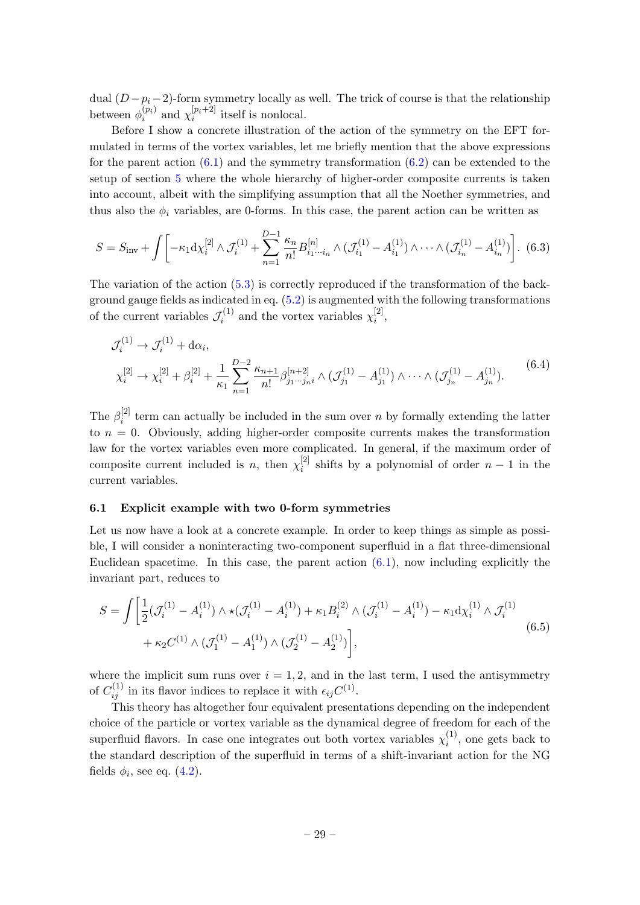dual  $(D - p_i - 2)$ -form symmetry locally as well. The trick of course is that the relationship between  $\phi_i^{(p_i)}$  $\chi_i^{(p_i)}$  and  $\chi_i^{[p_i+2]}$  $i^{[p_i+2]}$  itself is nonlocal.

Before I show a concrete illustration of the action of the symmetry on the EFT formulated in terms of the vortex variables, let me briefly mention that the above expressions for the parent action  $(6.1)$  and the symmetry transformation  $(6.2)$  can be extended to the setup of section [5](#page-24-0) where the whole hierarchy of higher-order composite currents is taken into account, albeit with the simplifying assumption that all the Noether symmetries, and thus also the  $\phi_i$  variables, are 0-forms. In this case, the parent action can be written as

$$
S = S_{\text{inv}} + \int \left[ -\kappa_1 \mathrm{d} \chi_i^{[2]} \wedge \mathcal{J}_i^{(1)} + \sum_{n=1}^{D-1} \frac{\kappa_n}{n!} B_{i_1 \cdots i_n}^{[n]} \wedge (\mathcal{J}_{i_1}^{(1)} - A_{i_1}^{(1)}) \wedge \cdots \wedge (\mathcal{J}_{i_n}^{(1)} - A_{i_n}^{(1)}) \right]. \tag{6.3}
$$

The variation of the action [\(5.3\)](#page-26-2) is correctly reproduced if the transformation of the background gauge fields as indicated in eq.  $(5.2)$  is augmented with the following transformations of the current variables  $\mathcal{J}_i^{(1)}$  $\chi_i^{(1)}$  and the vortex variables  $\chi_i^{[2]}$  $i^{[2]},$ 

$$
\mathcal{J}_i^{(1)} \to \mathcal{J}_i^{(1)} + d\alpha_i,
$$
\n
$$
\chi_i^{[2]} \to \chi_i^{[2]} + \beta_i^{[2]} + \frac{1}{\kappa_1} \sum_{n=1}^{D-2} \frac{\kappa_{n+1}}{n!} \beta_{j_1 \cdots j_n i}^{[n+2]} \wedge (\mathcal{J}_{j_1}^{(1)} - A_{j_1}^{(1)}) \wedge \cdots \wedge (\mathcal{J}_{j_n}^{(1)} - A_{j_n}^{(1)}).
$$
\n(6.4)

The  $\beta_i^{[2]}$  $i<sup>[2]</sup>$  term can actually be included in the sum over n by formally extending the latter to  $n = 0$ . Obviously, adding higher-order composite currents makes the transformation law for the vortex variables even more complicated. In general, if the maximum order of composite current included is *n*, then  $\chi_i^{[2]}$  $i<sup>[2]</sup>$  shifts by a polynomial of order  $n-1$  in the current variables.

#### <span id="page-29-0"></span>6.1 Explicit example with two 0-form symmetries

Let us now have a look at a concrete example. In order to keep things as simple as possible, I will consider a noninteracting two-component superfluid in a flat three-dimensional Euclidean spacetime. In this case, the parent action  $(6.1)$ , now including explicitly the invariant part, reduces to

<span id="page-29-1"></span>
$$
S = \int \left[ \frac{1}{2} (\mathcal{J}_i^{(1)} - A_i^{(1)}) \wedge \star (\mathcal{J}_i^{(1)} - A_i^{(1)}) + \kappa_1 B_i^{(2)} \wedge (\mathcal{J}_i^{(1)} - A_i^{(1)}) - \kappa_1 \mathrm{d} \chi_i^{(1)} \wedge \mathcal{J}_i^{(1)} \right. \\ \left. + \kappa_2 C^{(1)} \wedge (\mathcal{J}_1^{(1)} - A_1^{(1)}) \wedge (\mathcal{J}_2^{(1)} - A_2^{(1)}) \right], \tag{6.5}
$$

where the implicit sum runs over  $i = 1, 2$ , and in the last term, I used the antisymmetry of  $C_{ij}^{(1)}$  in its flavor indices to replace it with  $\epsilon_{ij}C^{(1)}$ .

This theory has altogether four equivalent presentations depending on the independent choice of the particle or vortex variable as the dynamical degree of freedom for each of the superfluid flavors. In case one integrates out both vortex variables  $\chi_i^{(1)}$  $i^{(1)}$ , one gets back to the standard description of the superfluid in terms of a shift-invariant action for the NG fields  $\phi_i$ , see eq.  $(4.2)$ .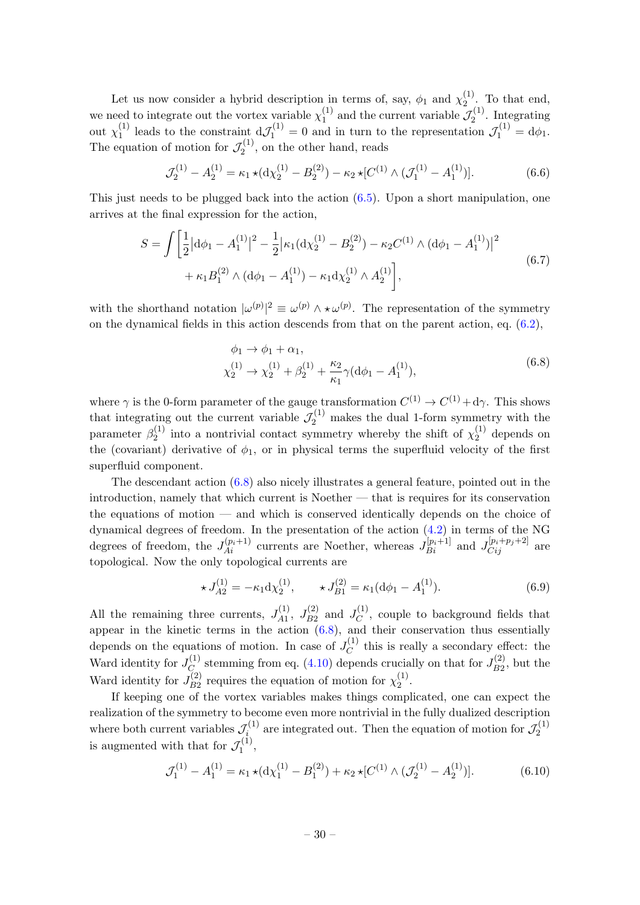Let us now consider a hybrid description in terms of, say,  $\phi_1$  and  $\chi_2^{(1)}$  $\frac{1}{2}$ . To that end, we need to integrate out the vortex variable  $\chi_1^{(1)}$  $\mathcal{J}_1^{(1)}$  and the current variable  $\mathcal{J}_2^{(1)}$  $\frac{Z^{(1)}}{2}$ . Integrating out  $\chi_1^{(1)}$ <sup>(1)</sup> leads to the constraint  $d\mathcal{J}_1^{(1)} = 0$  and in turn to the representation  $\mathcal{J}_1^{(1)} = d\phi_1$ . The equation of motion for  $\mathcal{J}_2^{(1)}$  $\zeta_2^{(1)}$ , on the other hand, reads

<span id="page-30-1"></span>
$$
\mathcal{J}_2^{(1)} - A_2^{(1)} = \kappa_1 \star (\mathrm{d}\chi_2^{(1)} - B_2^{(2)}) - \kappa_2 \star [C^{(1)} \wedge (\mathcal{J}_1^{(1)} - A_1^{(1)})]. \tag{6.6}
$$

This just needs to be plugged back into the action  $(6.5)$ . Upon a short manipulation, one arrives at the final expression for the action,

$$
S = \int \left[ \frac{1}{2} |d\phi_1 - A_1^{(1)}|^2 - \frac{1}{2} |\kappa_1 (d\chi_2^{(1)} - B_2^{(2)}) - \kappa_2 C^{(1)} \wedge (d\phi_1 - A_1^{(1)})|^2 + \kappa_1 B_1^{(2)} \wedge (d\phi_1 - A_1^{(1)}) - \kappa_1 d\chi_2^{(1)} \wedge A_2^{(1)} \right],
$$
\n(6.7)

with the shorthand notation  $|\omega^{(p)}|^2 \equiv \omega^{(p)} \wedge \star \omega^{(p)}$ . The representation of the symmetry on the dynamical fields in this action descends from that on the parent action, eq.  $(6.2)$ ,

$$
\phi_1 \to \phi_1 + \alpha_1,
$$
  
\n
$$
\chi_2^{(1)} \to \chi_2^{(1)} + \beta_2^{(1)} + \frac{\kappa_2}{\kappa_1} \gamma (\mathrm{d}\phi_1 - A_1^{(1)}),
$$
\n(6.8)

<span id="page-30-0"></span>where  $\gamma$  is the 0-form parameter of the gauge transformation  $C^{(1)} \to C^{(1)} + d\gamma$ . This shows that integrating out the current variable  $\mathcal{J}_2^{(1)}$  makes the dual 1-form symmetry with the parameter  $\beta_2^{(1)}$  $\chi_2^{(1)}$  into a nontrivial contact symmetry whereby the shift of  $\chi_2^{(1)}$  $2^{(1)}$  depends on the (covariant) derivative of  $\phi_1$ , or in physical terms the superfluid velocity of the first superfluid component.

The descendant action [\(6.8\)](#page-30-0) also nicely illustrates a general feature, pointed out in the introduction, namely that which current is Noether — that is requires for its conservation the equations of motion — and which is conserved identically depends on the choice of dynamical degrees of freedom. In the presentation of the action [\(4.2\)](#page-15-1) in terms of the NG degrees of freedom, the  $J_{Ai}^{(p_i+1)}$  currents are Noether, whereas  $J_{Bi}^{[p_i+1]}$  and  $J_{Cij}^{[p_i+p_j+2]}$  are topological. Now the only topological currents are

$$
\star J_{A2}^{(1)} = -\kappa_1 \mathrm{d} \chi_2^{(1)}, \qquad \star J_{B1}^{(2)} = \kappa_1 (\mathrm{d} \phi_1 - A_1^{(1)}).
$$
 (6.9)

All the remaining three currents,  $J_{A1}^{(1)}$  $J_{A1}^{(1)}, J_{B2}^{(2)}$  $I_{B2}^{(2)}$  and  $J_C^{(1)}$  $C^{(1)}$ , couple to background fields that appear in the kinetic terms in the action [\(6.8\)](#page-30-0), and their conservation thus essentially depends on the equations of motion. In case of  $J_C^{(1)}$  $C^{(1)}$  this is really a secondary effect: the Ward identity for  $J_C^{(1)}$  $C^{(1)}_C$  stemming from eq. [\(4.10\)](#page-17-2) depends crucially on that for  $J_{B2}^{(2)}$  $\int_{B2}^{(2)}$ , but the Ward identity for  $J_{B2}^{(2)}$  $\chi_{B2}^{(2)}$  requires the equation of motion for  $\chi_2^{(1)}$  $\frac{(1)}{2}$ .

If keeping one of the vortex variables makes things complicated, one can expect the realization of the symmetry to become even more nontrivial in the fully dualized description where both current variables  $\mathcal{J}_i^{(1)}$  $\mathcal{J}_i^{(1)}$  are integrated out. Then the equation of motion for  $\mathcal{J}_2^{(1)}$ 2 is augmented with that for  $\mathcal{J}_1^{(1)}$  $\frac{r(1)}{1},$ 

<span id="page-30-2"></span>
$$
\mathcal{J}_1^{(1)} - A_1^{(1)} = \kappa_1 \star (\mathrm{d}\chi_1^{(1)} - B_1^{(2)}) + \kappa_2 \star [C^{(1)} \wedge (\mathcal{J}_2^{(1)} - A_2^{(1)})]. \tag{6.10}
$$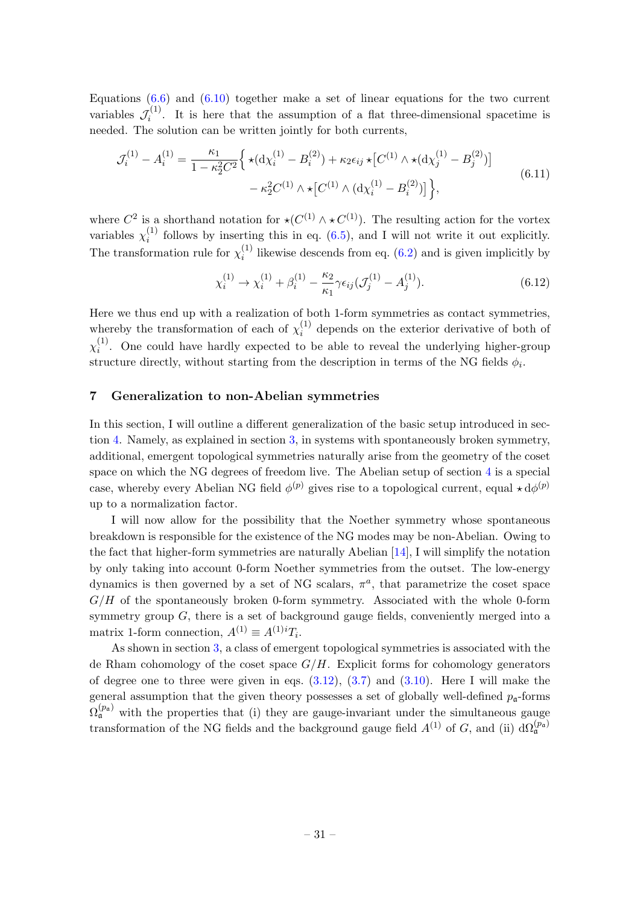Equations  $(6.6)$  and  $(6.10)$  together make a set of linear equations for the two current variables  $\mathcal{J}_i^{(1)}$  $i^{(1)}$ . It is here that the assumption of a flat three-dimensional spacetime is needed. The solution can be written jointly for both currents,

$$
\mathcal{J}_i^{(1)} - A_i^{(1)} = \frac{\kappa_1}{1 - \kappa_2^2 C^2} \left\{ \star (\mathrm{d}\chi_i^{(1)} - B_i^{(2)}) + \kappa_2 \epsilon_{ij} \star [C^{(1)} \wedge \star (\mathrm{d}\chi_j^{(1)} - B_j^{(2)})] - \kappa_2^2 C^{(1)} \wedge \star [C^{(1)} \wedge (\mathrm{d}\chi_i^{(1)} - B_i^{(2)})] \right\},\tag{6.11}
$$

where  $C^2$  is a shorthand notation for  $\star(C^{(1)} \wedge \star C^{(1)})$ . The resulting action for the vortex variables  $\chi_i^{(1)}$  $i_j^{(1)}$  follows by inserting this in eq. [\(6.5\)](#page-29-1), and I will not write it out explicitly. The transformation rule for  $\chi_i^{(1)}$  $i<sup>(1)</sup>$  likewise descends from eq. [\(6.2\)](#page-28-0) and is given implicitly by

$$
\chi_i^{(1)} \to \chi_i^{(1)} + \beta_i^{(1)} - \frac{\kappa_2}{\kappa_1} \gamma \epsilon_{ij} (\mathcal{J}_j^{(1)} - A_j^{(1)}).
$$
 (6.12)

Here we thus end up with a realization of both 1-form symmetries as contact symmetries, whereby the transformation of each of  $\chi_i^{(1)}$  $i^{(1)}$  depends on the exterior derivative of both of  $\chi_i^{(1)}$  $i<sup>(1)</sup>$ . One could have hardly expected to be able to reveal the underlying higher-group structure directly, without starting from the description in terms of the NG fields  $\phi_i$ .

## <span id="page-31-0"></span>7 Generalization to non-Abelian symmetries

In this section, I will outline a different generalization of the basic setup introduced in section [4.](#page-14-0) Namely, as explained in section [3,](#page-9-0) in systems with spontaneously broken symmetry, additional, emergent topological symmetries naturally arise from the geometry of the coset space on which the NG degrees of freedom live. The Abelian setup of section [4](#page-14-0) is a special case, whereby every Abelian NG field  $\phi^{(p)}$  gives rise to a topological current, equal  $\star d\phi^{(p)}$ up to a normalization factor.

I will now allow for the possibility that the Noether symmetry whose spontaneous breakdown is responsible for the existence of the NG modes may be non-Abelian. Owing to the fact that higher-form symmetries are naturally Abelian [\[14\]](#page-36-6), I will simplify the notation by only taking into account 0-form Noether symmetries from the outset. The low-energy dynamics is then governed by a set of NG scalars,  $\pi^a$ , that parametrize the coset space  $G/H$  of the spontaneously broken 0-form symmetry. Associated with the whole 0-form symmetry group  $G$ , there is a set of background gauge fields, conveniently merged into a matrix 1-form connection,  $A^{(1)} \equiv A^{(1)i}T_i$ .

As shown in section [3,](#page-9-0) a class of emergent topological symmetries is associated with the de Rham cohomology of the coset space  $G/H$ . Explicit forms for cohomology generators of degree one to three were given in eqs.  $(3.12)$ ,  $(3.7)$  and  $(3.10)$ . Here I will make the general assumption that the given theory possesses a set of globally well-defined  $p_{\mathfrak{a}}$ -forms  $\Omega_{\mathfrak{a}}^{(p_{\mathfrak{a}})}$  with the properties that (i) they are gauge-invariant under the simultaneous gauge transformation of the NG fields and the background gauge field  $A^{(1)}$  of G, and (ii)  $d\Omega_{\mathfrak{a}}^{(p_{\mathfrak{a}})}$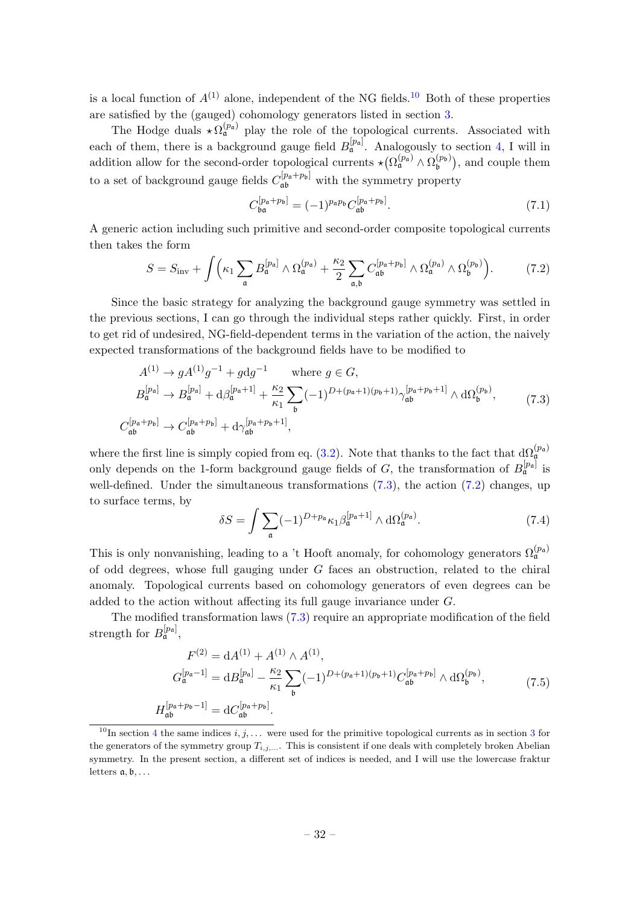is a local function of  $A^{(1)}$  alone, independent of the NG fields.<sup>[10](#page-32-0)</sup> Both of these properties are satisfied by the (gauged) cohomology generators listed in section [3.](#page-9-0)

The Hodge duals  $\star \Omega_{\mathfrak{a}}^{(p_{\mathfrak{a}})}$  play the role of the topological currents. Associated with each of them, there is a background gauge field  $B_{\mathfrak{a}}^{[p_{\mathfrak{a}}]}$ . Analogously to section [4,](#page-14-0) I will in addition allow for the second-order topological currents  $\star (\Omega_{\mathfrak{a}}^{(p_{\mathfrak{a}})} \wedge \Omega_{\mathfrak{b}}^{(p_{\mathfrak{b}})})$  $\mathfrak{b}^{(p_{\mathfrak{b}})}$ , and couple them to a set of background gauge fields  $C_{\mathfrak{a}\mathfrak{b}}^{[p_{\mathfrak{a}}+p_{\mathfrak{b}}]}$  with the symmetry property

$$
C_{\mathfrak{ba}}^{[p_{\mathfrak{a}}+p_{\mathfrak{b}}]} = (-1)^{p_{\mathfrak{a}}p_{\mathfrak{b}}} C_{\mathfrak{a}\mathfrak{b}}^{[p_{\mathfrak{a}}+p_{\mathfrak{b}}]}.
$$
 (7.1)

A generic action including such primitive and second-order composite topological currents then takes the form

<span id="page-32-2"></span>
$$
S = S_{\text{inv}} + \int \left( \kappa_1 \sum_{\mathfrak{a}} B_{\mathfrak{a}}^{[p_{\mathfrak{a}}]} \wedge \Omega_{\mathfrak{a}}^{(p_{\mathfrak{a}})} + \frac{\kappa_2}{2} \sum_{\mathfrak{a}, \mathfrak{b}} C_{\mathfrak{a} \mathfrak{b}}^{[p_{\mathfrak{a}} + p_{\mathfrak{b}}]} \wedge \Omega_{\mathfrak{a}}^{(p_{\mathfrak{a}})} \wedge \Omega_{\mathfrak{b}}^{(p_{\mathfrak{b}})} \right).
$$
(7.2)

Since the basic strategy for analyzing the background gauge symmetry was settled in the previous sections, I can go through the individual steps rather quickly. First, in order to get rid of undesired, NG-field-dependent terms in the variation of the action, the naively expected transformations of the background fields have to be modified to

<span id="page-32-1"></span>
$$
A^{(1)} \to g A^{(1)} g^{-1} + g \text{d} g^{-1} \qquad \text{where } g \in G,
$$
  
\n
$$
B_{\mathfrak{a}}^{[p_{\mathfrak{a}}]} \to B_{\mathfrak{a}}^{[p_{\mathfrak{a}}]} + \text{d} \beta_{\mathfrak{a}}^{[p_{\mathfrak{a}}+1]} + \frac{\kappa_2}{\kappa_1} \sum_{\mathfrak{b}} (-1)^{D + (p_{\mathfrak{a}}+1)(p_{\mathfrak{b}}+1)} \gamma_{\mathfrak{a}\mathfrak{b}}^{[p_{\mathfrak{a}}+p_{\mathfrak{b}}+1]} \wedge \text{d} \Omega_{\mathfrak{b}}^{(p_{\mathfrak{b}})},
$$
\n
$$
C_{\mathfrak{a}\mathfrak{b}}^{[p_{\mathfrak{a}}+p_{\mathfrak{b}}]} \to C_{\mathfrak{a}\mathfrak{b}}^{[p_{\mathfrak{a}}+p_{\mathfrak{b}}]} + \text{d} \gamma_{\mathfrak{a}\mathfrak{b}}^{[p_{\mathfrak{a}}+p_{\mathfrak{b}}+1]},
$$
\n(7.3)

where the first line is simply copied from eq. [\(3.2\)](#page-11-2). Note that thanks to the fact that  $d\Omega_{\mathfrak{a}}^{(p_{\mathfrak{a}})}$ only depends on the 1-form background gauge fields of G, the transformation of  $B_{\mathfrak{a}}^{[p_a]}$  is well-defined. Under the simultaneous transformations  $(7.3)$ , the action  $(7.2)$  changes, up to surface terms, by

<span id="page-32-3"></span>
$$
\delta S = \int \sum_{\mathfrak{a}} (-1)^{D + p_{\mathfrak{a}}}\kappa_1 \beta_{\mathfrak{a}}^{[p_{\mathfrak{a}} + 1]} \wedge d\Omega_{\mathfrak{a}}^{(p_{\mathfrak{a}})}.
$$
 (7.4)

This is only nonvanishing, leading to a 't Hooft anomaly, for cohomology generators  $\Omega_{\mathfrak{a}}^{(p_{\mathfrak{a}})}$ of odd degrees, whose full gauging under G faces an obstruction, related to the chiral anomaly. Topological currents based on cohomology generators of even degrees can be added to the action without affecting its full gauge invariance under G.

The modified transformation laws [\(7.3\)](#page-32-1) require an appropriate modification of the field strength for  $B_{\mathfrak{a}}^{[p_{\mathfrak{a}}]}$ ,

$$
F^{(2)} = dA^{(1)} + A^{(1)} \wedge A^{(1)},
$$
  
\n
$$
G_{\mathfrak{a}}^{[p_{\mathfrak{a}}-1]} = dB_{\mathfrak{a}}^{[p_{\mathfrak{a}}]} - \frac{\kappa_2}{\kappa_1} \sum_{\mathfrak{b}} (-1)^{D + (p_{\mathfrak{a}}+1)(p_{\mathfrak{b}}+1)} C_{\mathfrak{a}\mathfrak{b}}^{[p_{\mathfrak{a}}+p_{\mathfrak{b}}]} \wedge d\Omega_{\mathfrak{b}}^{(p_{\mathfrak{b}})},
$$
\n(7.5)  
\n
$$
H_{\mathfrak{a}\mathfrak{b}}^{[p_{\mathfrak{a}}+p_{\mathfrak{b}}-1]} = dC_{\mathfrak{a}\mathfrak{b}}^{[p_{\mathfrak{a}}+p_{\mathfrak{b}}]}.
$$

<span id="page-32-0"></span><sup>&</sup>lt;sup>10</sup>In section [4](#page-14-0) the same indices  $i, j, \ldots$  were used for the primitive topological currents as in section [3](#page-9-0) for the generators of the symmetry group  $T_{i,j,...}$ . This is consistent if one deals with completely broken Abelian symmetry. In the present section, a different set of indices is needed, and I will use the lowercase fraktur letters  $a, b, \ldots$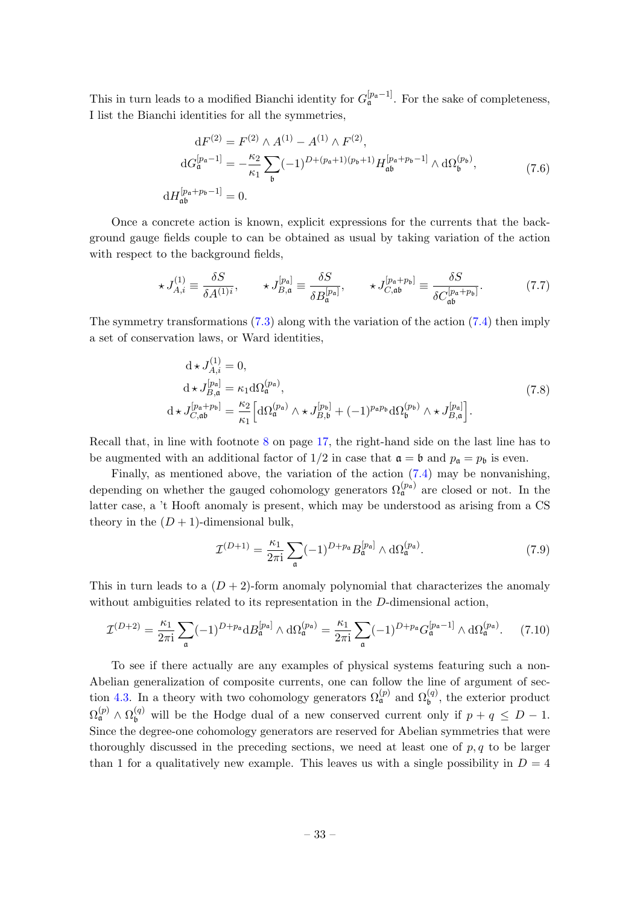This in turn leads to a modified Bianchi identity for  $G_{\mathfrak{a}}^{[p_{\mathfrak{a}}-1]}$ . For the sake of completeness, I list the Bianchi identities for all the symmetries,

$$
dF^{(2)} = F^{(2)} \wedge A^{(1)} - A^{(1)} \wedge F^{(2)},
$$
  
\n
$$
dG_{\mathfrak{a}}^{[p_{\mathfrak{a}}-1]} = -\frac{\kappa_2}{\kappa_1} \sum_{\mathfrak{b}} (-1)^{D+(p_{\mathfrak{a}}+1)(p_{\mathfrak{b}}+1)} H_{\mathfrak{a}\mathfrak{b}}^{[p_{\mathfrak{a}}+p_{\mathfrak{b}}-1]} \wedge d\Omega_{\mathfrak{b}}^{(p_{\mathfrak{b}})},
$$
\n
$$
dH_{\mathfrak{a}\mathfrak{b}}^{[p_{\mathfrak{a}}+p_{\mathfrak{b}}-1]} = 0.
$$
\n(7.6)

Once a concrete action is known, explicit expressions for the currents that the background gauge fields couple to can be obtained as usual by taking variation of the action with respect to the background fields,

$$
\star J_{A,i}^{(1)} \equiv \frac{\delta S}{\delta A^{(1)i}}, \qquad \star J_{B,\mathfrak{a}}^{[p_{\mathfrak{a}}]} \equiv \frac{\delta S}{\delta B_{\mathfrak{a}}^{[p_{\mathfrak{a}}]}}, \qquad \star J_{C,\mathfrak{a}\mathfrak{b}}^{[p_{\mathfrak{a}}+p_{\mathfrak{b}}]} \equiv \frac{\delta S}{\delta C_{\mathfrak{a}\mathfrak{b}}^{[p_{\mathfrak{a}}+p_{\mathfrak{b}}]}}.\tag{7.7}
$$

The symmetry transformations [\(7.3\)](#page-32-1) along with the variation of the action [\(7.4\)](#page-32-3) then imply a set of conservation laws, or Ward identities,

$$
d \star J_{A,i}^{(1)} = 0,
$$
  
\n
$$
d \star J_{B,\mathfrak{a}}^{[p_{\mathfrak{a}}]} = \kappa_1 d \Omega_{\mathfrak{a}}^{(p_{\mathfrak{a}})},
$$
  
\n
$$
d \star J_{C,\mathfrak{a}\mathfrak{b}}^{[p_{\mathfrak{a}}+p_{\mathfrak{b}}]} = \frac{\kappa_2}{\kappa_1} \Big[ d \Omega_{\mathfrak{a}}^{(p_{\mathfrak{a}})} \wedge \star J_{B,\mathfrak{b}}^{[p_{\mathfrak{b}}]} + (-1)^{p_{\mathfrak{a}} p_{\mathfrak{b}}} d \Omega_{\mathfrak{b}}^{(p_{\mathfrak{b}})} \wedge \star J_{B,\mathfrak{a}}^{[p_{\mathfrak{a}}]} \Big].
$$
\n(7.8)

Recall that, in line with footnote [8](#page-17-1) on page [17,](#page-17-1) the right-hand side on the last line has to be augmented with an additional factor of  $1/2$  in case that  $\mathfrak{a} = \mathfrak{b}$  and  $p_{\mathfrak{a}} = p_{\mathfrak{b}}$  is even.

Finally, as mentioned above, the variation of the action [\(7.4\)](#page-32-3) may be nonvanishing, depending on whether the gauged cohomology generators  $\Omega_{\mathfrak{a}}^{(p_{\mathfrak{a}})}$  are closed or not. In the latter case, a 't Hooft anomaly is present, which may be understood as arising from a CS theory in the  $(D + 1)$ -dimensional bulk,

$$
\mathcal{I}^{(D+1)} = \frac{\kappa_1}{2\pi i} \sum_{\mathfrak{a}} (-1)^{D+p_{\mathfrak{a}}} B_{\mathfrak{a}}^{[p_{\mathfrak{a}}]} \wedge \mathrm{d}\Omega_{\mathfrak{a}}^{(p_{\mathfrak{a}})}.
$$
 (7.9)

This in turn leads to a  $(D+2)$ -form anomaly polynomial that characterizes the anomaly without ambiguities related to its representation in the D-dimensional action,

$$
\mathcal{I}^{(D+2)} = \frac{\kappa_1}{2\pi i} \sum_{\mathfrak{a}} (-1)^{D+p_{\mathfrak{a}}} d B_{\mathfrak{a}}^{[p_{\mathfrak{a}}]} \wedge d \Omega_{\mathfrak{a}}^{(p_{\mathfrak{a}})} = \frac{\kappa_1}{2\pi i} \sum_{\mathfrak{a}} (-1)^{D+p_{\mathfrak{a}}} G_{\mathfrak{a}}^{[p_{\mathfrak{a}}-1]} \wedge d \Omega_{\mathfrak{a}}^{(p_{\mathfrak{a}})}.
$$
 (7.10)

To see if there actually are any examples of physical systems featuring such a non-Abelian generalization of composite currents, one can follow the line of argument of sec-tion [4.3.](#page-21-0) In a theory with two cohomology generators  $\Omega_{\mathfrak{a}}^{(p)}$  and  $\Omega_{\mathfrak{b}}^{(q)}$ , the exterior product  $\Omega_{\mathfrak{a}}^{(p)} \wedge \Omega_{\mathfrak{b}}^{(q)}$  will be the Hodge dual of a new conserved current only if  $p + q \leq D - 1$ . Since the degree-one cohomology generators are reserved for Abelian symmetries that were thoroughly discussed in the preceding sections, we need at least one of  $p, q$  to be larger than 1 for a qualitatively new example. This leaves us with a single possibility in  $D = 4$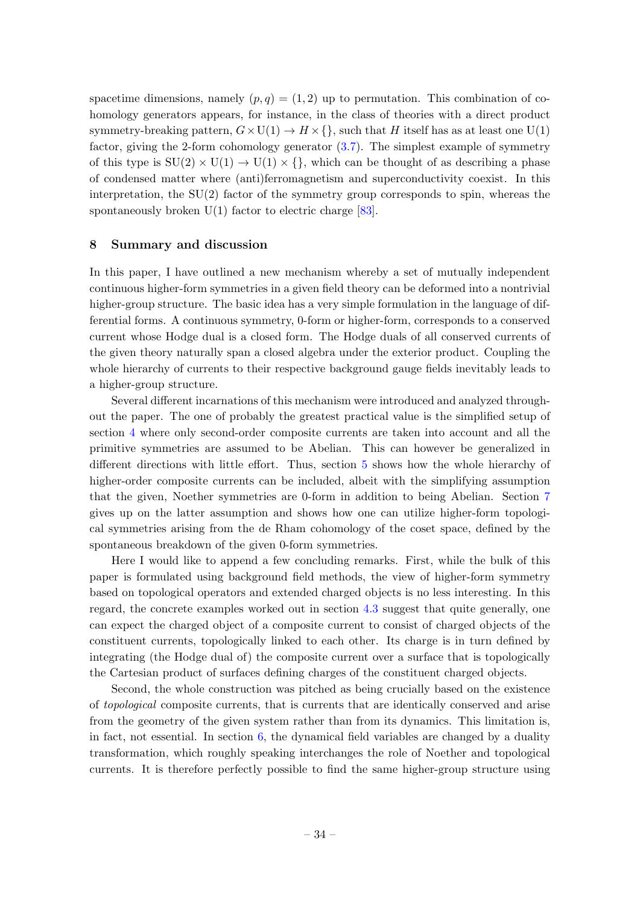spacetime dimensions, namely  $(p, q) = (1, 2)$  up to permutation. This combination of cohomology generators appears, for instance, in the class of theories with a direct product symmetry-breaking pattern,  $G \times U(1) \rightarrow H \times \{\}$ , such that H itself has as at least one  $U(1)$ factor, giving the 2-form cohomology generator [\(3.7\)](#page-12-2). The simplest example of symmetry of this type is  $SU(2) \times U(1) \rightarrow U(1) \times \{\}$ , which can be thought of as describing a phase of condensed matter where (anti)ferromagnetism and superconductivity coexist. In this interpretation, the  $SU(2)$  factor of the symmetry group corresponds to spin, whereas the spontaneously broken  $U(1)$  factor to electric charge [\[83\]](#page-39-12).

#### <span id="page-34-0"></span>8 Summary and discussion

In this paper, I have outlined a new mechanism whereby a set of mutually independent continuous higher-form symmetries in a given field theory can be deformed into a nontrivial higher-group structure. The basic idea has a very simple formulation in the language of differential forms. A continuous symmetry, 0-form or higher-form, corresponds to a conserved current whose Hodge dual is a closed form. The Hodge duals of all conserved currents of the given theory naturally span a closed algebra under the exterior product. Coupling the whole hierarchy of currents to their respective background gauge fields inevitably leads to a higher-group structure.

Several different incarnations of this mechanism were introduced and analyzed throughout the paper. The one of probably the greatest practical value is the simplified setup of section [4](#page-14-0) where only second-order composite currents are taken into account and all the primitive symmetries are assumed to be Abelian. This can however be generalized in different directions with little effort. Thus, section [5](#page-24-0) shows how the whole hierarchy of higher-order composite currents can be included, albeit with the simplifying assumption that the given, Noether symmetries are 0-form in addition to being Abelian. Section [7](#page-31-0) gives up on the latter assumption and shows how one can utilize higher-form topological symmetries arising from the de Rham cohomology of the coset space, defined by the spontaneous breakdown of the given 0-form symmetries.

Here I would like to append a few concluding remarks. First, while the bulk of this paper is formulated using background field methods, the view of higher-form symmetry based on topological operators and extended charged objects is no less interesting. In this regard, the concrete examples worked out in section [4.3](#page-21-0) suggest that quite generally, one can expect the charged object of a composite current to consist of charged objects of the constituent currents, topologically linked to each other. Its charge is in turn defined by integrating (the Hodge dual of) the composite current over a surface that is topologically the Cartesian product of surfaces defining charges of the constituent charged objects.

Second, the whole construction was pitched as being crucially based on the existence of topological composite currents, that is currents that are identically conserved and arise from the geometry of the given system rather than from its dynamics. This limitation is, in fact, not essential. In section  $6$ , the dynamical field variables are changed by a duality transformation, which roughly speaking interchanges the role of Noether and topological currents. It is therefore perfectly possible to find the same higher-group structure using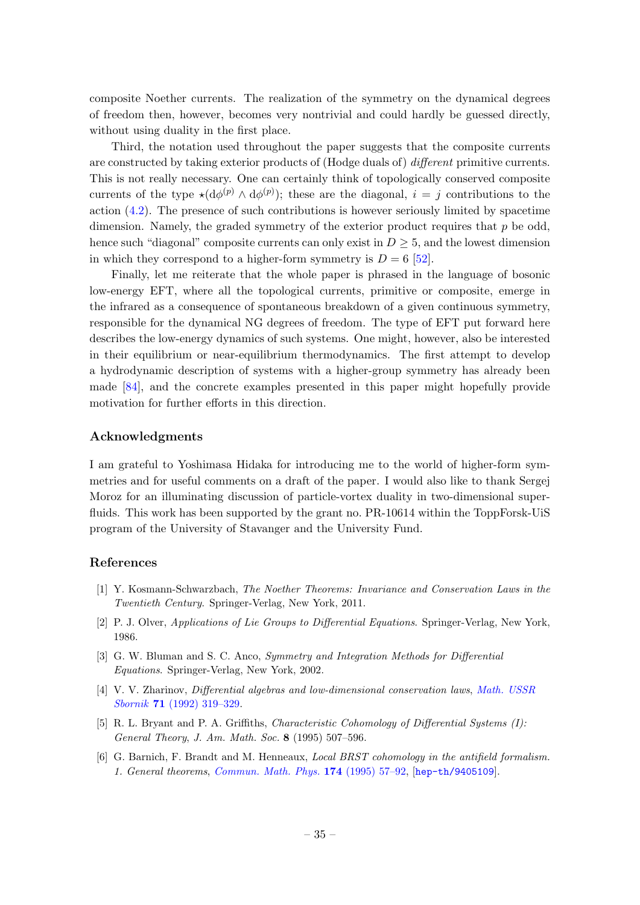composite Noether currents. The realization of the symmetry on the dynamical degrees of freedom then, however, becomes very nontrivial and could hardly be guessed directly, without using duality in the first place.

Third, the notation used throughout the paper suggests that the composite currents are constructed by taking exterior products of (Hodge duals of) different primitive currents. This is not really necessary. One can certainly think of topologically conserved composite currents of the type  $\star(d\phi^{(p)} \wedge d\phi^{(p)})$ ; these are the diagonal,  $i = j$  contributions to the action  $(4.2)$ . The presence of such contributions is however seriously limited by spacetime dimension. Namely, the graded symmetry of the exterior product requires that  $p$  be odd, hence such "diagonal" composite currents can only exist in  $D \geq 5$ , and the lowest dimension in which they correspond to a higher-form symmetry is  $D = 6$  [\[52\]](#page-38-4).

Finally, let me reiterate that the whole paper is phrased in the language of bosonic low-energy EFT, where all the topological currents, primitive or composite, emerge in the infrared as a consequence of spontaneous breakdown of a given continuous symmetry, responsible for the dynamical NG degrees of freedom. The type of EFT put forward here describes the low-energy dynamics of such systems. One might, however, also be interested in their equilibrium or near-equilibrium thermodynamics. The first attempt to develop a hydrodynamic description of systems with a higher-group symmetry has already been made [\[84\]](#page-39-13), and the concrete examples presented in this paper might hopefully provide motivation for further efforts in this direction.

#### Acknowledgments

I am grateful to Yoshimasa Hidaka for introducing me to the world of higher-form symmetries and for useful comments on a draft of the paper. I would also like to thank Sergej Moroz for an illuminating discussion of particle-vortex duality in two-dimensional superfluids. This work has been supported by the grant no. PR-10614 within the ToppForsk-UiS program of the University of Stavanger and the University Fund.

## References

- <span id="page-35-0"></span>[1] Y. Kosmann-Schwarzbach, The Noether Theorems: Invariance and Conservation Laws in the Twentieth Century. Springer-Verlag, New York, 2011.
- <span id="page-35-1"></span>[2] P. J. Olver, Applications of Lie Groups to Differential Equations. Springer-Verlag, New York, 1986.
- <span id="page-35-2"></span>[3] G. W. Bluman and S. C. Anco, Symmetry and Integration Methods for Differential Equations. Springer-Verlag, New York, 2002.
- <span id="page-35-3"></span>[4] V. V. Zharinov, Differential algebras and low-dimensional conservation laws, [Math. USSR](http://dx.doi.org/10.1070/sm1992v071n02abeh001401) Sbornik 71 [\(1992\) 319–329.](http://dx.doi.org/10.1070/sm1992v071n02abeh001401)
- <span id="page-35-4"></span>[5] R. L. Bryant and P. A. Griffiths, Characteristic Cohomology of Differential Systems (I): General Theory, J. Am. Math. Soc. 8 (1995) 507–596.
- <span id="page-35-5"></span>[6] G. Barnich, F. Brandt and M. Henneaux, Local BRST cohomology in the antifield formalism. 1. General theorems, [Commun. Math. Phys.](http://dx.doi.org/10.1007/BF02099464) 174 (1995) 57–92, [[hep-th/9405109](http://arxiv.org/abs/hep-th/9405109)].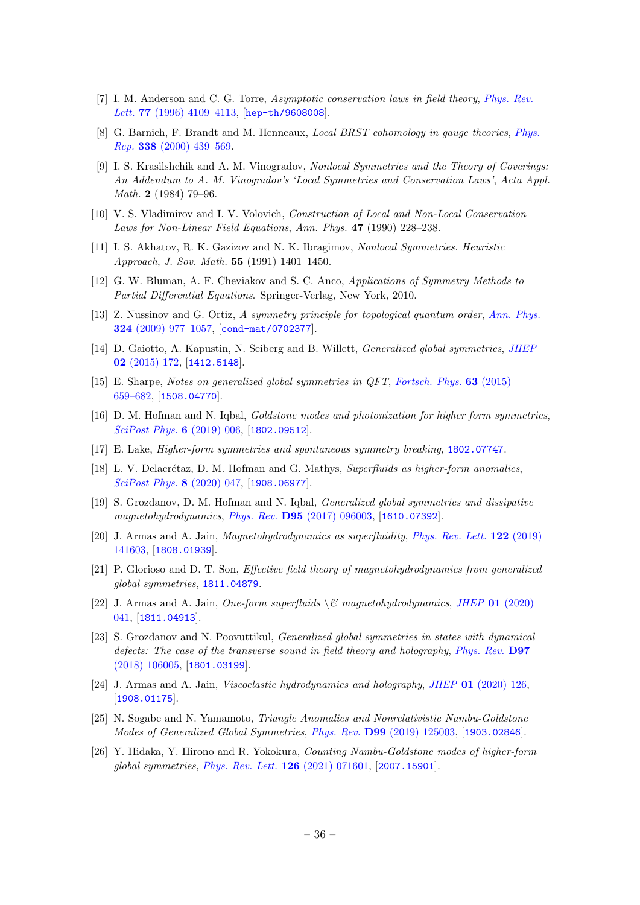- [7] I. M. Anderson and C. G. Torre, Asymptotic conservation laws in field theory, [Phys. Rev.](http://dx.doi.org/10.1103/PhysRevLett.77.4109) Lett. **77** (1996) 4109-4113, [[hep-th/9608008](http://arxiv.org/abs/hep-th/9608008)].
- <span id="page-36-0"></span>[8] G. Barnich, F. Brandt and M. Henneaux, Local BRST cohomology in gauge theories, [Phys.](http://dx.doi.org/10.1016/S0370-1573(00)00049-1) Rep. 338 [\(2000\) 439–569.](http://dx.doi.org/10.1016/S0370-1573(00)00049-1)
- <span id="page-36-1"></span>[9] I. S. Krasilshchik and A. M. Vinogradov, Nonlocal Symmetries and the Theory of Coverings: An Addendum to A. M. Vinogradov's 'Local Symmetries and Conservation Laws', Acta Appl. Math. 2 (1984) 79–96.
- [10] V. S. Vladimirov and I. V. Volovich, Construction of Local and Non-Local Conservation Laws for Non-Linear Field Equations, Ann. Phys. 47 (1990) 228–238.
- <span id="page-36-2"></span>[11] I. S. Akhatov, R. K. Gazizov and N. K. Ibragimov, Nonlocal Symmetries. Heuristic Approach, J. Sov. Math. 55 (1991) 1401–1450.
- <span id="page-36-3"></span>[12] G. W. Bluman, A. F. Cheviakov and S. C. Anco, Applications of Symmetry Methods to Partial Differential Equations. Springer-Verlag, New York, 2010.
- <span id="page-36-4"></span>[13] Z. Nussinov and G. Ortiz, A symmetry principle for topological quantum order, [Ann. Phys.](http://dx.doi.org/10.1016/j.aop.2008.11.002) 324 [\(2009\) 977–1057,](http://dx.doi.org/10.1016/j.aop.2008.11.002) [[cond-mat/0702377](http://arxiv.org/abs/cond-mat/0702377)].
- <span id="page-36-6"></span>[14] D. Gaiotto, A. Kapustin, N. Seiberg and B. Willett, *Generalized global symmetries*, *[JHEP](http://dx.doi.org/10.1007/JHEP02(2015)172)* 02 [\(2015\) 172,](http://dx.doi.org/10.1007/JHEP02(2015)172) [[1412.5148](http://arxiv.org/abs/1412.5148)].
- <span id="page-36-5"></span>[15] E. Sharpe, Notes on generalized global symmetries in QFT, [Fortsch. Phys.](http://dx.doi.org/10.1002/prop.201500048) 63 (2015) [659–682,](http://dx.doi.org/10.1002/prop.201500048) [[1508.04770](http://arxiv.org/abs/1508.04770)].
- <span id="page-36-7"></span>[16] D. M. Hofman and N. Iqbal, *Goldstone modes and photonization for higher form symmetries*, [SciPost Phys.](http://dx.doi.org/10.21468/SciPostPhys.6.1.006) **6** (2019) 006, [[1802.09512](http://arxiv.org/abs/1802.09512)].
- <span id="page-36-8"></span>[17] E. Lake, Higher-form symmetries and spontaneous symmetry breaking, [1802.07747](http://arxiv.org/abs/1802.07747).
- <span id="page-36-9"></span>[18] L. V. Delacrétaz, D. M. Hofman and G. Mathys, Superfluids as higher-form anomalies, [SciPost Phys.](http://dx.doi.org/10.21468/SciPostPhys.8.3.047) 8 (2020) 047, [[1908.06977](http://arxiv.org/abs/1908.06977)].
- <span id="page-36-10"></span>[19] S. Grozdanov, D. M. Hofman and N. Iqbal, *Generalized global symmetries and dissipative* magnetohydrodynamics, Phys. Rev. D95 [\(2017\) 096003,](http://dx.doi.org/10.1103/PhysRevD.95.096003) [[1610.07392](http://arxiv.org/abs/1610.07392)].
- [20] J. Armas and A. Jain, *Magnetohydrodynamics as superfluidity*, *[Phys. Rev. Lett.](http://dx.doi.org/10.1103/PhysRevLett.122.141603)* **122** (2019) [141603,](http://dx.doi.org/10.1103/PhysRevLett.122.141603) [[1808.01939](http://arxiv.org/abs/1808.01939)].
- [21] P. Glorioso and D. T. Son, Effective field theory of magnetohydrodynamics from generalized global symmetries, [1811.04879](http://arxiv.org/abs/1811.04879).
- <span id="page-36-11"></span>[22] J. Armas and A. Jain, One-form superfluids  $\&$  magnetohydrodynamics, JHEP 01 [\(2020\)](http://dx.doi.org/10.1007/JHEP01(2020)041) [041,](http://dx.doi.org/10.1007/JHEP01(2020)041) [[1811.04913](http://arxiv.org/abs/1811.04913)].
- <span id="page-36-12"></span>[23] S. Grozdanov and N. Poovuttikul, Generalized global symmetries in states with dynamical defects: The case of the transverse sound in field theory and holography, [Phys. Rev.](http://dx.doi.org/10.1103/PhysRevD.97.106005) D97 [\(2018\) 106005,](http://dx.doi.org/10.1103/PhysRevD.97.106005) [[1801.03199](http://arxiv.org/abs/1801.03199)].
- <span id="page-36-13"></span>[24] J. Armas and A. Jain, Viscoelastic hydrodynamics and holography, JHEP 01 [\(2020\) 126,](http://dx.doi.org/10.1007/JHEP01(2020)126) [[1908.01175](http://arxiv.org/abs/1908.01175)].
- <span id="page-36-14"></span>[25] N. Sogabe and N. Yamamoto, Triangle Anomalies and Nonrelativistic Nambu-Goldstone Modes of Generalized Global Symmetries, Phys. Rev. D99 [\(2019\) 125003,](http://dx.doi.org/10.1103/PhysRevD.99.125003) [[1903.02846](http://arxiv.org/abs/1903.02846)].
- <span id="page-36-15"></span>[26] Y. Hidaka, Y. Hirono and R. Yokokura, Counting Nambu-Goldstone modes of higher-form global symmetries, [Phys. Rev. Lett.](http://dx.doi.org/10.1103/PhysRevLett.126.071601) 126 (2021) 071601, [[2007.15901](http://arxiv.org/abs/2007.15901)].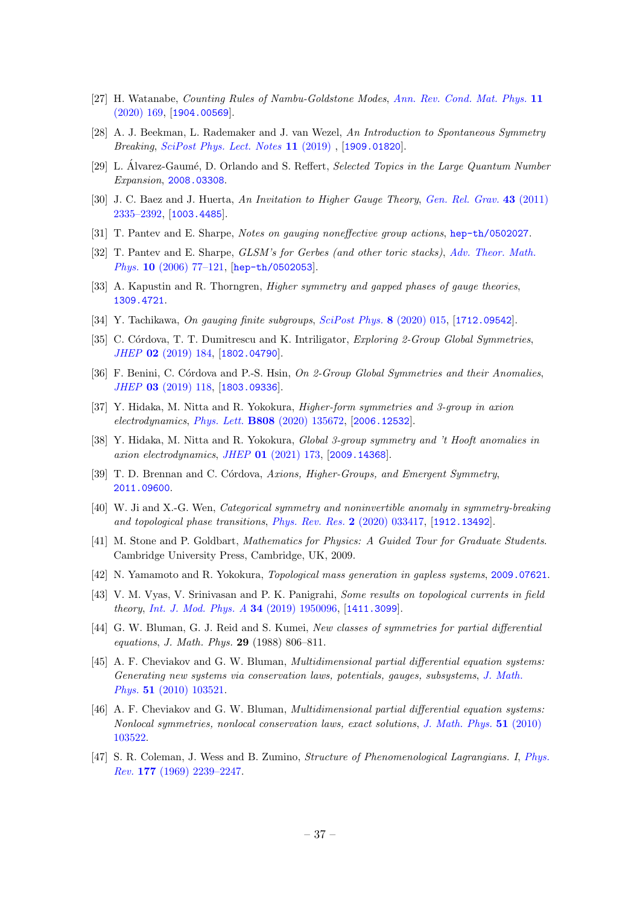- <span id="page-37-0"></span>[27] H. Watanabe, Counting Rules of Nambu-Goldstone Modes, [Ann. Rev. Cond. Mat. Phys.](http://dx.doi.org/10.1146/annurev-conmatphys-031119-050644) 11 [\(2020\) 169,](http://dx.doi.org/10.1146/annurev-conmatphys-031119-050644) [[1904.00569](http://arxiv.org/abs/1904.00569)].
- [28] A. J. Beekman, L. Rademaker and J. van Wezel, An Introduction to Spontaneous Symmetry Breaking, [SciPost Phys. Lect. Notes](http://dx.doi.org/10.21468/SciPostPhysLectNotes.11) 11 (2019) , [[1909.01820](http://arxiv.org/abs/1909.01820)].
- <span id="page-37-1"></span>[29] L. Álvarez-Gaumé, D. Orlando and S. Reffert, Selected Topics in the Large Quantum Number Expansion, [2008.03308](http://arxiv.org/abs/2008.03308).
- <span id="page-37-2"></span>[30] J. C. Baez and J. Huerta, An Invitation to Higher Gauge Theory, [Gen. Rel. Grav.](http://dx.doi.org/10.1007/s10714-010-1070-9) 43 (2011) [2335–2392,](http://dx.doi.org/10.1007/s10714-010-1070-9) [[1003.4485](http://arxiv.org/abs/1003.4485)].
- <span id="page-37-3"></span>[31] T. Pantev and E. Sharpe, Notes on gauging noneffective group actions, [hep-th/0502027](http://arxiv.org/abs/hep-th/0502027).
- [32] T. Pantev and E. Sharpe, GLSM's for Gerbes (and other toric stacks), [Adv. Theor. Math.](http://dx.doi.org/10.4310/ATMP.2006.v10.n1.a4) Phys. 10 [\(2006\) 77–121,](http://dx.doi.org/10.4310/ATMP.2006.v10.n1.a4) [[hep-th/0502053](http://arxiv.org/abs/hep-th/0502053)].
- [33] A. Kapustin and R. Thorngren, *Higher symmetry and gapped phases of gauge theories*, [1309.4721](http://arxiv.org/abs/1309.4721).
- <span id="page-37-4"></span>[34] Y. Tachikawa, *On qauging finite subgroups, [SciPost Phys.](http://dx.doi.org/10.21468/SciPostPhys.8.1.015)* 8 (2020) 015, [[1712.09542](http://arxiv.org/abs/1712.09542)].
- <span id="page-37-5"></span>[35] C. Córdova, T. T. Dumitrescu and K. Intriligator, Exploring 2-Group Global Symmetries, JHEP 02 [\(2019\) 184,](http://dx.doi.org/10.1007/JHEP02(2019)184) [[1802.04790](http://arxiv.org/abs/1802.04790)].
- <span id="page-37-6"></span>[36] F. Benini, C. Córdova and P.-S. Hsin, On 2-Group Global Symmetries and their Anomalies, JHEP 03 [\(2019\) 118,](http://dx.doi.org/10.1007/JHEP03(2019)118) [[1803.09336](http://arxiv.org/abs/1803.09336)].
- <span id="page-37-7"></span>[37] Y. Hidaka, M. Nitta and R. Yokokura, *Higher-form symmetries and 3-group in axion* electrodynamics, Phys. Lett. B808 [\(2020\) 135672,](http://dx.doi.org/10.1016/j.physletb.2020.135672) [[2006.12532](http://arxiv.org/abs/2006.12532)].
- <span id="page-37-8"></span>[38] Y. Hidaka, M. Nitta and R. Yokokura, Global 3-group symmetry and 't Hooft anomalies in axion electrodynamics, JHEP 01 [\(2021\) 173,](http://dx.doi.org/10.1007/JHEP01(2021)173) [[2009.14368](http://arxiv.org/abs/2009.14368)].
- <span id="page-37-9"></span>[39] T. D. Brennan and C. Córdova, Axions, Higher-Groups, and Emergent Symmetry, [2011.09600](http://arxiv.org/abs/2011.09600).
- <span id="page-37-10"></span>[40] W. Ji and X.-G. Wen, Categorical symmetry and noninvertible anomaly in symmetry-breaking and topological phase transitions, [Phys. Rev. Res.](http://dx.doi.org/10.1103/PhysRevResearch.2.033417) 2 (2020) 033417, [[1912.13492](http://arxiv.org/abs/1912.13492)].
- <span id="page-37-11"></span>[41] M. Stone and P. Goldbart, Mathematics for Physics: A Guided Tour for Graduate Students. Cambridge University Press, Cambridge, UK, 2009.
- <span id="page-37-12"></span>[42] N. Yamamoto and R. Yokokura, Topological mass generation in gapless systems, [2009.07621](http://arxiv.org/abs/2009.07621).
- <span id="page-37-13"></span>[43] V. M. Vyas, V. Srinivasan and P. K. Panigrahi, Some results on topological currents in field theory, [Int. J. Mod. Phys. A](http://dx.doi.org/10.1142/S0217751X19500969) 34 (2019) 1950096, [[1411.3099](http://arxiv.org/abs/1411.3099)].
- <span id="page-37-14"></span>[44] G. W. Bluman, G. J. Reid and S. Kumei, New classes of symmetries for partial differential equations, J. Math. Phys. 29 (1988) 806–811.
- [45] A. F. Cheviakov and G. W. Bluman, Multidimensional partial differential equation systems: Generating new systems via conservation laws, potentials, gauges, subsystems, [J. Math.](http://dx.doi.org/10.1063/1.3496380) Phys. 51 [\(2010\) 103521.](http://dx.doi.org/10.1063/1.3496380)
- <span id="page-37-15"></span>[46] A. F. Cheviakov and G. W. Bluman, Multidimensional partial differential equation systems: Nonlocal symmetries, nonlocal conservation laws, exact solutions, [J. Math. Phys.](http://dx.doi.org/10.1063/1.3496383) 51 (2010) [103522.](http://dx.doi.org/10.1063/1.3496383)
- <span id="page-37-16"></span>[47] S. R. Coleman, J. Wess and B. Zumino, Structure of Phenomenological Lagrangians. I, [Phys.](http://dx.doi.org/10.1103/PhysRev.177.2239) Rev. 177 [\(1969\) 2239–2247.](http://dx.doi.org/10.1103/PhysRev.177.2239)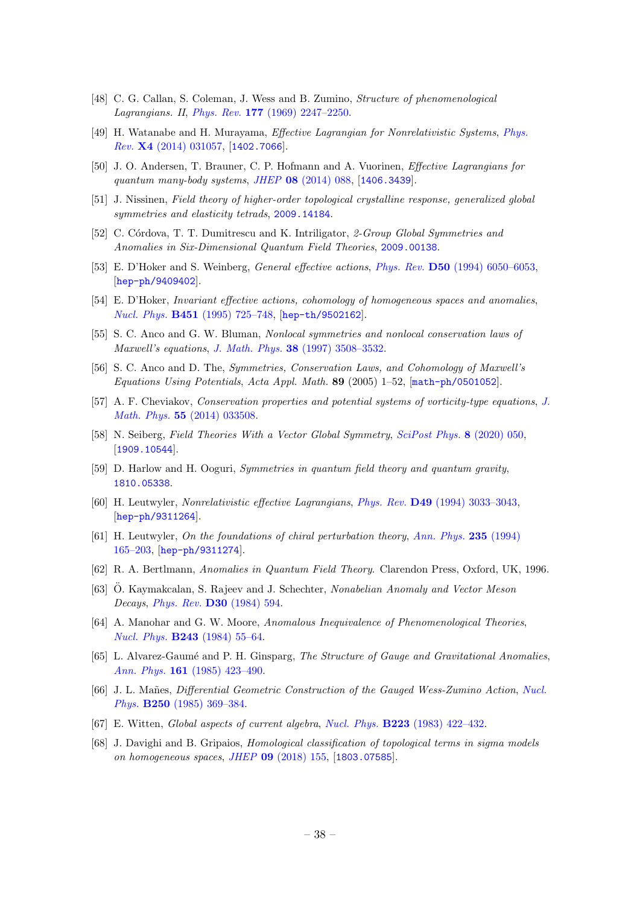- <span id="page-38-17"></span>[48] C. G. Callan, S. Coleman, J. Wess and B. Zumino, Structure of phenomenological Lagrangians. II, Phys. Rev. 177 [\(1969\) 2247–2250.](http://dx.doi.org/10.1103/PhysRev.177.2247)
- [49] H. Watanabe and H. Murayama, Effective Lagrangian for Nonrelativistic Systems, [Phys.](http://dx.doi.org/10.1103/PhysRevX.4.031057) Rev. X4 [\(2014\) 031057,](http://dx.doi.org/10.1103/PhysRevX.4.031057) [[1402.7066](http://arxiv.org/abs/1402.7066)].
- <span id="page-38-0"></span>[50] J. O. Andersen, T. Brauner, C. P. Hofmann and A. Vuorinen, Effective Lagrangians for quantum many-body systems, JHEP 08 [\(2014\) 088,](http://dx.doi.org/10.1007/JHEP08(2014)088) [[1406.3439](http://arxiv.org/abs/1406.3439)].
- <span id="page-38-3"></span>[51] J. Nissinen, Field theory of higher-order topological crystalline response, generalized global symmetries and elasticity tetrads, [2009.14184](http://arxiv.org/abs/2009.14184).
- <span id="page-38-4"></span>[52] C. Córdova, T. T. Dumitrescu and K. Intriligator, 2-Group Global Symmetries and Anomalies in Six-Dimensional Quantum Field Theories, [2009.00138](http://arxiv.org/abs/2009.00138).
- <span id="page-38-1"></span>[53] E. D'Hoker and S. Weinberg, General effective actions, Phys. Rev. D50 [\(1994\) 6050–6053,](http://dx.doi.org/10.1103/PhysRevD.50.R6050) [[hep-ph/9409402](http://arxiv.org/abs/hep-ph/9409402)].
- <span id="page-38-2"></span>[54] E. D'Hoker, Invariant effective actions, cohomology of homogeneous spaces and anomalies, Nucl. Phys. B451 [\(1995\) 725–748,](http://dx.doi.org/10.1016/0550-3213(95)00265-T) [[hep-th/9502162](http://arxiv.org/abs/hep-th/9502162)].
- <span id="page-38-6"></span>[55] S. C. Anco and G. W. Bluman, *Nonlocal symmetries and nonlocal conservation laws of* Maxwell's equations, J. Math. Phys. 38 [\(1997\) 3508–3532.](http://dx.doi.org/10.1063/1.531866)
- <span id="page-38-7"></span>[56] S. C. Anco and D. The, Symmetries, Conservation Laws, and Cohomology of Maxwell's Equations Using Potentials, Acta Appl. Math. 89 (2005) 1–52, [[math-ph/0501052](http://arxiv.org/abs/math-ph/0501052)].
- <span id="page-38-5"></span>[57] A. F. Cheviakov, Conservation properties and potential systems of vorticity-type equations, [J.](http://dx.doi.org/10.1063/1.4868218) Math. Phys. 55 [\(2014\) 033508.](http://dx.doi.org/10.1063/1.4868218)
- <span id="page-38-8"></span>[58] N. Seiberg, Field Theories With a Vector Global Symmetry, [SciPost Phys.](http://dx.doi.org/10.21468/SciPostPhys.8.4.050) 8 (2020) 050, [[1909.10544](http://arxiv.org/abs/1909.10544)].
- <span id="page-38-9"></span>[59] D. Harlow and H. Ooguri, Symmetries in quantum field theory and quantum gravity, [1810.05338](http://arxiv.org/abs/1810.05338).
- <span id="page-38-10"></span>[60] H. Leutwyler, Nonrelativistic effective Lagrangians, Phys. Rev. D49 [\(1994\) 3033–3043,](http://dx.doi.org/10.1103/PhysRevD.49.3033) [[hep-ph/9311264](http://arxiv.org/abs/hep-ph/9311264)].
- <span id="page-38-11"></span>[61] H. Leutwyler, On the foundations of chiral perturbation theory, [Ann. Phys.](http://dx.doi.org/10.1006/aphy.1994.1094) 235 (1994) [165–203,](http://dx.doi.org/10.1006/aphy.1994.1094) [[hep-ph/9311274](http://arxiv.org/abs/hep-ph/9311274)].
- <span id="page-38-12"></span>[62] R. A. Bertlmann, Anomalies in Quantum Field Theory. Clarendon Press, Oxford, UK, 1996.
- <span id="page-38-13"></span>[63] Ö. Kaymakcalan, S. Rajeev and J. Schechter, Nonabelian Anomaly and Vector Meson Decays, Phys. Rev. D30 [\(1984\) 594.](http://dx.doi.org/10.1103/PhysRevD.30.594)
- [64] A. Manohar and G. W. Moore, Anomalous Inequivalence of Phenomenological Theories, Nucl. Phys. B243 [\(1984\) 55–64.](http://dx.doi.org/10.1016/0550-3213(84)90385-7)
- [65] L. Alvarez-Gaumé and P. H. Ginsparg, The Structure of Gauge and Gravitational Anomalies, Ann. Phys. 161 [\(1985\) 423–490.](http://dx.doi.org/10.1016/0003-4916(85)90087-9)
- <span id="page-38-14"></span>[66] J. L. Mañes, Differential Geometric Construction of the Gauged Wess-Zumino Action, [Nucl.](http://dx.doi.org/10.1016/0550-3213(85)90487-0) Phys. B250 [\(1985\) 369–384.](http://dx.doi.org/10.1016/0550-3213(85)90487-0)
- <span id="page-38-15"></span>[67] E. Witten, Global aspects of current algebra, Nucl. Phys. B223 [\(1983\) 422–432.](http://dx.doi.org/10.1016/0550-3213(83)90063-9)
- <span id="page-38-16"></span>[68] J. Davighi and B. Gripaios, Homological classification of topological terms in sigma models on homogeneous spaces, JHEP 09 [\(2018\) 155,](http://dx.doi.org/10.1007/JHEP11(2018)143, 10.1007/JHEP09(2018)155) [[1803.07585](http://arxiv.org/abs/1803.07585)].